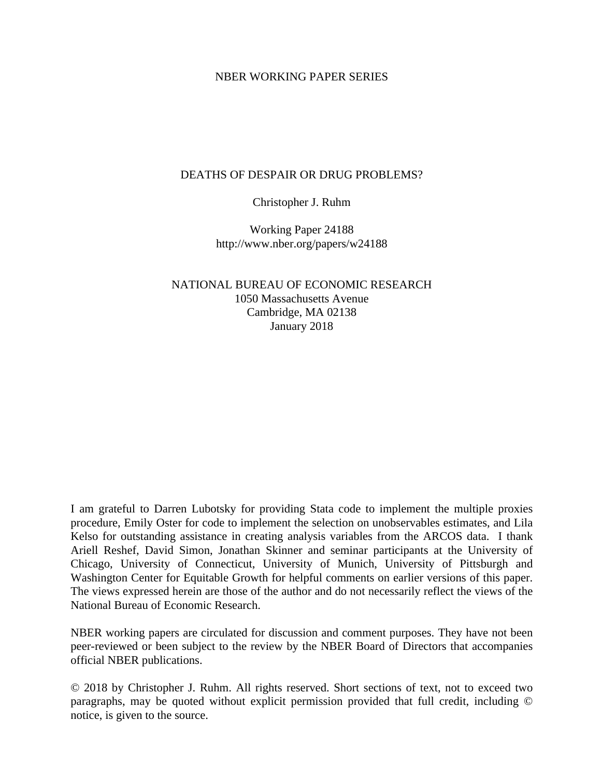## NBER WORKING PAPER SERIES

# DEATHS OF DESPAIR OR DRUG PROBLEMS?

Christopher J. Ruhm

Working Paper 24188 http://www.nber.org/papers/w24188

NATIONAL BUREAU OF ECONOMIC RESEARCH 1050 Massachusetts Avenue Cambridge, MA 02138 January 2018

I am grateful to Darren Lubotsky for providing Stata code to implement the multiple proxies procedure, Emily Oster for code to implement the selection on unobservables estimates, and Lila Kelso for outstanding assistance in creating analysis variables from the ARCOS data. I thank Ariell Reshef, David Simon, Jonathan Skinner and seminar participants at the University of Chicago, University of Connecticut, University of Munich, University of Pittsburgh and Washington Center for Equitable Growth for helpful comments on earlier versions of this paper. The views expressed herein are those of the author and do not necessarily reflect the views of the National Bureau of Economic Research.

NBER working papers are circulated for discussion and comment purposes. They have not been peer-reviewed or been subject to the review by the NBER Board of Directors that accompanies official NBER publications.

© 2018 by Christopher J. Ruhm. All rights reserved. Short sections of text, not to exceed two paragraphs, may be quoted without explicit permission provided that full credit, including © notice, is given to the source.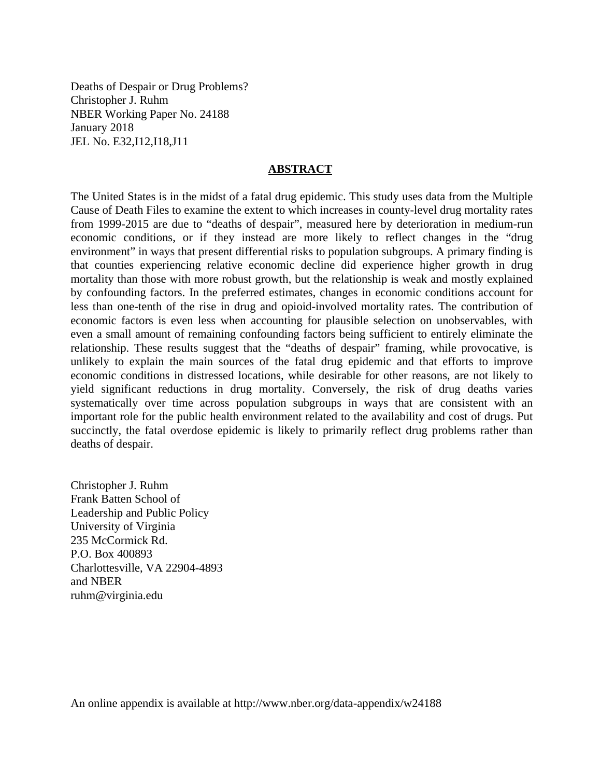Deaths of Despair or Drug Problems? Christopher J. Ruhm NBER Working Paper No. 24188 January 2018 JEL No. E32,I12,I18,J11

## **ABSTRACT**

The United States is in the midst of a fatal drug epidemic. This study uses data from the Multiple Cause of Death Files to examine the extent to which increases in county-level drug mortality rates from 1999-2015 are due to "deaths of despair", measured here by deterioration in medium-run economic conditions, or if they instead are more likely to reflect changes in the "drug environment" in ways that present differential risks to population subgroups. A primary finding is that counties experiencing relative economic decline did experience higher growth in drug mortality than those with more robust growth, but the relationship is weak and mostly explained by confounding factors. In the preferred estimates, changes in economic conditions account for less than one-tenth of the rise in drug and opioid-involved mortality rates. The contribution of economic factors is even less when accounting for plausible selection on unobservables, with even a small amount of remaining confounding factors being sufficient to entirely eliminate the relationship. These results suggest that the "deaths of despair" framing, while provocative, is unlikely to explain the main sources of the fatal drug epidemic and that efforts to improve economic conditions in distressed locations, while desirable for other reasons, are not likely to yield significant reductions in drug mortality. Conversely, the risk of drug deaths varies systematically over time across population subgroups in ways that are consistent with an important role for the public health environment related to the availability and cost of drugs. Put succinctly, the fatal overdose epidemic is likely to primarily reflect drug problems rather than deaths of despair.

Christopher J. Ruhm Frank Batten School of Leadership and Public Policy University of Virginia 235 McCormick Rd. P.O. Box 400893 Charlottesville, VA 22904-4893 and NBER ruhm@virginia.edu

An online appendix is available at http://www.nber.org/data-appendix/w24188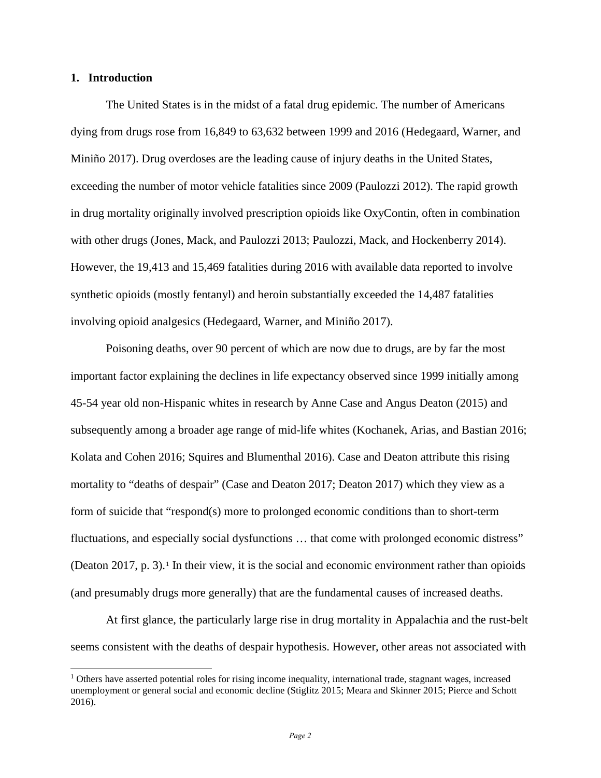## **1. Introduction**

 $\overline{a}$ 

The United States is in the midst of a fatal drug epidemic. The number of Americans dying from drugs rose from 16,849 to 63,632 between 1999 and 2016 (Hedegaard, Warner, and Miniño 2017). Drug overdoses are the leading cause of injury deaths in the United States, exceeding the number of motor vehicle fatalities since 2009 (Paulozzi 2012). The rapid growth in drug mortality originally involved prescription opioids like OxyContin, often in combination with other drugs (Jones, Mack, and Paulozzi 2013; Paulozzi, Mack, and Hockenberry 2014). However, the 19,413 and 15,469 fatalities during 2016 with available data reported to involve synthetic opioids (mostly fentanyl) and heroin substantially exceeded the 14,487 fatalities involving opioid analgesics (Hedegaard, Warner, and Miniño 2017).

 Poisoning deaths, over 90 percent of which are now due to drugs, are by far the most important factor explaining the declines in life expectancy observed since 1999 initially among 45-54 year old non-Hispanic whites in research by Anne Case and Angus Deaton (2015) and subsequently among a broader age range of mid-life whites (Kochanek, Arias, and Bastian 2016; Kolata and Cohen 2016; Squires and Blumenthal 2016). Case and Deaton attribute this rising mortality to "deaths of despair" (Case and Deaton 2017; Deaton 2017) which they view as a form of suicide that "respond(s) more to prolonged economic conditions than to short-term fluctuations, and especially social dysfunctions … that come with prolonged economic distress" (Deaton 20[1](#page-2-0)7, p. 3).<sup>1</sup> In their view, it is the social and economic environment rather than opioids (and presumably drugs more generally) that are the fundamental causes of increased deaths.

At first glance, the particularly large rise in drug mortality in Appalachia and the rust-belt seems consistent with the deaths of despair hypothesis. However, other areas not associated with

<span id="page-2-0"></span> $1$  Others have asserted potential roles for rising income inequality, international trade, stagnant wages, increased unemployment or general social and economic decline (Stiglitz 2015; Meara and Skinner 2015; Pierce and Schott 2016).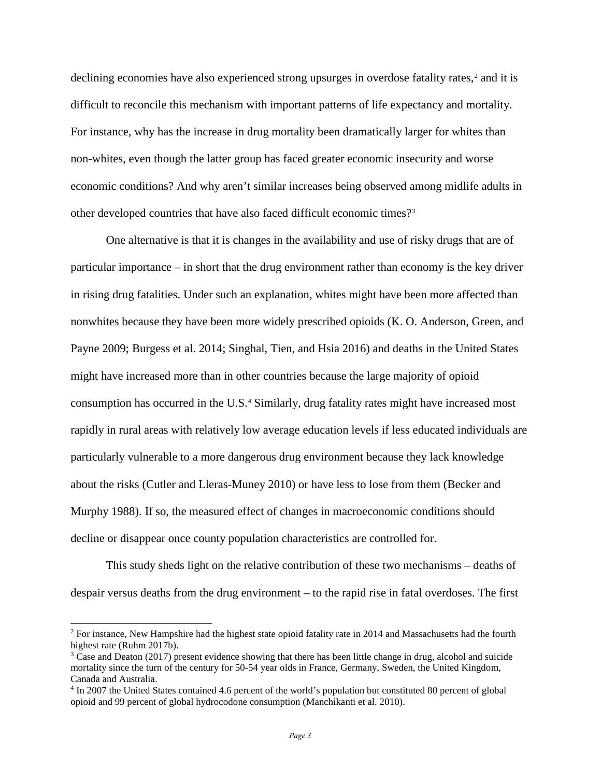declining economies have also experienced strong upsurges in overdose fatality rates,<sup>[2](#page-3-0)</sup> and it is difficult to reconcile this mechanism with important patterns of life expectancy and mortality. For instance, why has the increase in drug mortality been dramatically larger for whites than non-whites, even though the latter group has faced greater economic insecurity and worse economic conditions? And why aren't similar increases being observed among midlife adults in other developed countries that have also faced difficult economic times?[3](#page-3-1)

One alternative is that it is changes in the availability and use of risky drugs that are of particular importance – in short that the drug environment rather than economy is the key driver in rising drug fatalities. Under such an explanation, whites might have been more affected than nonwhites because they have been more widely prescribed opioids (K. O. Anderson, Green, and Payne 2009; Burgess et al. 2014; Singhal, Tien, and Hsia 2016) and deaths in the United States might have increased more than in other countries because the large majority of opioid consumption has occurred in the U.S.[4](#page-3-2) Similarly, drug fatality rates might have increased most rapidly in rural areas with relatively low average education levels if less educated individuals are particularly vulnerable to a more dangerous drug environment because they lack knowledge about the risks (Cutler and Lleras-Muney 2010) or have less to lose from them (Becker and Murphy 1988). If so, the measured effect of changes in macroeconomic conditions should decline or disappear once county population characteristics are controlled for.

This study sheds light on the relative contribution of these two mechanisms – deaths of despair versus deaths from the drug environment – to the rapid rise in fatal overdoses. The first

<span id="page-3-0"></span> $2$  For instance, New Hampshire had the highest state opioid fatality rate in 2014 and Massachusetts had the fourth highest rate (Ruhm 2017b).<br><sup>3</sup> Case and Deaton (2017) present evidence showing that there has been little change in drug, alcohol and suicide

<span id="page-3-1"></span>mortality since the turn of the century for 50-54 year olds in France, Germany, Sweden, the United Kingdom, Canada and Australia.

<span id="page-3-2"></span><sup>4</sup> In 2007 the United States contained 4.6 percent of the world's population but constituted 80 percent of global opioid and 99 percent of global hydrocodone consumption (Manchikanti et al. 2010).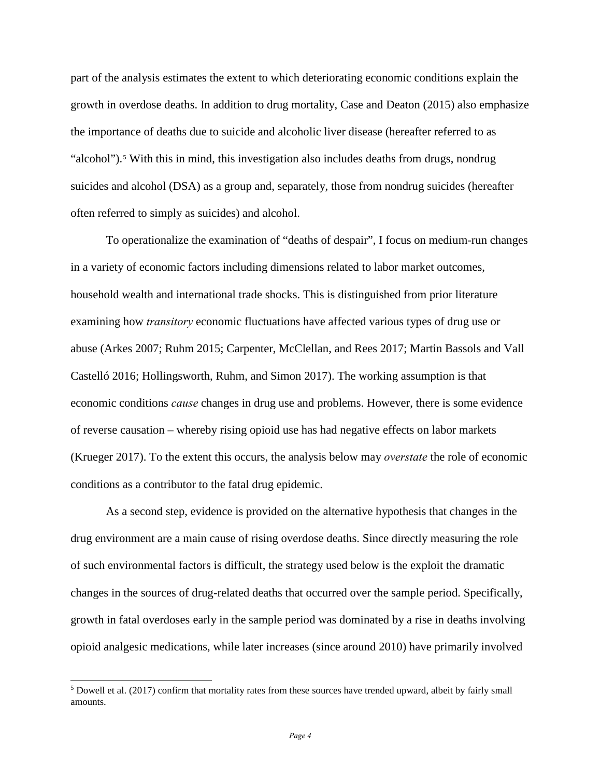part of the analysis estimates the extent to which deteriorating economic conditions explain the growth in overdose deaths. In addition to drug mortality, Case and Deaton (2015) also emphasize the importance of deaths due to suicide and alcoholic liver disease (hereafter referred to as "alcohol").<sup>[5](#page-4-0)</sup> With this in mind, this investigation also includes deaths from drugs, nondrug suicides and alcohol (DSA) as a group and, separately, those from nondrug suicides (hereafter often referred to simply as suicides) and alcohol.

 To operationalize the examination of "deaths of despair", I focus on medium-run changes in a variety of economic factors including dimensions related to labor market outcomes, household wealth and international trade shocks. This is distinguished from prior literature examining how *transitory* economic fluctuations have affected various types of drug use or abuse (Arkes 2007; Ruhm 2015; Carpenter, McClellan, and Rees 2017; Martin Bassols and Vall Castelló 2016; Hollingsworth, Ruhm, and Simon 2017). The working assumption is that economic conditions *cause* changes in drug use and problems. However, there is some evidence of reverse causation – whereby rising opioid use has had negative effects on labor markets (Krueger 2017). To the extent this occurs, the analysis below may *overstate* the role of economic conditions as a contributor to the fatal drug epidemic.

 As a second step, evidence is provided on the alternative hypothesis that changes in the drug environment are a main cause of rising overdose deaths. Since directly measuring the role of such environmental factors is difficult, the strategy used below is the exploit the dramatic changes in the sources of drug-related deaths that occurred over the sample period. Specifically, growth in fatal overdoses early in the sample period was dominated by a rise in deaths involving opioid analgesic medications, while later increases (since around 2010) have primarily involved

<span id="page-4-0"></span> $5$  Dowell et al. (2017) confirm that mortality rates from these sources have trended upward, albeit by fairly small amounts.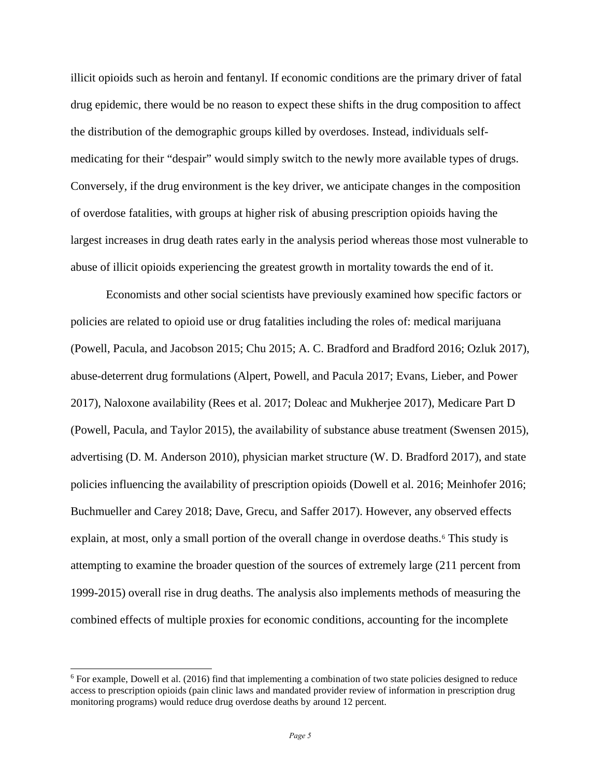illicit opioids such as heroin and fentanyl. If economic conditions are the primary driver of fatal drug epidemic, there would be no reason to expect these shifts in the drug composition to affect the distribution of the demographic groups killed by overdoses. Instead, individuals selfmedicating for their "despair" would simply switch to the newly more available types of drugs. Conversely, if the drug environment is the key driver, we anticipate changes in the composition of overdose fatalities, with groups at higher risk of abusing prescription opioids having the largest increases in drug death rates early in the analysis period whereas those most vulnerable to abuse of illicit opioids experiencing the greatest growth in mortality towards the end of it.

 Economists and other social scientists have previously examined how specific factors or policies are related to opioid use or drug fatalities including the roles of: medical marijuana (Powell, Pacula, and Jacobson 2015; Chu 2015; A. C. Bradford and Bradford 2016; Ozluk 2017), abuse-deterrent drug formulations (Alpert, Powell, and Pacula 2017; Evans, Lieber, and Power 2017), Naloxone availability (Rees et al. 2017; Doleac and Mukherjee 2017), Medicare Part D (Powell, Pacula, and Taylor 2015), the availability of substance abuse treatment (Swensen 2015), advertising (D. M. Anderson 2010), physician market structure (W. D. Bradford 2017), and state policies influencing the availability of prescription opioids (Dowell et al. 2016; Meinhofer 2016; Buchmueller and Carey 2018; Dave, Grecu, and Saffer 2017). However, any observed effects explain, at most, only a small portion of the overall change in overdose deaths.<sup>[6](#page-5-0)</sup> This study is attempting to examine the broader question of the sources of extremely large (211 percent from 1999-2015) overall rise in drug deaths. The analysis also implements methods of measuring the combined effects of multiple proxies for economic conditions, accounting for the incomplete

<span id="page-5-0"></span><sup>6</sup> For example, Dowell et al. (2016) find that implementing a combination of two state policies designed to reduce access to prescription opioids (pain clinic laws and mandated provider review of information in prescription drug monitoring programs) would reduce drug overdose deaths by around 12 percent.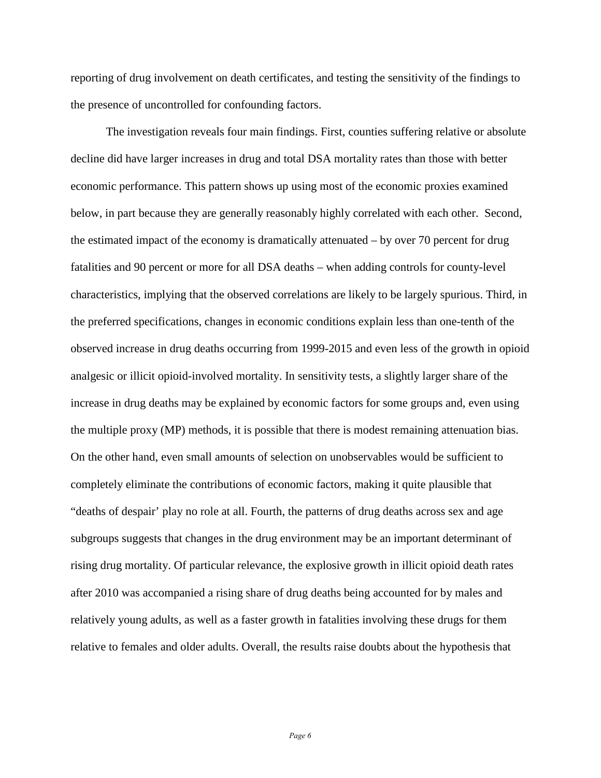reporting of drug involvement on death certificates, and testing the sensitivity of the findings to the presence of uncontrolled for confounding factors.

The investigation reveals four main findings. First, counties suffering relative or absolute decline did have larger increases in drug and total DSA mortality rates than those with better economic performance. This pattern shows up using most of the economic proxies examined below, in part because they are generally reasonably highly correlated with each other. Second, the estimated impact of the economy is dramatically attenuated – by over 70 percent for drug fatalities and 90 percent or more for all DSA deaths – when adding controls for county-level characteristics, implying that the observed correlations are likely to be largely spurious. Third, in the preferred specifications, changes in economic conditions explain less than one-tenth of the observed increase in drug deaths occurring from 1999-2015 and even less of the growth in opioid analgesic or illicit opioid-involved mortality. In sensitivity tests, a slightly larger share of the increase in drug deaths may be explained by economic factors for some groups and, even using the multiple proxy (MP) methods, it is possible that there is modest remaining attenuation bias. On the other hand, even small amounts of selection on unobservables would be sufficient to completely eliminate the contributions of economic factors, making it quite plausible that "deaths of despair' play no role at all. Fourth, the patterns of drug deaths across sex and age subgroups suggests that changes in the drug environment may be an important determinant of rising drug mortality. Of particular relevance, the explosive growth in illicit opioid death rates after 2010 was accompanied a rising share of drug deaths being accounted for by males and relatively young adults, as well as a faster growth in fatalities involving these drugs for them relative to females and older adults. Overall, the results raise doubts about the hypothesis that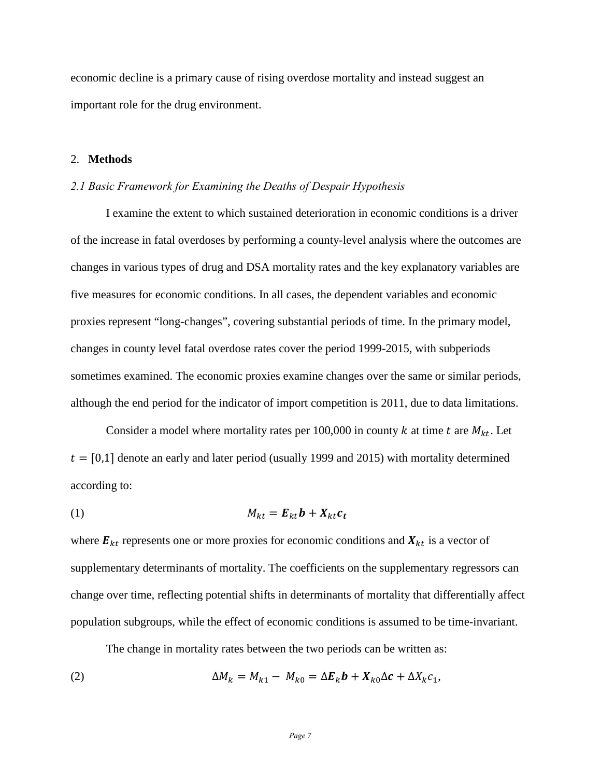economic decline is a primary cause of rising overdose mortality and instead suggest an important role for the drug environment.

## 2. **Methods**

### *2.1 Basic Framework for Examining the Deaths of Despair Hypothesis*

I examine the extent to which sustained deterioration in economic conditions is a driver of the increase in fatal overdoses by performing a county-level analysis where the outcomes are changes in various types of drug and DSA mortality rates and the key explanatory variables are five measures for economic conditions. In all cases, the dependent variables and economic proxies represent "long-changes", covering substantial periods of time. In the primary model, changes in county level fatal overdose rates cover the period 1999-2015, with subperiods sometimes examined. The economic proxies examine changes over the same or similar periods, although the end period for the indicator of import competition is 2011, due to data limitations.

Consider a model where mortality rates per 100,000 in county  $k$  at time  $t$  are  $M_{kt}$ . Let  $t = [0,1]$  denote an early and later period (usually 1999 and 2015) with mortality determined according to:

$$
M_{kt} = E_{kt}b + X_{kt}c_t
$$

where  $\mathbf{E}_{kt}$  represents one or more proxies for economic conditions and  $\mathbf{X}_{kt}$  is a vector of supplementary determinants of mortality. The coefficients on the supplementary regressors can change over time, reflecting potential shifts in determinants of mortality that differentially affect population subgroups, while the effect of economic conditions is assumed to be time-invariant.

The change in mortality rates between the two periods can be written as:

(2) 
$$
\Delta M_k = M_{k1} - M_{k0} = \Delta E_k \mathbf{b} + X_{k0} \Delta \mathbf{c} + \Delta X_k c_1,
$$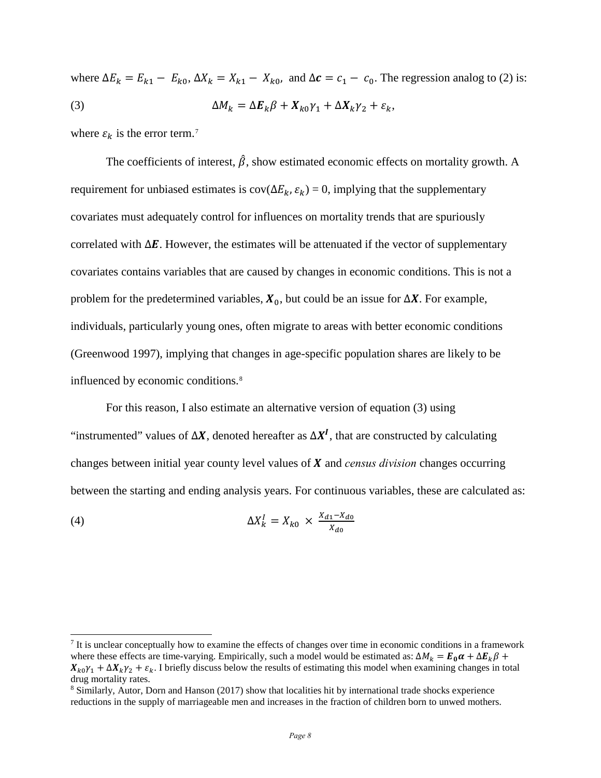where  $\Delta E_k = E_{k1} - E_{k0}$ ,  $\Delta X_k = X_{k1} - X_{k0}$ , and  $\Delta c = c_1 - c_0$ . The regression analog to (2) is: (3)  $\Delta M_k = \Delta E_k \beta + X_{k0} \gamma_1 + \Delta X_k \gamma_2 + \varepsilon_k,$ 

where  $\varepsilon_k$  is the error term.<sup>[7](#page-8-0)</sup>

 $\overline{a}$ 

The coefficients of interest,  $\hat{\beta}$ , show estimated economic effects on mortality growth. A requirement for unbiased estimates is  $cov(\Delta E_k, \varepsilon_k) = 0$ , implying that the supplementary covariates must adequately control for influences on mortality trends that are spuriously correlated with  $\Delta E$ . However, the estimates will be attenuated if the vector of supplementary covariates contains variables that are caused by changes in economic conditions. This is not a problem for the predetermined variables,  $X_0$ , but could be an issue for  $\Delta X$ . For example, individuals, particularly young ones, often migrate to areas with better economic conditions (Greenwood 1997), implying that changes in age-specific population shares are likely to be influenced by economic conditions.[8](#page-8-1)

For this reason, I also estimate an alternative version of equation (3) using "instrumented" values of  $\Delta X$ , denoted hereafter as  $\Delta X^I$ , that are constructed by calculating changes between initial year county level values of **X** and *census division* changes occurring between the starting and ending analysis years. For continuous variables, these are calculated as:

$$
\Delta X_k^I = X_{k0} \times \frac{X_{d1} - X_{d0}}{X_{d0}}
$$

<span id="page-8-0"></span> $<sup>7</sup>$  It is unclear conceptually how to examine the effects of changes over time in economic conditions in a framework</sup> where these effects are time-varying. Empirically, such a model would be estimated as:  $\Delta M_k = E_0 \alpha + \Delta E_k \beta +$  $X_{k0}\gamma_1 + \Delta X_k \gamma_2 + \varepsilon_k$ . I briefly discuss below the results of estimating this model when examining changes in total drug mortality rates.

<span id="page-8-1"></span><sup>8</sup> Similarly, Autor, Dorn and Hanson (2017) show that localities hit by international trade shocks experience reductions in the supply of marriageable men and increases in the fraction of children born to unwed mothers.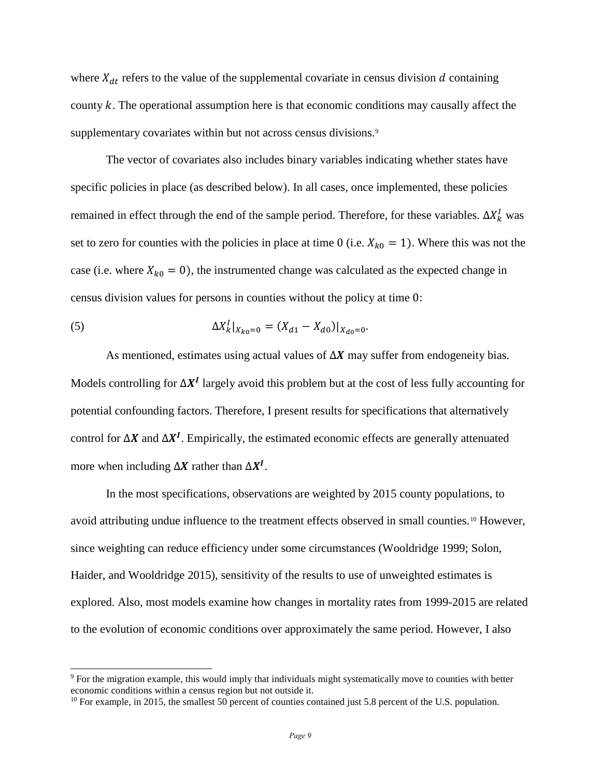where  $X_{dt}$  refers to the value of the supplemental covariate in census division  $d$  containing county  $k$ . The operational assumption here is that economic conditions may causally affect the supplementary covariates within but not across census divisions.<sup>9</sup>

The vector of covariates also includes binary variables indicating whether states have specific policies in place (as described below). In all cases, once implemented, these policies remained in effect through the end of the sample period. Therefore, for these variables.  $\Delta X_k^I$  was set to zero for counties with the policies in place at time 0 (i.e.  $X_{k0} = 1$ ). Where this was not the case (i.e. where  $X_{k0} = 0$ ), the instrumented change was calculated as the expected change in census division values for persons in counties without the policy at time 0:

(5) 
$$
\Delta X'_k|_{X_{k0}=0} = (X_{d1} - X_{d0})|_{X_{d0}=0}.
$$

 $\overline{a}$ 

As mentioned, estimates using actual values of  $\Delta X$  may suffer from endogeneity bias. Models controlling for  $\Delta X^I$  largely avoid this problem but at the cost of less fully accounting for potential confounding factors. Therefore, I present results for specifications that alternatively control for  $\Delta X$  and  $\Delta X'$ . Empirically, the estimated economic effects are generally attenuated more when including  $\Delta X$  rather than  $\Delta X^I$ .

In the most specifications, observations are weighted by 2015 county populations, to avoid attributing undue influence to the treatment effects observed in small counties.[10](#page-9-1) However, since weighting can reduce efficiency under some circumstances (Wooldridge 1999; Solon, Haider, and Wooldridge 2015), sensitivity of the results to use of unweighted estimates is explored. Also, most models examine how changes in mortality rates from 1999-2015 are related to the evolution of economic conditions over approximately the same period. However, I also

<span id="page-9-0"></span><sup>9</sup> For the migration example, this would imply that individuals might systematically move to counties with better economic conditions within a census region but not outside it.

<span id="page-9-1"></span><sup>&</sup>lt;sup>10</sup> For example, in 2015, the smallest 50 percent of counties contained just 5.8 percent of the U.S. population.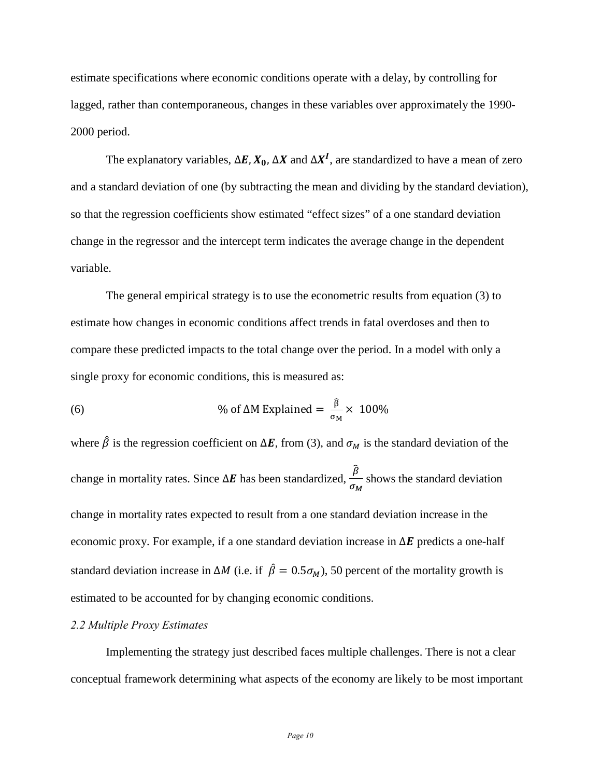estimate specifications where economic conditions operate with a delay, by controlling for lagged, rather than contemporaneous, changes in these variables over approximately the 1990- 2000 period.

The explanatory variables,  $\Delta E$ ,  $X_0$ ,  $\Delta X$  and  $\Delta X^I$ , are standardized to have a mean of zero and a standard deviation of one (by subtracting the mean and dividing by the standard deviation), so that the regression coefficients show estimated "effect sizes" of a one standard deviation change in the regressor and the intercept term indicates the average change in the dependent variable.

The general empirical strategy is to use the econometric results from equation (3) to estimate how changes in economic conditions affect trends in fatal overdoses and then to compare these predicted impacts to the total change over the period. In a model with only a single proxy for economic conditions, this is measured as:

(6) 
$$
\% \text{ of } \Delta M \text{ Explained} = \frac{\hat{\beta}}{\sigma_M} \times 100\%
$$

where  $\hat{\beta}$  is the regression coefficient on  $\Delta E$ , from (3), and  $\sigma_M$  is the standard deviation of the change in mortality rates. Since  $\Delta E$  has been standardized,  $\frac{\beta}{\sigma_M}$  shows the standard deviation change in mortality rates expected to result from a one standard deviation increase in the economic proxy. For example, if a one standard deviation increase in  $\Delta E$  predicts a one-half standard deviation increase in  $\Delta M$  (i.e. if  $\hat{\beta} = 0.5\sigma_M$ ), 50 percent of the mortality growth is estimated to be accounted for by changing economic conditions.

## *2.2 Multiple Proxy Estimates*

Implementing the strategy just described faces multiple challenges. There is not a clear conceptual framework determining what aspects of the economy are likely to be most important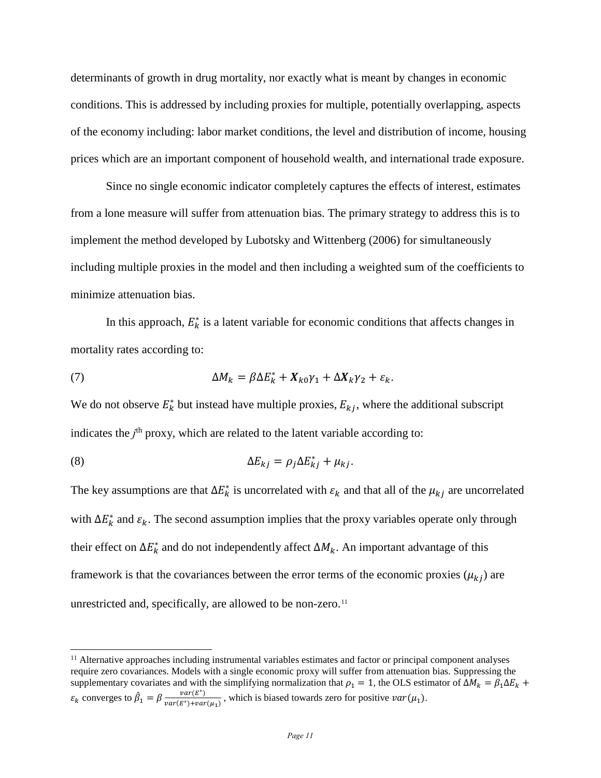determinants of growth in drug mortality, nor exactly what is meant by changes in economic conditions. This is addressed by including proxies for multiple, potentially overlapping, aspects of the economy including: labor market conditions, the level and distribution of income, housing prices which are an important component of household wealth, and international trade exposure.

Since no single economic indicator completely captures the effects of interest, estimates from a lone measure will suffer from attenuation bias. The primary strategy to address this is to implement the method developed by Lubotsky and Wittenberg (2006) for simultaneously including multiple proxies in the model and then including a weighted sum of the coefficients to minimize attenuation bias.

In this approach,  $E_k^*$  is a latent variable for economic conditions that affects changes in mortality rates according to:

(7) 
$$
\Delta M_k = \beta \Delta E_k^* + X_{k0} \gamma_1 + \Delta X_k \gamma_2 + \varepsilon_k.
$$

We do not observe  $E_k^*$  but instead have multiple proxies,  $E_{kj}$ , where the additional subscript indicates the *j*<sup>th</sup> proxy, which are related to the latent variable according to:

(8) 
$$
\Delta E_{kj} = \rho_j \Delta E_{kj}^* + \mu_{kj}.
$$

 $\overline{a}$ 

The key assumptions are that  $\Delta E_k^*$  is uncorrelated with  $\varepsilon_k$  and that all of the  $\mu_{kj}$  are uncorrelated with  $\Delta E_k^*$  and  $\varepsilon_k$ . The second assumption implies that the proxy variables operate only through their effect on  $\Delta E_k^*$  and do not independently affect  $\Delta M_k$ . An important advantage of this framework is that the covariances between the error terms of the economic proxies  $(\mu_{kj})$  are unrestricted and, specifically, are allowed to be non-zero. $11$ 

<span id="page-11-0"></span> $11$  Alternative approaches including instrumental variables estimates and factor or principal component analyses require zero covariances. Models with a single economic proxy will suffer from attenuation bias. Suppressing the supplementary covariates and with the simplifying normalization that  $\rho_1 = 1$ , the OLS estimator of  $\Delta M_k = \beta_1 \Delta E_k +$  $\varepsilon_k$  converges to  $\hat{\beta}_1 = \beta \frac{var(E^*)}{var(E^*) + var(\mu_1)}$ , which is biased towards zero for positive  $var(\mu_1)$ .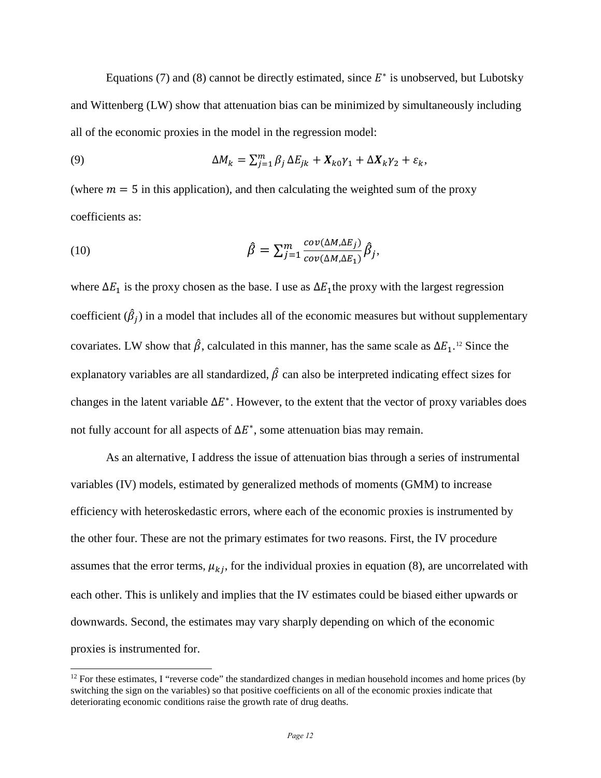Equations (7) and (8) cannot be directly estimated, since  $E^*$  is unobserved, but Lubotsky and Wittenberg (LW) show that attenuation bias can be minimized by simultaneously including all of the economic proxies in the model in the regression model:

(9) 
$$
\Delta M_k = \sum_{j=1}^m \beta_j \Delta E_{jk} + X_{k0} \gamma_1 + \Delta X_k \gamma_2 + \varepsilon_k,
$$

(where  $m = 5$  in this application), and then calculating the weighted sum of the proxy coefficients as:

(10) 
$$
\hat{\beta} = \sum_{j=1}^{m} \frac{cov(\Delta M, \Delta E_j)}{cov(\Delta M, \Delta E_1)} \hat{\beta}_j,
$$

where  $\Delta E_1$  is the proxy chosen as the base. I use as  $\Delta E_1$  the proxy with the largest regression coefficient  $(\hat{\beta}_i)$  in a model that includes all of the economic measures but without supplementary covariates. LW show that  $\hat{\beta}$ , calculated in this manner, has the same scale as  $\Delta E_1$ .<sup>[12](#page-12-0)</sup> Since the explanatory variables are all standardized,  $\hat{\beta}$  can also be interpreted indicating effect sizes for changes in the latent variable  $\Delta E^*$ . However, to the extent that the vector of proxy variables does not fully account for all aspects of  $\Delta E^*$ , some attenuation bias may remain.

As an alternative, I address the issue of attenuation bias through a series of instrumental variables (IV) models, estimated by generalized methods of moments (GMM) to increase efficiency with heteroskedastic errors, where each of the economic proxies is instrumented by the other four. These are not the primary estimates for two reasons. First, the IV procedure assumes that the error terms,  $\mu_{kj}$ , for the individual proxies in equation (8), are uncorrelated with each other. This is unlikely and implies that the IV estimates could be biased either upwards or downwards. Second, the estimates may vary sharply depending on which of the economic proxies is instrumented for.

<span id="page-12-0"></span> $12$  For these estimates, I "reverse code" the standardized changes in median household incomes and home prices (by switching the sign on the variables) so that positive coefficients on all of the economic proxies indicate that deteriorating economic conditions raise the growth rate of drug deaths.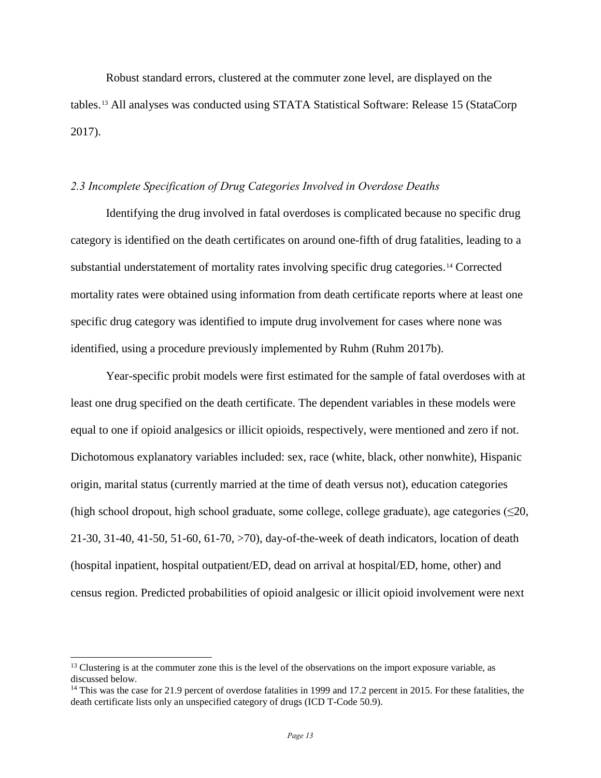Robust standard errors, clustered at the commuter zone level, are displayed on the tables.[13](#page-13-0) All analyses was conducted using STATA Statistical Software: Release 15 (StataCorp 2017).

# *2.3 Incomplete Specification of Drug Categories Involved in Overdose Deaths*

Identifying the drug involved in fatal overdoses is complicated because no specific drug category is identified on the death certificates on around one-fifth of drug fatalities, leading to a substantial understatement of mortality rates involving specific drug categories.<sup>[14](#page-13-1)</sup> Corrected mortality rates were obtained using information from death certificate reports where at least one specific drug category was identified to impute drug involvement for cases where none was identified, using a procedure previously implemented by Ruhm (Ruhm 2017b).

Year-specific probit models were first estimated for the sample of fatal overdoses with at least one drug specified on the death certificate. The dependent variables in these models were equal to one if opioid analgesics or illicit opioids, respectively, were mentioned and zero if not. Dichotomous explanatory variables included: sex, race (white, black, other nonwhite), Hispanic origin, marital status (currently married at the time of death versus not), education categories (high school dropout, high school graduate, some college, college graduate), age categories ( $\leq 20$ , 21-30, 31-40, 41-50, 51-60, 61-70, >70), day-of-the-week of death indicators, location of death (hospital inpatient, hospital outpatient/ED, dead on arrival at hospital/ED, home, other) and census region. Predicted probabilities of opioid analgesic or illicit opioid involvement were next

<span id="page-13-0"></span> $<sup>13</sup>$  Clustering is at the commuter zone this is the level of the observations on the import exposure variable, as</sup> discussed below.

<span id="page-13-1"></span><sup>&</sup>lt;sup>14</sup> This was the case for 21.9 percent of overdose fatalities in 1999 and 17.2 percent in 2015. For these fatalities, the death certificate lists only an unspecified category of drugs (ICD T-Code 50.9).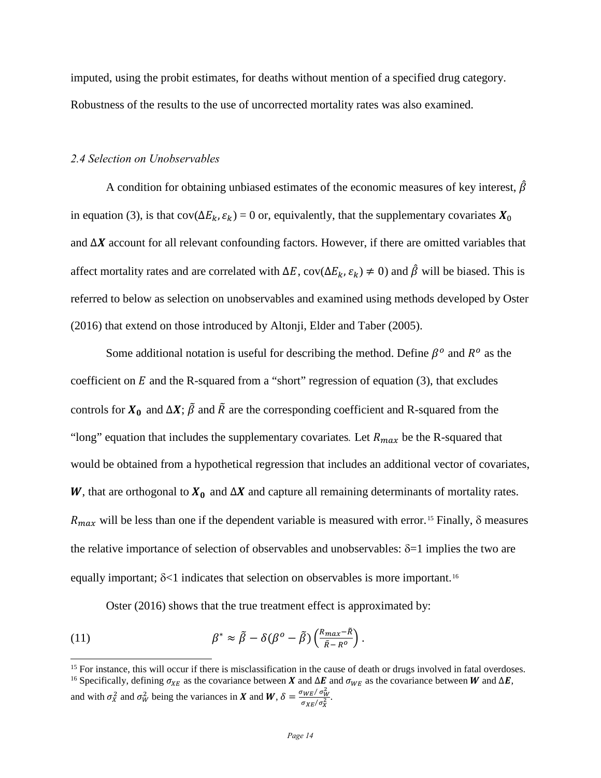imputed, using the probit estimates, for deaths without mention of a specified drug category. Robustness of the results to the use of uncorrected mortality rates was also examined.

### *2.4 Selection on Unobservables*

A condition for obtaining unbiased estimates of the economic measures of key interest,  $\beta$ in equation (3), is that cov( $\Delta E_k$ ,  $\varepsilon_k$ ) = 0 or, equivalently, that the supplementary covariates  $X_0$ and  $\Delta X$  account for all relevant confounding factors. However, if there are omitted variables that affect mortality rates and are correlated with  $\Delta E$ , cov( $\Delta E_k$ ,  $\varepsilon_k$ ) ≠ 0) and  $\hat{\beta}$  will be biased. This is referred to below as selection on unobservables and examined using methods developed by Oster (2016) that extend on those introduced by Altonji, Elder and Taber (2005).

Some additional notation is useful for describing the method. Define  $\beta^o$  and  $R^o$  as the coefficient on  $E$  and the R-squared from a "short" regression of equation (3), that excludes controls for  $X_0$  and  $\Delta X$ ;  $\tilde{\beta}$  and  $\tilde{R}$  are the corresponding coefficient and R-squared from the "long" equation that includes the supplementary covariates. Let  $R_{max}$  be the R-squared that would be obtained from a hypothetical regression that includes an additional vector of covariates, W, that are orthogonal to  $X_0$  and  $\Delta X$  and capture all remaining determinants of mortality rates.  $R_{max}$  will be less than one if the dependent variable is measured with error.<sup>15</sup> Finally,  $\delta$  measures the relative importance of selection of observables and unobservables:  $\delta$ =1 implies the two are equally important;  $\delta$ <1 indicates that selection on observables is more important.<sup>[16](#page-14-1)</sup>

Oster (2016) shows that the true treatment effect is approximated by:

(11) 
$$
\beta^* \approx \tilde{\beta} - \delta(\beta^o - \tilde{\beta}) \left( \frac{R_{max} - \tilde{R}}{\tilde{R} - R^o} \right).
$$

<span id="page-14-1"></span><span id="page-14-0"></span><sup>15</sup> For instance, this will occur if there is misclassification in the cause of death or drugs involved in fatal overdoses. <sup>16</sup> Specifically, defining  $\sigma_{XE}$  as the covariance between **X** and  $\Delta E$  and  $\sigma_{WE}$  as the covariance between **W** and  $\Delta E$ ,

and with  $\sigma_X^2$  and  $\sigma_W^2$  being the variances in X and W,  $\delta = \frac{\sigma_{WE}}{\sigma_{VE}} / \sigma_W^2$  $\frac{\partial W}{\partial X}$ .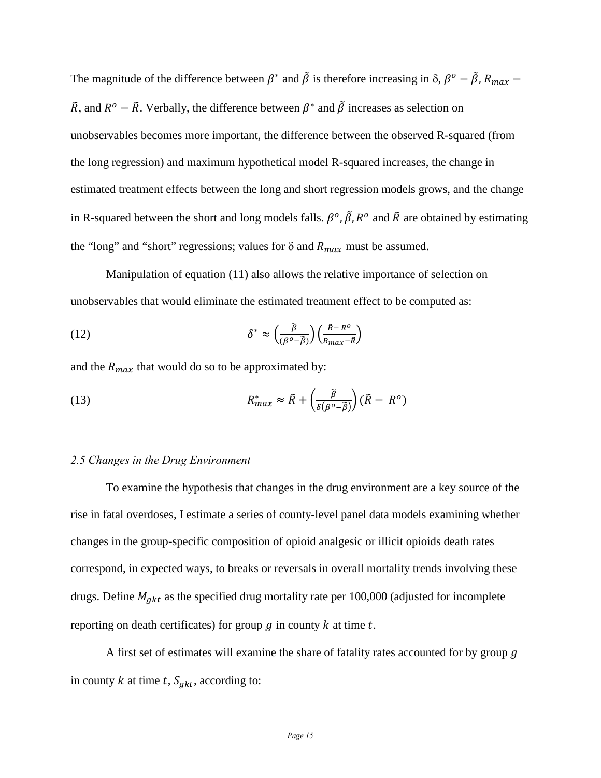The magnitude of the difference between  $\beta^*$  and  $\tilde{\beta}$  is therefore increasing in  $\delta$ ,  $\beta^o - \tilde{\beta}$ ,  $R_{max}$  –  $\tilde{R}$ , and  $R^{\circ} - \tilde{R}$ . Verbally, the difference between  $\beta^*$  and  $\tilde{\beta}$  increases as selection on unobservables becomes more important, the difference between the observed R-squared (from the long regression) and maximum hypothetical model R-squared increases, the change in estimated treatment effects between the long and short regression models grows, and the change in R-squared between the short and long models falls.  $\beta^o$ ,  $\tilde{\beta}$ ,  $R^o$  and  $\tilde{R}$  are obtained by estimating the "long" and "short" regressions; values for  $\delta$  and  $R_{max}$  must be assumed.

 Manipulation of equation (11) also allows the relative importance of selection on unobservables that would eliminate the estimated treatment effect to be computed as:

(12) 
$$
\delta^* \approx \left(\frac{\tilde{\beta}}{(\beta^o - \tilde{\beta})}\right) \left(\frac{\tilde{\beta} - R^o}{R_{max} - \tilde{R}}\right)
$$

and the  $R_{max}$  that would do so to be approximated by:

(13) 
$$
R_{max}^* \approx \tilde{R} + \left(\frac{\tilde{\beta}}{\delta(\beta^o - \tilde{\beta})}\right)(\tilde{R} - R^o)
$$

## *2.5 Changes in the Drug Environment*

To examine the hypothesis that changes in the drug environment are a key source of the rise in fatal overdoses, I estimate a series of county-level panel data models examining whether changes in the group-specific composition of opioid analgesic or illicit opioids death rates correspond, in expected ways, to breaks or reversals in overall mortality trends involving these drugs. Define  $M_{gkt}$  as the specified drug mortality rate per 100,000 (adjusted for incomplete reporting on death certificates) for group  $g$  in county  $k$  at time  $t$ .

A first set of estimates will examine the share of fatality rates accounted for by group  $g$ in county k at time t,  $S_{gkt}$ , according to: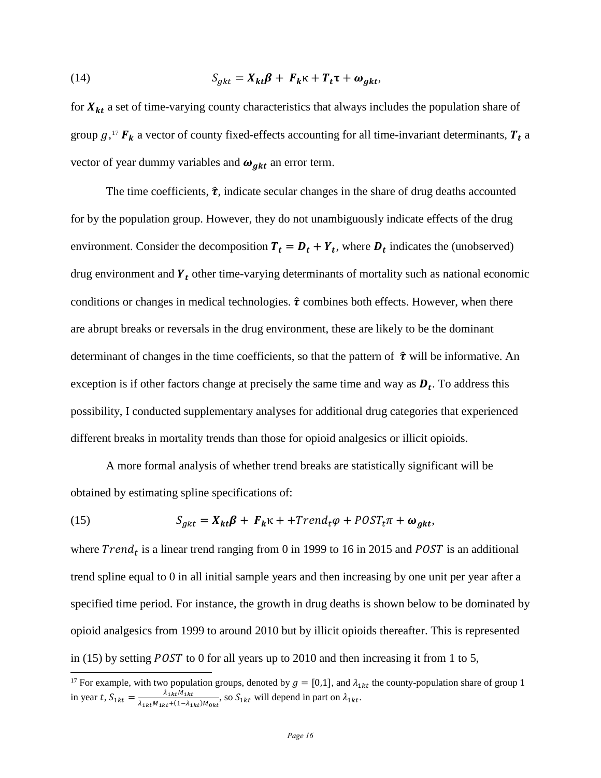(14) 
$$
S_{gkt} = X_{kt}\beta + F_k\kappa + T_t\tau + \omega_{gkt},
$$

for  $X_{kt}$  a set of time-varying county characteristics that always includes the population share of group  $g$ ,<sup>[17](#page-16-0)</sup>  $F_k$  a vector of county fixed-effects accounting for all time-invariant determinants,  $T_t$  a vector of year dummy variables and  $\omega_{gkt}$  an error term.

The time coefficients,  $\hat{\tau}$ , indicate secular changes in the share of drug deaths accounted for by the population group. However, they do not unambiguously indicate effects of the drug environment. Consider the decomposition  $T_t = D_t + Y_t$ , where  $D_t$  indicates the (unobserved) drug environment and  $Y_t$  other time-varying determinants of mortality such as national economic conditions or changes in medical technologies.  $\hat{\tau}$  combines both effects. However, when there are abrupt breaks or reversals in the drug environment, these are likely to be the dominant determinant of changes in the time coefficients, so that the pattern of  $\hat{\tau}$  will be informative. An exception is if other factors change at precisely the same time and way as  $D_t$ . To address this possibility, I conducted supplementary analyses for additional drug categories that experienced different breaks in mortality trends than those for opioid analgesics or illicit opioids.

A more formal analysis of whether trend breaks are statistically significant will be obtained by estimating spline specifications of:

(15) 
$$
S_{gkt} = X_{kt}\beta + F_k\kappa + + Trend_t\varphi + POST_t\pi + \omega_{gkt},
$$

 $\overline{a}$ 

where  $Trend_t$  is a linear trend ranging from 0 in 1999 to 16 in 2015 and POST is an additional trend spline equal to 0 in all initial sample years and then increasing by one unit per year after a specified time period. For instance, the growth in drug deaths is shown below to be dominated by opioid analgesics from 1999 to around 2010 but by illicit opioids thereafter. This is represented in (15) by setting *POST* to 0 for all years up to 2010 and then increasing it from 1 to 5,

<span id="page-16-0"></span><sup>&</sup>lt;sup>17</sup> For example, with two population groups, denoted by  $g = [0,1]$ , and  $\lambda_{1kt}$  the county-population share of group 1 in year t,  $S_{1kt} = \frac{\lambda_{1kt}M_{1kt}}{\lambda_{1kt}M_{1kt} + (1 - \lambda_{1kt})M_{0kt}}$ , so  $S_{1kt}$  will depend in part on  $\lambda_{1kt}$ .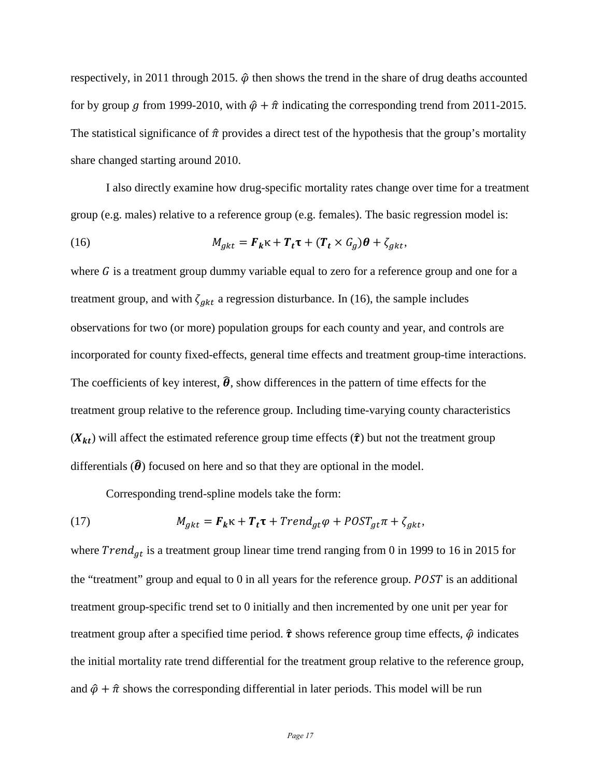respectively, in 2011 through 2015.  $\hat{\varphi}$  then shows the trend in the share of drug deaths accounted for by group g from 1999-2010, with  $\hat{\varphi} + \hat{\pi}$  indicating the corresponding trend from 2011-2015. The statistical significance of  $\hat{\pi}$  provides a direct test of the hypothesis that the group's mortality share changed starting around 2010.

I also directly examine how drug-specific mortality rates change over time for a treatment group (e.g. males) relative to a reference group (e.g. females). The basic regression model is:

(16) 
$$
M_{gkt} = \boldsymbol{F}_k \kappa + \boldsymbol{T}_t \boldsymbol{\tau} + (\boldsymbol{T}_t \times \boldsymbol{G}_g) \boldsymbol{\theta} + \zeta_{gkt},
$$

where  $G$  is a treatment group dummy variable equal to zero for a reference group and one for a treatment group, and with  $\zeta_{gkt}$  a regression disturbance. In (16), the sample includes observations for two (or more) population groups for each county and year, and controls are incorporated for county fixed-effects, general time effects and treatment group-time interactions. The coefficients of key interest,  $\hat{\theta}$ , show differences in the pattern of time effects for the treatment group relative to the reference group. Including time-varying county characteristics  $(X_{kt})$  will affect the estimated reference group time effects  $(\hat{\tau})$  but not the treatment group differentials  $(\hat{\theta})$  focused on here and so that they are optional in the model.

Corresponding trend-spline models take the form:

(17) 
$$
M_{gkt} = \boldsymbol{F}_{k} \boldsymbol{\kappa} + \boldsymbol{T}_{t} \boldsymbol{\tau} + \text{Trend}_{gt} \boldsymbol{\varphi} + \text{POST}_{gt} \boldsymbol{\pi} + \zeta_{gkt},
$$

where  $Trend_{at}$  is a treatment group linear time trend ranging from 0 in 1999 to 16 in 2015 for the "treatment" group and equal to  $0$  in all years for the reference group.  $POST$  is an additional treatment group-specific trend set to 0 initially and then incremented by one unit per year for treatment group after a specified time period.  $\hat{\tau}$  shows reference group time effects,  $\hat{\varphi}$  indicates the initial mortality rate trend differential for the treatment group relative to the reference group, and  $\hat{\varphi} + \hat{\pi}$  shows the corresponding differential in later periods. This model will be run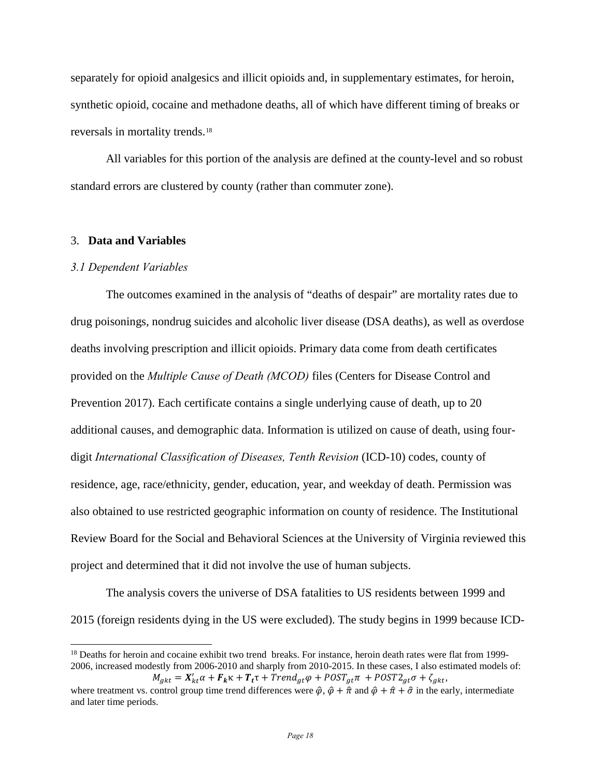separately for opioid analgesics and illicit opioids and, in supplementary estimates, for heroin, synthetic opioid, cocaine and methadone deaths, all of which have different timing of breaks or reversals in mortality trends.[18](#page-18-0)

All variables for this portion of the analysis are defined at the county-level and so robust standard errors are clustered by county (rather than commuter zone).

## 3. **Data and Variables**

#### *3.1 Dependent Variables*

 $\overline{a}$ 

The outcomes examined in the analysis of "deaths of despair" are mortality rates due to drug poisonings, nondrug suicides and alcoholic liver disease (DSA deaths), as well as overdose deaths involving prescription and illicit opioids. Primary data come from death certificates provided on the *Multiple Cause of Death (MCOD)* files (Centers for Disease Control and Prevention 2017). Each certificate contains a single underlying cause of death, up to 20 additional causes, and demographic data. Information is utilized on cause of death, using fourdigit *International Classification of Diseases, Tenth Revision* (ICD-10) codes, county of residence, age, race/ethnicity, gender, education, year, and weekday of death. Permission was also obtained to use restricted geographic information on county of residence. The Institutional Review Board for the Social and Behavioral Sciences at the University of Virginia reviewed this project and determined that it did not involve the use of human subjects.

The analysis covers the universe of DSA fatalities to US residents between 1999 and 2015 (foreign residents dying in the US were excluded). The study begins in 1999 because ICD-

<span id="page-18-0"></span><sup>&</sup>lt;sup>18</sup> Deaths for heroin and cocaine exhibit two trend breaks. For instance, heroin death rates were flat from 1999-2006, increased modestly from 2006-2010 and sharply from 2010-2015. In these cases, I also estimated models of:

 $M_{gkt} = X'_{kt} \alpha + F_k \kappa + T_t \tau + Trend_{gt} \varphi + POST_{gt} \pi + POST2_{gt} \sigma + \zeta_{gkt},$ where treatment vs. control group time trend differences were  $\hat{\varphi}$ ,  $\hat{\varphi} + \hat{\pi}$  and  $\hat{\varphi} + \hat{\pi} + \hat{\sigma}$  in the early, intermediate and later time periods.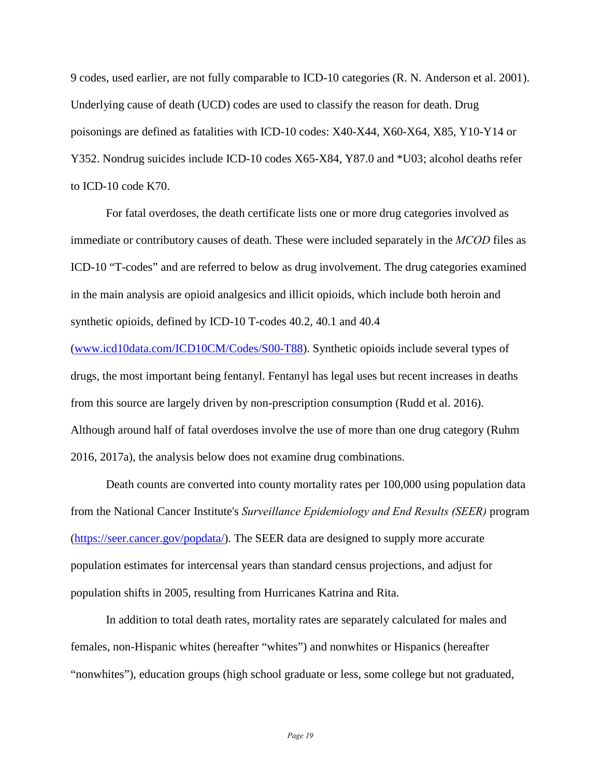9 codes, used earlier, are not fully comparable to ICD-10 categories (R. N. Anderson et al. 2001). Underlying cause of death (UCD) codes are used to classify the reason for death. Drug poisonings are defined as fatalities with ICD-10 codes: X40-X44, X60-X64, X85, Y10-Y14 or Y352. Nondrug suicides include ICD-10 codes X65-X84, Y87.0 and \*U03; alcohol deaths refer to ICD-10 code K70.

For fatal overdoses, the death certificate lists one or more drug categories involved as immediate or contributory causes of death. These were included separately in the *MCOD* files as ICD-10 "T-codes" and are referred to below as drug involvement. The drug categories examined in the main analysis are opioid analgesics and illicit opioids, which include both heroin and synthetic opioids, defined by ICD-10 T-codes 40.2, 40.1 and 40.4

[\(www.icd10data.com/ICD10CM/Codes/S00-T88\)](http://www.icd10data.com/ICD10CM/Codes/S00-T88). Synthetic opioids include several types of drugs, the most important being fentanyl. Fentanyl has legal uses but recent increases in deaths from this source are largely driven by non-prescription consumption (Rudd et al. 2016). Although around half of fatal overdoses involve the use of more than one drug category (Ruhm 2016, 2017a), the analysis below does not examine drug combinations.

Death counts are converted into county mortality rates per 100,000 using population data from the National Cancer Institute's *Surveillance Epidemiology and End Results (SEER)* program [\(https://seer.cancer.gov/popdata/\)](https://seer.cancer.gov/popdata/). The SEER data are designed to supply more accurate population estimates for intercensal years than standard census projections, and adjust for population shifts in 2005, resulting from Hurricanes Katrina and Rita.

In addition to total death rates, mortality rates are separately calculated for males and females, non-Hispanic whites (hereafter "whites") and nonwhites or Hispanics (hereafter "nonwhites"), education groups (high school graduate or less, some college but not graduated,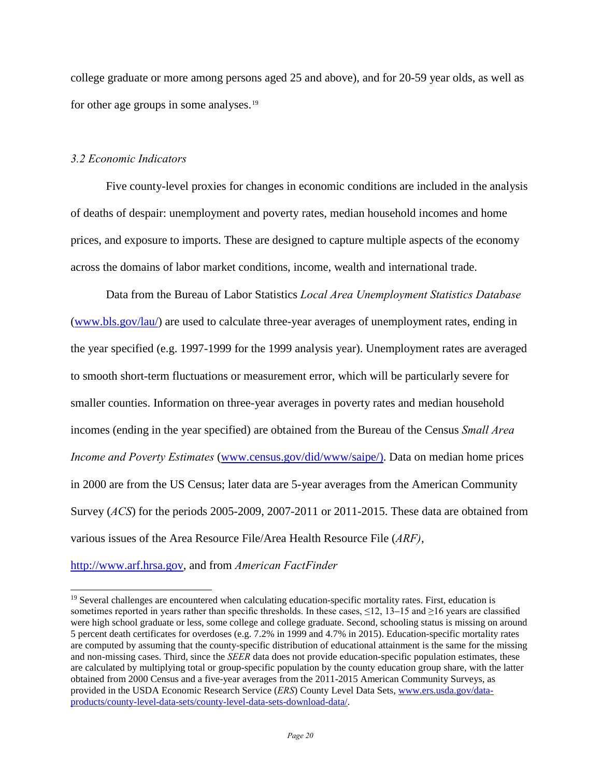college graduate or more among persons aged 25 and above), and for 20-59 year olds, as well as for other age groups in some analyses.[19](#page-20-0)

## *3.2 Economic Indicators*

Five county-level proxies for changes in economic conditions are included in the analysis of deaths of despair: unemployment and poverty rates, median household incomes and home prices, and exposure to imports. These are designed to capture multiple aspects of the economy across the domains of labor market conditions, income, wealth and international trade.

Data from the Bureau of Labor Statistics *Local Area Unemployment Statistics Database* [\(www.bls.gov/lau/\)](http://www.bls.gov/lau/) are used to calculate three-year averages of unemployment rates, ending in the year specified (e.g. 1997-1999 for the 1999 analysis year). Unemployment rates are averaged to smooth short-term fluctuations or measurement error, which will be particularly severe for smaller counties. Information on three-year averages in poverty rates and median household incomes (ending in the year specified) are obtained from the Bureau of the Census *Small Area Income and Poverty Estimates* [\(www.census.gov/did/www/saipe/\).](http://www.census.gov/did/www/saipe/)) Data on median home prices in 2000 are from the US Census; later data are 5-year averages from the American Community Survey (*ACS*) for the periods 2005-2009, 2007-2011 or 2011-2015. These data are obtained from various issues of the Area Resource File/Area Health Resource File (*ARF)*,

[http://www.arf.hrsa.gov,](http://www.arf.hrsa.gov/) and from *American FactFinder*

<span id="page-20-0"></span><sup>&</sup>lt;sup>19</sup> Several challenges are encountered when calculating education-specific mortality rates. First, education is sometimes reported in years rather than specific thresholds. In these cases, ≤12, 13–15 and ≥16 years are classified were high school graduate or less, some college and college graduate. Second, schooling status is missing on around 5 percent death certificates for overdoses (e.g. 7.2% in 1999 and 4.7% in 2015). Education-specific mortality rates are computed by assuming that the county-specific distribution of educational attainment is the same for the missing and non-missing cases. Third, since the *SEER* data does not provide education-specific population estimates, these are calculated by multiplying total or group-specific population by the county education group share, with the latter obtained from 2000 Census and a five-year averages from the 2011-2015 American Community Surveys, as provided in the USDA Economic Research Service (*ERS*) County Level Data Sets, [www.ers.usda.gov/data](http://www.ers.usda.gov/data-products/county-level-data-sets/county-level-data-sets-download-data/)[products/county-level-data-sets/county-level-data-sets-download-data/.](http://www.ers.usda.gov/data-products/county-level-data-sets/county-level-data-sets-download-data/)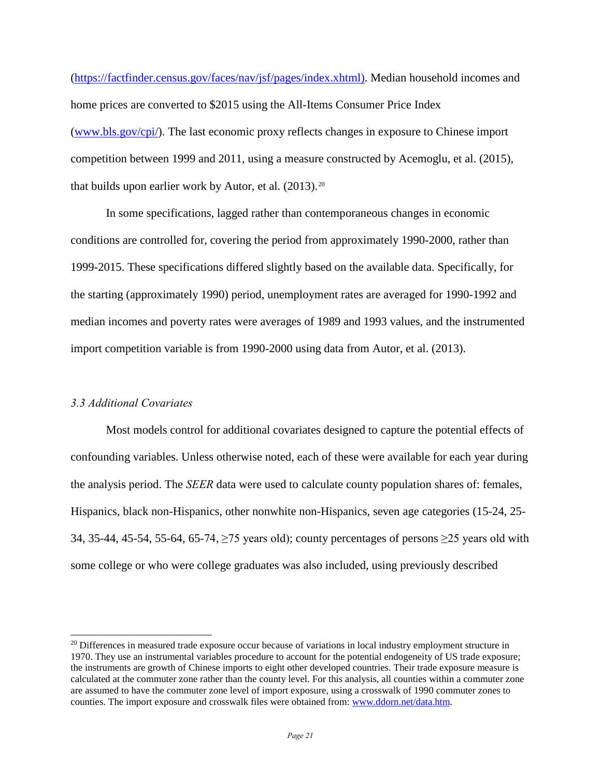[\(https://factfinder.census.gov/faces/nav/jsf/pages/index.xhtml\).](https://factfinder.census.gov/faces/nav/jsf/pages/index.xhtml)) Median household incomes and home prices are converted to \$2015 using the All-Items Consumer Price Index [\(www.bls.gov/cpi/\)](http://www.bls.gov/cpi/). The last economic proxy reflects changes in exposure to Chinese import competition between 1999 and 2011, using a measure constructed by Acemoglu, et al. (2015), that builds upon earlier work by Autor, et al.  $(2013)^{20}$  $(2013)^{20}$  $(2013)^{20}$ 

In some specifications, lagged rather than contemporaneous changes in economic conditions are controlled for, covering the period from approximately 1990-2000, rather than 1999-2015. These specifications differed slightly based on the available data. Specifically, for the starting (approximately 1990) period, unemployment rates are averaged for 1990-1992 and median incomes and poverty rates were averages of 1989 and 1993 values, and the instrumented import competition variable is from 1990-2000 using data from Autor, et al. (2013).

# *3.3 Additional Covariates*

 $\overline{a}$ 

Most models control for additional covariates designed to capture the potential effects of confounding variables. Unless otherwise noted, each of these were available for each year during the analysis period. The *SEER* data were used to calculate county population shares of: females, Hispanics, black non-Hispanics, other nonwhite non-Hispanics, seven age categories (15-24, 25- 34, 35-44, 45-54, 55-64, 65-74, ≥75 years old); county percentages of persons ≥25 years old with some college or who were college graduates was also included, using previously described

<span id="page-21-0"></span><sup>&</sup>lt;sup>20</sup> Differences in measured trade exposure occur because of variations in local industry employment structure in 1970. They use an instrumental variables procedure to account for the potential endogeneity of US trade exposure; the instruments are growth of Chinese imports to eight other developed countries. Their trade exposure measure is calculated at the commuter zone rather than the county level. For this analysis, all counties within a commuter zone are assumed to have the commuter zone level of import exposure, using a crosswalk of 1990 commuter zones to counties. The import exposure and crosswalk files were obtained from: [www.ddorn.net/data.htm.](http://www.ddorn.net/data.htm)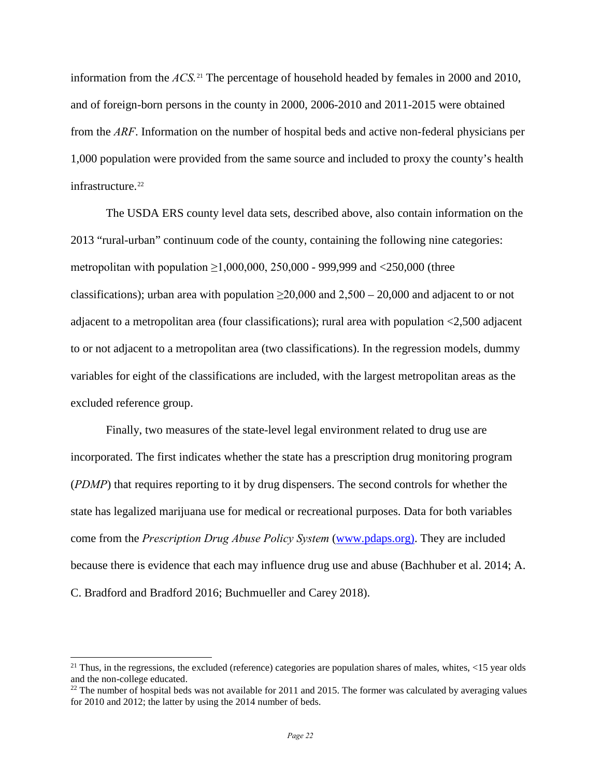information from the *ACS.*[21](#page-22-0) The percentage of household headed by females in 2000 and 2010, and of foreign-born persons in the county in 2000, 2006-2010 and 2011-2015 were obtained from the *ARF*. Information on the number of hospital beds and active non-federal physicians per 1,000 population were provided from the same source and included to proxy the county's health infrastructure.<sup>[22](#page-22-1)</sup>

The USDA ERS county level data sets, described above, also contain information on the 2013 "rural-urban" continuum code of the county, containing the following nine categories: metropolitan with population  $\geq 1,000,000,250,000$  - 999,999 and <250,000 (three classifications); urban area with population  $\geq 20,000$  and  $2,500 - 20,000$  and adjacent to or not adjacent to a metropolitan area (four classifications); rural area with population  $\langle 2,500 \rangle$  adjacent to or not adjacent to a metropolitan area (two classifications). In the regression models, dummy variables for eight of the classifications are included, with the largest metropolitan areas as the excluded reference group.

Finally, two measures of the state-level legal environment related to drug use are incorporated. The first indicates whether the state has a prescription drug monitoring program (*PDMP*) that requires reporting to it by drug dispensers. The second controls for whether the state has legalized marijuana use for medical or recreational purposes. Data for both variables come from the *Prescription Drug Abuse Policy System* [\(www.pdaps.org\).](http://www.pdaps.org)/) They are included because there is evidence that each may influence drug use and abuse (Bachhuber et al. 2014; A. C. Bradford and Bradford 2016; Buchmueller and Carey 2018).

<span id="page-22-0"></span><sup>&</sup>lt;sup>21</sup> Thus, in the regressions, the excluded (reference) categories are population shares of males, whites,  $\langle 15 \rangle$  year olds and the non-college educated.

<span id="page-22-1"></span> $^{22}$  The number of hospital beds was not available for 2011 and 2015. The former was calculated by averaging values for 2010 and 2012; the latter by using the 2014 number of beds.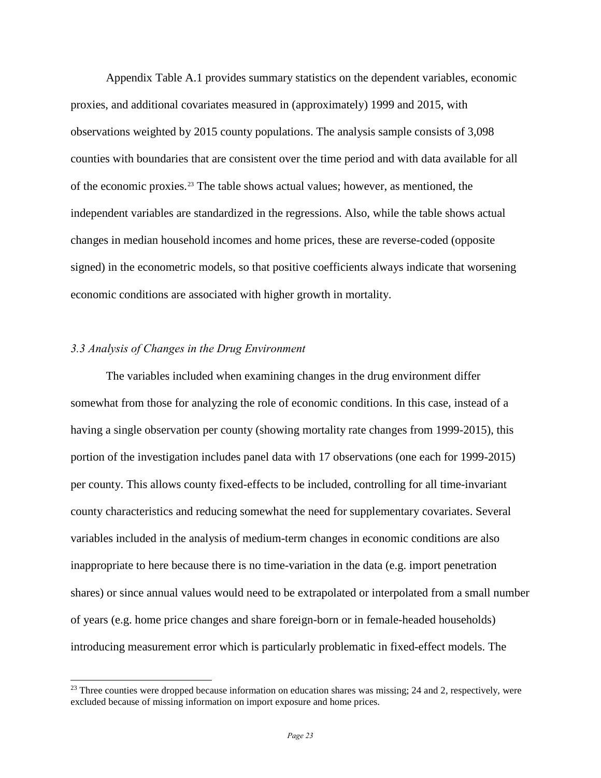Appendix Table A.1 provides summary statistics on the dependent variables, economic proxies, and additional covariates measured in (approximately) 1999 and 2015, with observations weighted by 2015 county populations. The analysis sample consists of 3,098 counties with boundaries that are consistent over the time period and with data available for all of the economic proxies. $2<sup>3</sup>$  The table shows actual values; however, as mentioned, the independent variables are standardized in the regressions. Also, while the table shows actual changes in median household incomes and home prices, these are reverse-coded (opposite signed) in the econometric models, so that positive coefficients always indicate that worsening economic conditions are associated with higher growth in mortality.

# *3.3 Analysis of Changes in the Drug Environment*

 $\overline{a}$ 

The variables included when examining changes in the drug environment differ somewhat from those for analyzing the role of economic conditions. In this case, instead of a having a single observation per county (showing mortality rate changes from 1999-2015), this portion of the investigation includes panel data with 17 observations (one each for 1999-2015) per county. This allows county fixed-effects to be included, controlling for all time-invariant county characteristics and reducing somewhat the need for supplementary covariates. Several variables included in the analysis of medium-term changes in economic conditions are also inappropriate to here because there is no time-variation in the data (e.g. import penetration shares) or since annual values would need to be extrapolated or interpolated from a small number of years (e.g. home price changes and share foreign-born or in female-headed households) introducing measurement error which is particularly problematic in fixed-effect models. The

<span id="page-23-0"></span> $^{23}$  Three counties were dropped because information on education shares was missing; 24 and 2, respectively, were excluded because of missing information on import exposure and home prices.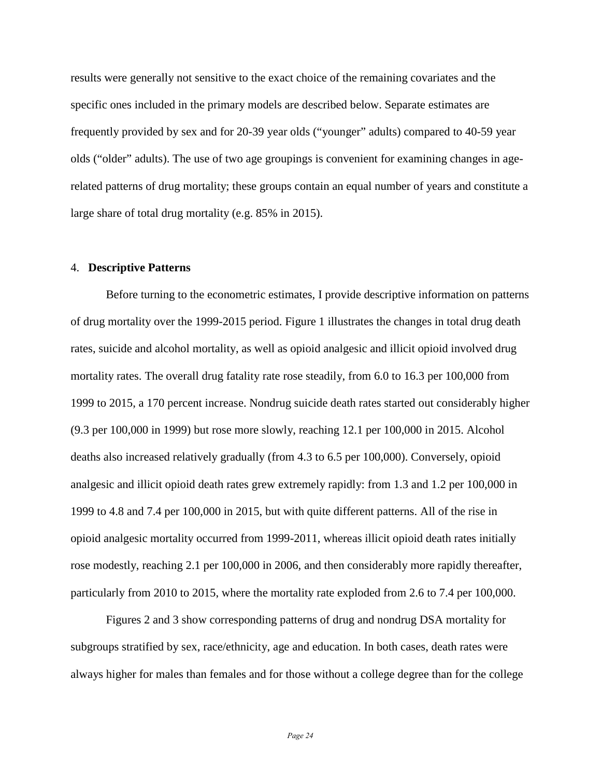results were generally not sensitive to the exact choice of the remaining covariates and the specific ones included in the primary models are described below. Separate estimates are frequently provided by sex and for 20-39 year olds ("younger" adults) compared to 40-59 year olds ("older" adults). The use of two age groupings is convenient for examining changes in agerelated patterns of drug mortality; these groups contain an equal number of years and constitute a large share of total drug mortality (e.g. 85% in 2015).

#### 4. **Descriptive Patterns**

Before turning to the econometric estimates, I provide descriptive information on patterns of drug mortality over the 1999-2015 period. Figure 1 illustrates the changes in total drug death rates, suicide and alcohol mortality, as well as opioid analgesic and illicit opioid involved drug mortality rates. The overall drug fatality rate rose steadily, from 6.0 to 16.3 per 100,000 from 1999 to 2015, a 170 percent increase. Nondrug suicide death rates started out considerably higher (9.3 per 100,000 in 1999) but rose more slowly, reaching 12.1 per 100,000 in 2015. Alcohol deaths also increased relatively gradually (from 4.3 to 6.5 per 100,000). Conversely, opioid analgesic and illicit opioid death rates grew extremely rapidly: from 1.3 and 1.2 per 100,000 in 1999 to 4.8 and 7.4 per 100,000 in 2015, but with quite different patterns. All of the rise in opioid analgesic mortality occurred from 1999-2011, whereas illicit opioid death rates initially rose modestly, reaching 2.1 per 100,000 in 2006, and then considerably more rapidly thereafter, particularly from 2010 to 2015, where the mortality rate exploded from 2.6 to 7.4 per 100,000.

Figures 2 and 3 show corresponding patterns of drug and nondrug DSA mortality for subgroups stratified by sex, race/ethnicity, age and education. In both cases, death rates were always higher for males than females and for those without a college degree than for the college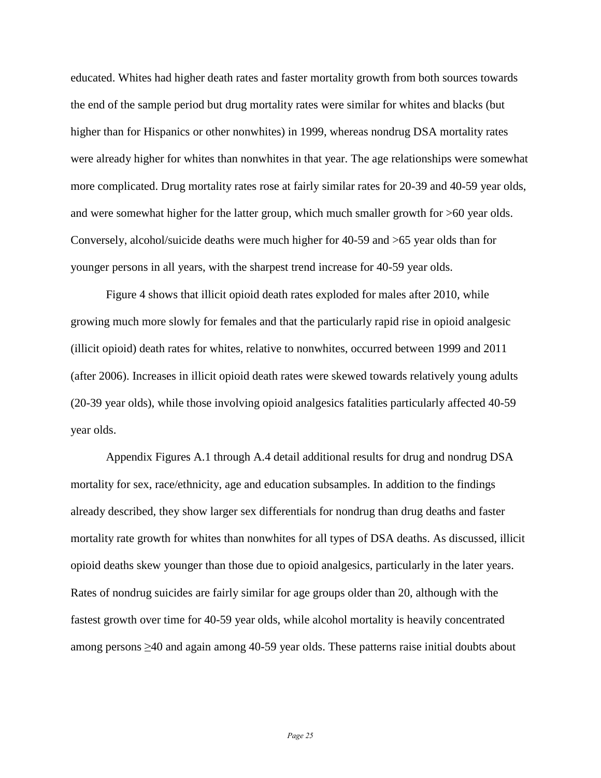educated. Whites had higher death rates and faster mortality growth from both sources towards the end of the sample period but drug mortality rates were similar for whites and blacks (but higher than for Hispanics or other nonwhites) in 1999, whereas nondrug DSA mortality rates were already higher for whites than nonwhites in that year. The age relationships were somewhat more complicated. Drug mortality rates rose at fairly similar rates for 20-39 and 40-59 year olds, and were somewhat higher for the latter group, which much smaller growth for >60 year olds. Conversely, alcohol/suicide deaths were much higher for 40-59 and >65 year olds than for younger persons in all years, with the sharpest trend increase for 40-59 year olds.

Figure 4 shows that illicit opioid death rates exploded for males after 2010, while growing much more slowly for females and that the particularly rapid rise in opioid analgesic (illicit opioid) death rates for whites, relative to nonwhites, occurred between 1999 and 2011 (after 2006). Increases in illicit opioid death rates were skewed towards relatively young adults (20-39 year olds), while those involving opioid analgesics fatalities particularly affected 40-59 year olds.

Appendix Figures A.1 through A.4 detail additional results for drug and nondrug DSA mortality for sex, race/ethnicity, age and education subsamples. In addition to the findings already described, they show larger sex differentials for nondrug than drug deaths and faster mortality rate growth for whites than nonwhites for all types of DSA deaths. As discussed, illicit opioid deaths skew younger than those due to opioid analgesics, particularly in the later years. Rates of nondrug suicides are fairly similar for age groups older than 20, although with the fastest growth over time for 40-59 year olds, while alcohol mortality is heavily concentrated among persons ≥40 and again among 40-59 year olds. These patterns raise initial doubts about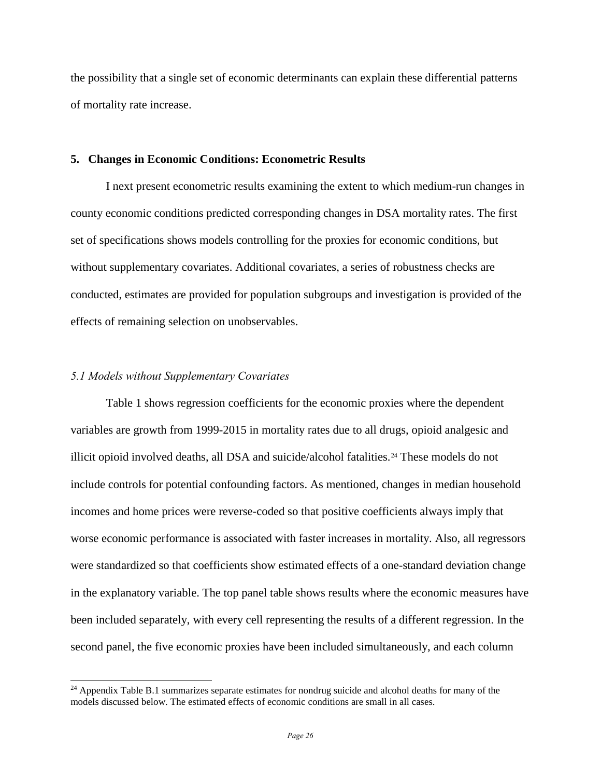the possibility that a single set of economic determinants can explain these differential patterns of mortality rate increase.

## **5. Changes in Economic Conditions: Econometric Results**

I next present econometric results examining the extent to which medium-run changes in county economic conditions predicted corresponding changes in DSA mortality rates. The first set of specifications shows models controlling for the proxies for economic conditions, but without supplementary covariates. Additional covariates, a series of robustness checks are conducted, estimates are provided for population subgroups and investigation is provided of the effects of remaining selection on unobservables.

#### *5.1 Models without Supplementary Covariates*

 $\overline{a}$ 

Table 1 shows regression coefficients for the economic proxies where the dependent variables are growth from 1999-2015 in mortality rates due to all drugs, opioid analgesic and illicit opioid involved deaths, all DSA and suicide/alcohol fatalities.<sup>[24](#page-26-0)</sup> These models do not include controls for potential confounding factors. As mentioned, changes in median household incomes and home prices were reverse-coded so that positive coefficients always imply that worse economic performance is associated with faster increases in mortality. Also, all regressors were standardized so that coefficients show estimated effects of a one-standard deviation change in the explanatory variable. The top panel table shows results where the economic measures have been included separately, with every cell representing the results of a different regression. In the second panel, the five economic proxies have been included simultaneously, and each column

<span id="page-26-0"></span> $^{24}$  Appendix Table B.1 summarizes separate estimates for nondrug suicide and alcohol deaths for many of the models discussed below. The estimated effects of economic conditions are small in all cases.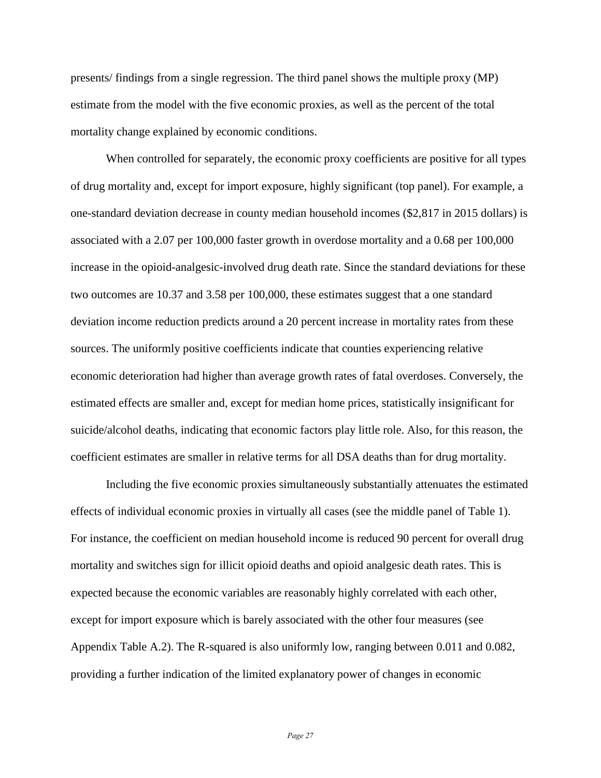presents/ findings from a single regression. The third panel shows the multiple proxy (MP) estimate from the model with the five economic proxies, as well as the percent of the total mortality change explained by economic conditions.

When controlled for separately, the economic proxy coefficients are positive for all types of drug mortality and, except for import exposure, highly significant (top panel). For example, a one-standard deviation decrease in county median household incomes (\$2,817 in 2015 dollars) is associated with a 2.07 per 100,000 faster growth in overdose mortality and a 0.68 per 100,000 increase in the opioid-analgesic-involved drug death rate. Since the standard deviations for these two outcomes are 10.37 and 3.58 per 100,000, these estimates suggest that a one standard deviation income reduction predicts around a 20 percent increase in mortality rates from these sources. The uniformly positive coefficients indicate that counties experiencing relative economic deterioration had higher than average growth rates of fatal overdoses. Conversely, the estimated effects are smaller and, except for median home prices, statistically insignificant for suicide/alcohol deaths, indicating that economic factors play little role. Also, for this reason, the coefficient estimates are smaller in relative terms for all DSA deaths than for drug mortality.

Including the five economic proxies simultaneously substantially attenuates the estimated effects of individual economic proxies in virtually all cases (see the middle panel of Table 1). For instance, the coefficient on median household income is reduced 90 percent for overall drug mortality and switches sign for illicit opioid deaths and opioid analgesic death rates. This is expected because the economic variables are reasonably highly correlated with each other, except for import exposure which is barely associated with the other four measures (see Appendix Table A.2). The R-squared is also uniformly low, ranging between 0.011 and 0.082, providing a further indication of the limited explanatory power of changes in economic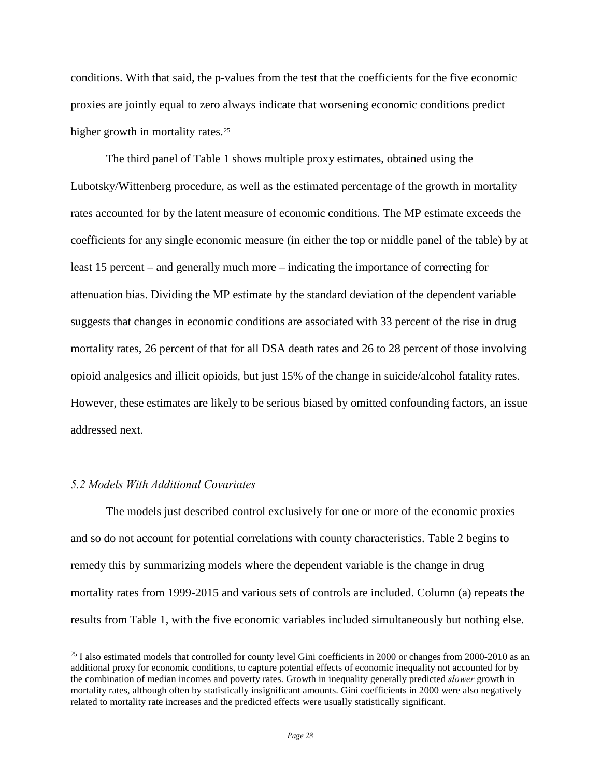conditions. With that said, the p-values from the test that the coefficients for the five economic proxies are jointly equal to zero always indicate that worsening economic conditions predict higher growth in mortality rates.<sup>[25](#page-28-0)</sup>

The third panel of Table 1 shows multiple proxy estimates, obtained using the Lubotsky/Wittenberg procedure, as well as the estimated percentage of the growth in mortality rates accounted for by the latent measure of economic conditions. The MP estimate exceeds the coefficients for any single economic measure (in either the top or middle panel of the table) by at least 15 percent – and generally much more – indicating the importance of correcting for attenuation bias. Dividing the MP estimate by the standard deviation of the dependent variable suggests that changes in economic conditions are associated with 33 percent of the rise in drug mortality rates, 26 percent of that for all DSA death rates and 26 to 28 percent of those involving opioid analgesics and illicit opioids, but just 15% of the change in suicide/alcohol fatality rates. However, these estimates are likely to be serious biased by omitted confounding factors, an issue addressed next.

## *5.2 Models With Additional Covariates*

 $\overline{a}$ 

The models just described control exclusively for one or more of the economic proxies and so do not account for potential correlations with county characteristics. Table 2 begins to remedy this by summarizing models where the dependent variable is the change in drug mortality rates from 1999-2015 and various sets of controls are included. Column (a) repeats the results from Table 1, with the five economic variables included simultaneously but nothing else.

<span id="page-28-0"></span><sup>&</sup>lt;sup>25</sup> I also estimated models that controlled for county level Gini coefficients in 2000 or changes from 2000-2010 as an additional proxy for economic conditions, to capture potential effects of economic inequality not accounted for by the combination of median incomes and poverty rates. Growth in inequality generally predicted *slower* growth in mortality rates, although often by statistically insignificant amounts. Gini coefficients in 2000 were also negatively related to mortality rate increases and the predicted effects were usually statistically significant.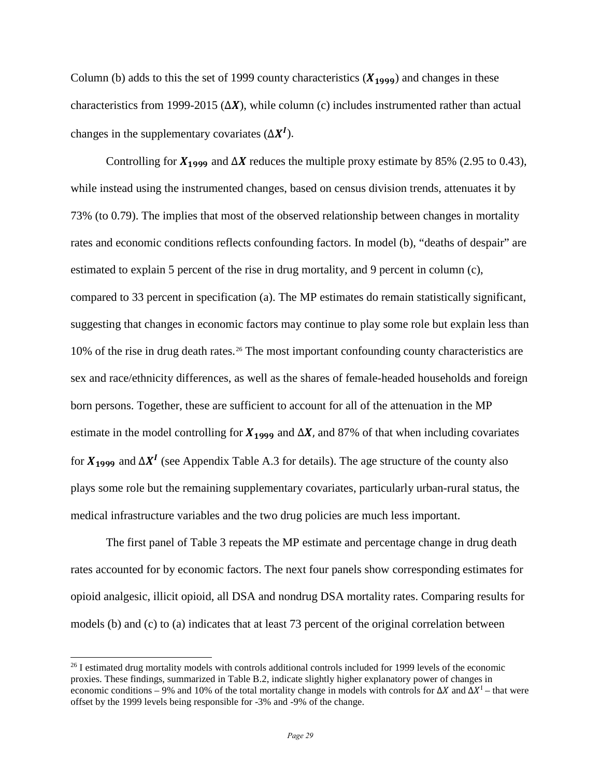Column (b) adds to this the set of 1999 county characteristics  $(X_{1999})$  and changes in these characteristics from 1999-2015  $(\Delta X)$ , while column (c) includes instrumented rather than actual changes in the supplementary covariates  $(\Delta X^I)$ .

Controlling for  $X_{1999}$  and  $\Delta X$  reduces the multiple proxy estimate by 85% (2.95 to 0.43), while instead using the instrumented changes, based on census division trends, attenuates it by 73% (to 0.79). The implies that most of the observed relationship between changes in mortality rates and economic conditions reflects confounding factors. In model (b), "deaths of despair" are estimated to explain 5 percent of the rise in drug mortality, and 9 percent in column (c), compared to 33 percent in specification (a). The MP estimates do remain statistically significant, suggesting that changes in economic factors may continue to play some role but explain less than 10% of the rise in drug death rates.[26](#page-29-0) The most important confounding county characteristics are sex and race/ethnicity differences, as well as the shares of female-headed households and foreign born persons. Together, these are sufficient to account for all of the attenuation in the MP estimate in the model controlling for  $X_{1999}$  and  $\Delta X$ , and 87% of that when including covariates for  $X_{1999}$  and  $\Delta X^I$  (see Appendix Table A.3 for details). The age structure of the county also plays some role but the remaining supplementary covariates, particularly urban-rural status, the medical infrastructure variables and the two drug policies are much less important.

The first panel of Table 3 repeats the MP estimate and percentage change in drug death rates accounted for by economic factors. The next four panels show corresponding estimates for opioid analgesic, illicit opioid, all DSA and nondrug DSA mortality rates. Comparing results for models (b) and (c) to (a) indicates that at least 73 percent of the original correlation between

<span id="page-29-0"></span><sup>&</sup>lt;sup>26</sup> I estimated drug mortality models with controls additional controls included for 1999 levels of the economic proxies. These findings, summarized in Table B.2, indicate slightly higher explanatory power of changes in economic conditions – 9% and 10% of the total mortality change in models with controls for  $\Delta X$  and  $\Delta X^{\text{I}}$  – that were offset by the 1999 levels being responsible for -3% and -9% of the change.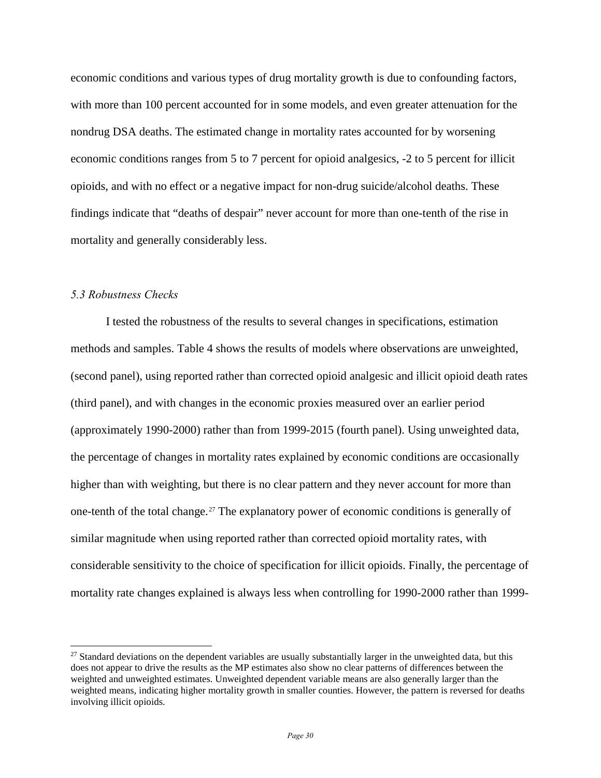economic conditions and various types of drug mortality growth is due to confounding factors, with more than 100 percent accounted for in some models, and even greater attenuation for the nondrug DSA deaths. The estimated change in mortality rates accounted for by worsening economic conditions ranges from 5 to 7 percent for opioid analgesics, -2 to 5 percent for illicit opioids, and with no effect or a negative impact for non-drug suicide/alcohol deaths. These findings indicate that "deaths of despair" never account for more than one-tenth of the rise in mortality and generally considerably less.

## *5.3 Robustness Checks*

 $\overline{a}$ 

I tested the robustness of the results to several changes in specifications, estimation methods and samples. Table 4 shows the results of models where observations are unweighted, (second panel), using reported rather than corrected opioid analgesic and illicit opioid death rates (third panel), and with changes in the economic proxies measured over an earlier period (approximately 1990-2000) rather than from 1999-2015 (fourth panel). Using unweighted data, the percentage of changes in mortality rates explained by economic conditions are occasionally higher than with weighting, but there is no clear pattern and they never account for more than one-tenth of the total change.<sup>[27](#page-30-0)</sup> The explanatory power of economic conditions is generally of similar magnitude when using reported rather than corrected opioid mortality rates, with considerable sensitivity to the choice of specification for illicit opioids. Finally, the percentage of mortality rate changes explained is always less when controlling for 1990-2000 rather than 1999-

<span id="page-30-0"></span> $27$  Standard deviations on the dependent variables are usually substantially larger in the unweighted data, but this does not appear to drive the results as the MP estimates also show no clear patterns of differences between the weighted and unweighted estimates. Unweighted dependent variable means are also generally larger than the weighted means, indicating higher mortality growth in smaller counties. However, the pattern is reversed for deaths involving illicit opioids.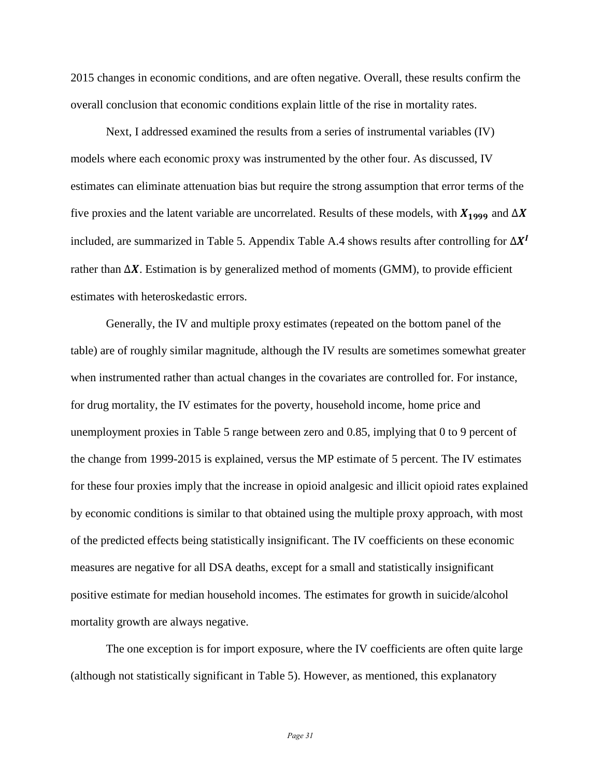2015 changes in economic conditions, and are often negative. Overall, these results confirm the overall conclusion that economic conditions explain little of the rise in mortality rates.

Next, I addressed examined the results from a series of instrumental variables (IV) models where each economic proxy was instrumented by the other four. As discussed, IV estimates can eliminate attenuation bias but require the strong assumption that error terms of the five proxies and the latent variable are uncorrelated. Results of these models, with  $X_{1999}$  and  $\Delta X$ included, are summarized in Table 5. Appendix Table A.4 shows results after controlling for  $\Delta X^I$ rather than  $\Delta X$ . Estimation is by generalized method of moments (GMM), to provide efficient estimates with heteroskedastic errors.

Generally, the IV and multiple proxy estimates (repeated on the bottom panel of the table) are of roughly similar magnitude, although the IV results are sometimes somewhat greater when instrumented rather than actual changes in the covariates are controlled for. For instance, for drug mortality, the IV estimates for the poverty, household income, home price and unemployment proxies in Table 5 range between zero and 0.85, implying that 0 to 9 percent of the change from 1999-2015 is explained, versus the MP estimate of 5 percent. The IV estimates for these four proxies imply that the increase in opioid analgesic and illicit opioid rates explained by economic conditions is similar to that obtained using the multiple proxy approach, with most of the predicted effects being statistically insignificant. The IV coefficients on these economic measures are negative for all DSA deaths, except for a small and statistically insignificant positive estimate for median household incomes. The estimates for growth in suicide/alcohol mortality growth are always negative.

The one exception is for import exposure, where the IV coefficients are often quite large (although not statistically significant in Table 5). However, as mentioned, this explanatory

*Page 31*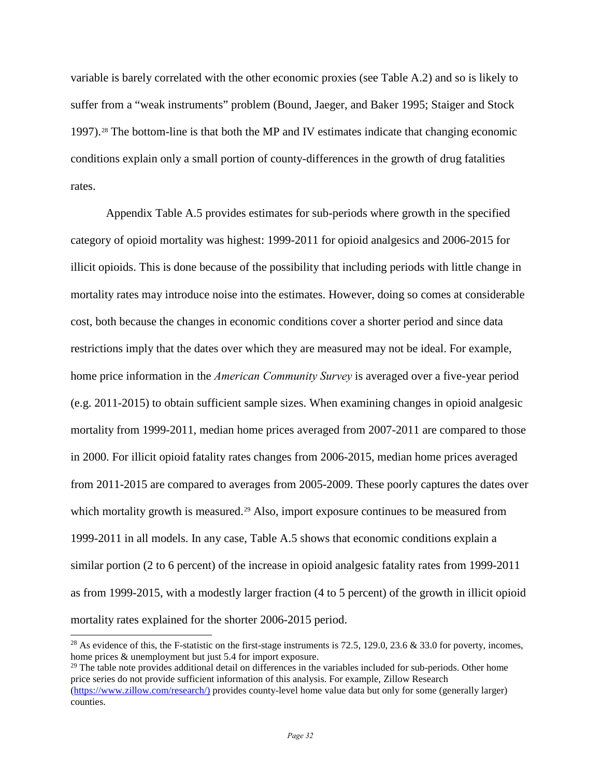variable is barely correlated with the other economic proxies (see Table A.2) and so is likely to suffer from a "weak instruments" problem (Bound, Jaeger, and Baker 1995; Staiger and Stock 1997).[28](#page-32-0) The bottom-line is that both the MP and IV estimates indicate that changing economic conditions explain only a small portion of county-differences in the growth of drug fatalities rates.

Appendix Table A.5 provides estimates for sub-periods where growth in the specified category of opioid mortality was highest: 1999-2011 for opioid analgesics and 2006-2015 for illicit opioids. This is done because of the possibility that including periods with little change in mortality rates may introduce noise into the estimates. However, doing so comes at considerable cost, both because the changes in economic conditions cover a shorter period and since data restrictions imply that the dates over which they are measured may not be ideal. For example, home price information in the *American Community Survey* is averaged over a five-year period (e.g. 2011-2015) to obtain sufficient sample sizes. When examining changes in opioid analgesic mortality from 1999-2011, median home prices averaged from 2007-2011 are compared to those in 2000. For illicit opioid fatality rates changes from 2006-2015, median home prices averaged from 2011-2015 are compared to averages from 2005-2009. These poorly captures the dates over which mortality growth is measured.<sup>[29](#page-32-1)</sup> Also, import exposure continues to be measured from 1999-2011 in all models. In any case, Table A.5 shows that economic conditions explain a similar portion (2 to 6 percent) of the increase in opioid analgesic fatality rates from 1999-2011 as from 1999-2015, with a modestly larger fraction (4 to 5 percent) of the growth in illicit opioid mortality rates explained for the shorter 2006-2015 period.

<span id="page-32-1"></span> $29$  The table note provides additional detail on differences in the variables included for sub-periods. Other home price series do not provide sufficient information of this analysis. For example, Zillow Research [\(https://www.zillow.com/research/\)](https://www.zillow.com/research/)) provides county-level home value data but only for some (generally larger) counties.

<span id="page-32-0"></span><sup>&</sup>lt;sup>28</sup> As evidence of this, the F-statistic on the first-stage instruments is 72.5, 129.0, 23.6  $\&$  33.0 for poverty, incomes, home prices & unemployment but just 5.4 for import exposure.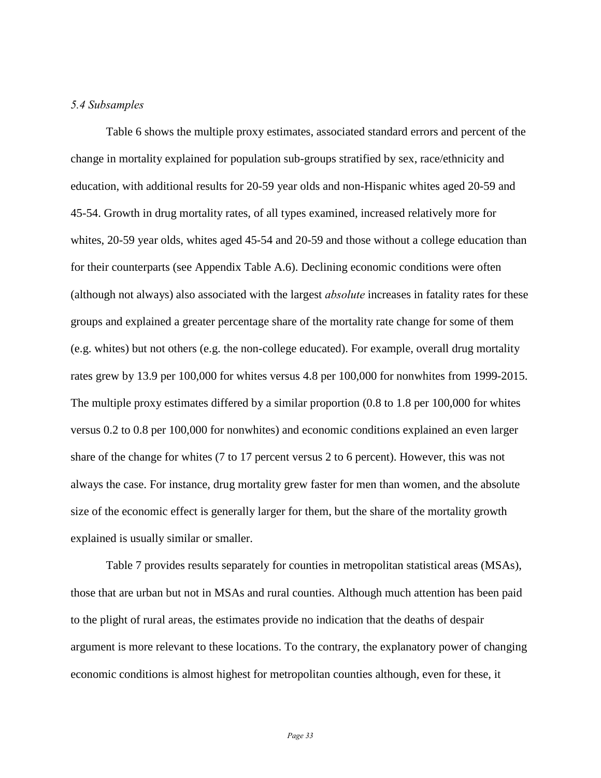## *5.4 Subsamples*

Table 6 shows the multiple proxy estimates, associated standard errors and percent of the change in mortality explained for population sub-groups stratified by sex, race/ethnicity and education, with additional results for 20-59 year olds and non-Hispanic whites aged 20-59 and 45-54. Growth in drug mortality rates, of all types examined, increased relatively more for whites, 20-59 year olds, whites aged 45-54 and 20-59 and those without a college education than for their counterparts (see Appendix Table A.6). Declining economic conditions were often (although not always) also associated with the largest *absolute* increases in fatality rates for these groups and explained a greater percentage share of the mortality rate change for some of them (e.g. whites) but not others (e.g. the non-college educated). For example, overall drug mortality rates grew by 13.9 per 100,000 for whites versus 4.8 per 100,000 for nonwhites from 1999-2015. The multiple proxy estimates differed by a similar proportion (0.8 to 1.8 per 100,000 for whites versus 0.2 to 0.8 per 100,000 for nonwhites) and economic conditions explained an even larger share of the change for whites (7 to 17 percent versus 2 to 6 percent). However, this was not always the case. For instance, drug mortality grew faster for men than women, and the absolute size of the economic effect is generally larger for them, but the share of the mortality growth explained is usually similar or smaller.

Table 7 provides results separately for counties in metropolitan statistical areas (MSAs), those that are urban but not in MSAs and rural counties. Although much attention has been paid to the plight of rural areas, the estimates provide no indication that the deaths of despair argument is more relevant to these locations. To the contrary, the explanatory power of changing economic conditions is almost highest for metropolitan counties although, even for these, it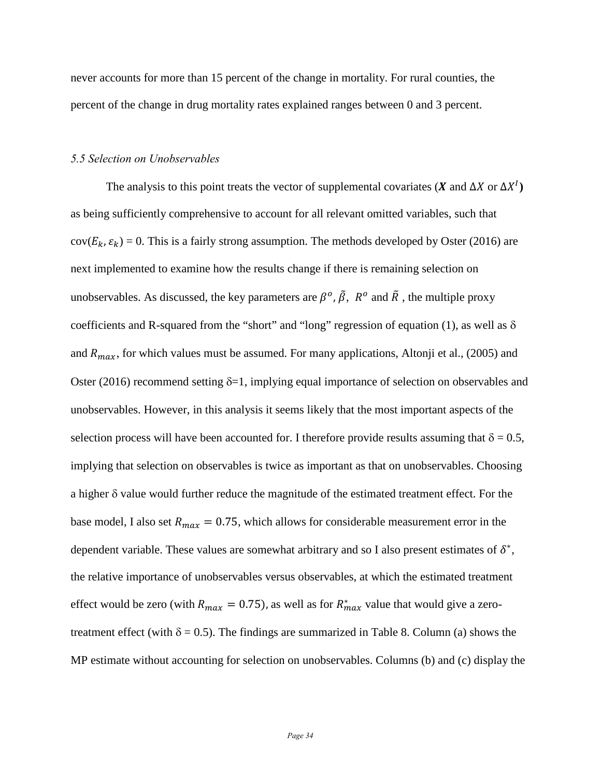never accounts for more than 15 percent of the change in mortality. For rural counties, the percent of the change in drug mortality rates explained ranges between 0 and 3 percent.

## *5.5 Selection on Unobservables*

The analysis to this point treats the vector of supplemental covariates ( $\boldsymbol{X}$  and  $\Delta \boldsymbol{X}$  or  $\Delta \boldsymbol{X}^{T}$ ) as being sufficiently comprehensive to account for all relevant omitted variables, such that  $cov(E_k, \varepsilon_k) = 0$ . This is a fairly strong assumption. The methods developed by Oster (2016) are next implemented to examine how the results change if there is remaining selection on unobservables. As discussed, the key parameters are  $\beta^o$ ,  $\tilde{\beta}$ ,  $R^o$  and  $\tilde{R}$ , the multiple proxy coefficients and R-squared from the "short" and "long" regression of equation (1), as well as  $\delta$ and  $R_{max}$ , for which values must be assumed. For many applications, Altonji et al., (2005) and Oster (2016) recommend setting  $\delta = 1$ , implying equal importance of selection on observables and unobservables. However, in this analysis it seems likely that the most important aspects of the selection process will have been accounted for. I therefore provide results assuming that  $\delta = 0.5$ , implying that selection on observables is twice as important as that on unobservables. Choosing a higher δ value would further reduce the magnitude of the estimated treatment effect. For the base model, I also set  $R_{max} = 0.75$ , which allows for considerable measurement error in the dependent variable. These values are somewhat arbitrary and so I also present estimates of  $\delta^*$ , the relative importance of unobservables versus observables, at which the estimated treatment effect would be zero (with  $R_{max} = 0.75$ ), as well as for  $R_{max}^*$  value that would give a zerotreatment effect (with  $\delta = 0.5$ ). The findings are summarized in Table 8. Column (a) shows the MP estimate without accounting for selection on unobservables. Columns (b) and (c) display the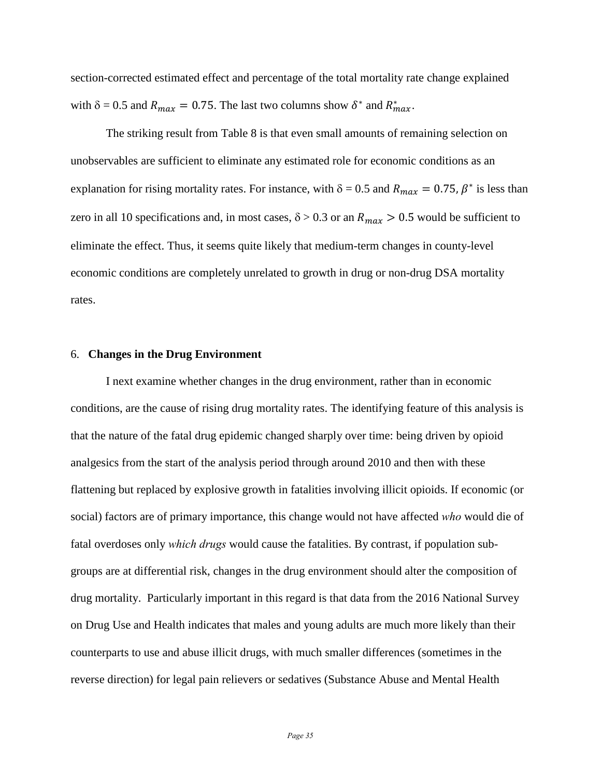section-corrected estimated effect and percentage of the total mortality rate change explained with  $\delta = 0.5$  and  $R_{max} = 0.75$ . The last two columns show  $\delta^*$  and  $R^*_{max}$ .

The striking result from Table 8 is that even small amounts of remaining selection on unobservables are sufficient to eliminate any estimated role for economic conditions as an explanation for rising mortality rates. For instance, with  $\delta = 0.5$  and  $R_{max} = 0.75$ ,  $\beta^*$  is less than zero in all 10 specifications and, in most cases,  $\delta > 0.3$  or an  $R_{max} > 0.5$  would be sufficient to eliminate the effect. Thus, it seems quite likely that medium-term changes in county-level economic conditions are completely unrelated to growth in drug or non-drug DSA mortality rates.

## 6. **Changes in the Drug Environment**

I next examine whether changes in the drug environment, rather than in economic conditions, are the cause of rising drug mortality rates. The identifying feature of this analysis is that the nature of the fatal drug epidemic changed sharply over time: being driven by opioid analgesics from the start of the analysis period through around 2010 and then with these flattening but replaced by explosive growth in fatalities involving illicit opioids. If economic (or social) factors are of primary importance, this change would not have affected *who* would die of fatal overdoses only *which drugs* would cause the fatalities. By contrast, if population subgroups are at differential risk, changes in the drug environment should alter the composition of drug mortality. Particularly important in this regard is that data from the 2016 National Survey on Drug Use and Health indicates that males and young adults are much more likely than their counterparts to use and abuse illicit drugs, with much smaller differences (sometimes in the reverse direction) for legal pain relievers or sedatives (Substance Abuse and Mental Health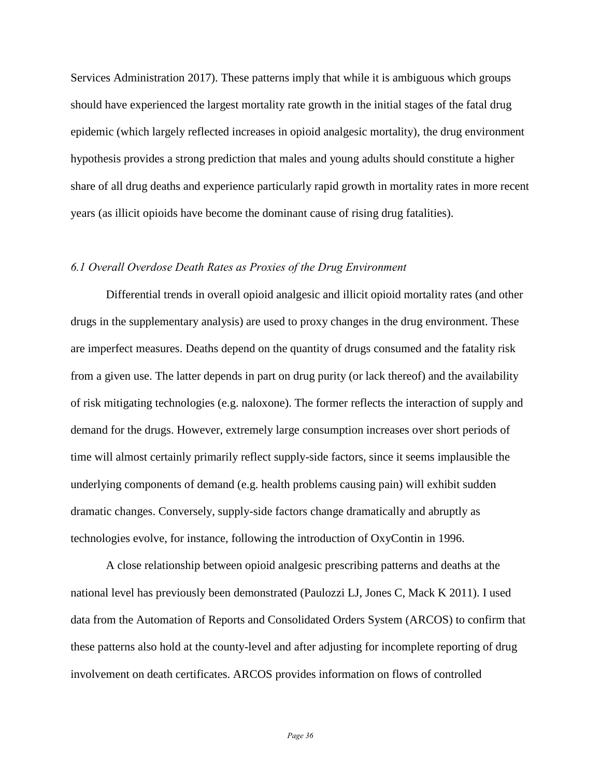Services Administration 2017). These patterns imply that while it is ambiguous which groups should have experienced the largest mortality rate growth in the initial stages of the fatal drug epidemic (which largely reflected increases in opioid analgesic mortality), the drug environment hypothesis provides a strong prediction that males and young adults should constitute a higher share of all drug deaths and experience particularly rapid growth in mortality rates in more recent years (as illicit opioids have become the dominant cause of rising drug fatalities).

## *6.1 Overall Overdose Death Rates as Proxies of the Drug Environment*

Differential trends in overall opioid analgesic and illicit opioid mortality rates (and other drugs in the supplementary analysis) are used to proxy changes in the drug environment. These are imperfect measures. Deaths depend on the quantity of drugs consumed and the fatality risk from a given use. The latter depends in part on drug purity (or lack thereof) and the availability of risk mitigating technologies (e.g. naloxone). The former reflects the interaction of supply and demand for the drugs. However, extremely large consumption increases over short periods of time will almost certainly primarily reflect supply-side factors, since it seems implausible the underlying components of demand (e.g. health problems causing pain) will exhibit sudden dramatic changes. Conversely, supply-side factors change dramatically and abruptly as technologies evolve, for instance, following the introduction of OxyContin in 1996.

A close relationship between opioid analgesic prescribing patterns and deaths at the national level has previously been demonstrated (Paulozzi LJ, Jones C, Mack K 2011). I used data from the Automation of Reports and Consolidated Orders System (ARCOS) to confirm that these patterns also hold at the county-level and after adjusting for incomplete reporting of drug involvement on death certificates. ARCOS provides information on flows of controlled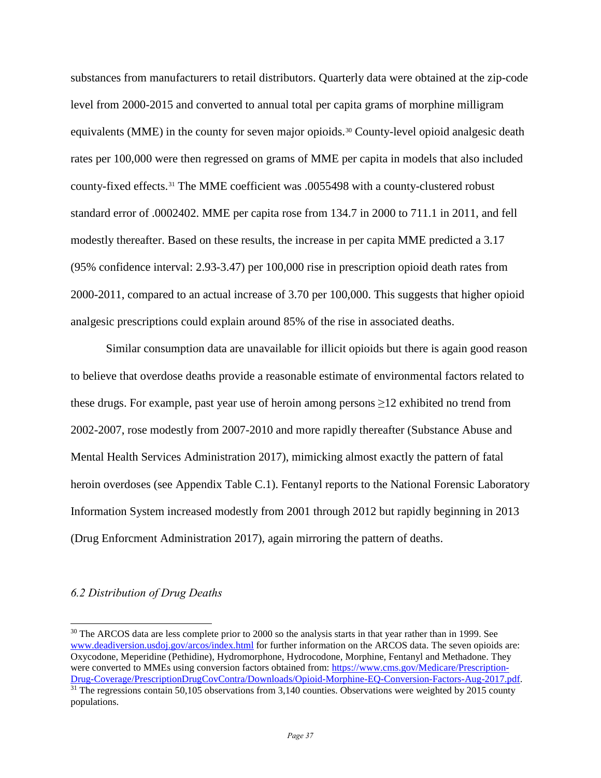substances from manufacturers to retail distributors. Quarterly data were obtained at the zip-code level from 2000-2015 and converted to annual total per capita grams of morphine milligram equivalents (MME) in the county for seven major opioids.[30](#page-37-0) County-level opioid analgesic death rates per 100,000 were then regressed on grams of MME per capita in models that also included county-fixed effects.[31](#page-37-1) The MME coefficient was .0055498 with a county-clustered robust standard error of .0002402. MME per capita rose from 134.7 in 2000 to 711.1 in 2011, and fell modestly thereafter. Based on these results, the increase in per capita MME predicted a 3.17 (95% confidence interval: 2.93-3.47) per 100,000 rise in prescription opioid death rates from 2000-2011, compared to an actual increase of 3.70 per 100,000. This suggests that higher opioid analgesic prescriptions could explain around 85% of the rise in associated deaths.

Similar consumption data are unavailable for illicit opioids but there is again good reason to believe that overdose deaths provide a reasonable estimate of environmental factors related to these drugs. For example, past year use of heroin among persons  $\geq$ 12 exhibited no trend from 2002-2007, rose modestly from 2007-2010 and more rapidly thereafter (Substance Abuse and Mental Health Services Administration 2017), mimicking almost exactly the pattern of fatal heroin overdoses (see Appendix Table C.1). Fentanyl reports to the National Forensic Laboratory Information System increased modestly from 2001 through 2012 but rapidly beginning in 2013 (Drug Enforcment Administration 2017), again mirroring the pattern of deaths.

# *6.2 Distribution of Drug Deaths*

<span id="page-37-1"></span><span id="page-37-0"></span> $\overline{a}$ <sup>30</sup> The ARCOS data are less complete prior to 2000 so the analysis starts in that year rather than in 1999. See [www.deadiversion.usdoj.gov/arcos/index.html](http://www.deadiversion.usdoj.gov/arcos/index.html) for further information on the ARCOS data. The seven opioids are: Oxycodone, Meperidine (Pethidine), Hydromorphone, Hydrocodone, Morphine, Fentanyl and Methadone. They were converted to MMEs using conversion factors obtained from: https://www.cms.gov/Medicare/Prescription-<br>Drug-Coverage/PrescriptionDrugCovContra/Downloads/Opioid-Morphine-EQ-Conversion-Factors-Aug-2017.pdf.  $\frac{31}{21}$  The regressions contain 50,105 observations from 3,140 counties. Observations were weighted by 2015 county populations.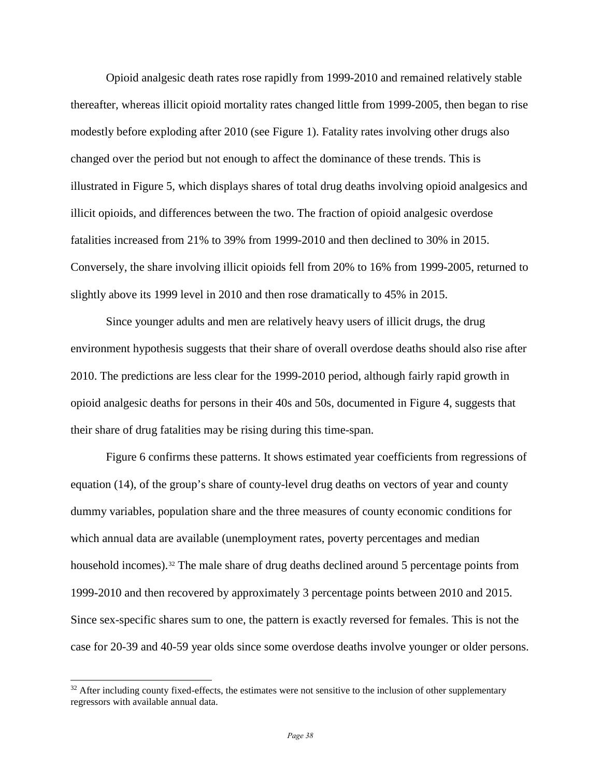Opioid analgesic death rates rose rapidly from 1999-2010 and remained relatively stable thereafter, whereas illicit opioid mortality rates changed little from 1999-2005, then began to rise modestly before exploding after 2010 (see Figure 1). Fatality rates involving other drugs also changed over the period but not enough to affect the dominance of these trends. This is illustrated in Figure 5, which displays shares of total drug deaths involving opioid analgesics and illicit opioids, and differences between the two. The fraction of opioid analgesic overdose fatalities increased from 21% to 39% from 1999-2010 and then declined to 30% in 2015. Conversely, the share involving illicit opioids fell from 20% to 16% from 1999-2005, returned to slightly above its 1999 level in 2010 and then rose dramatically to 45% in 2015.

Since younger adults and men are relatively heavy users of illicit drugs, the drug environment hypothesis suggests that their share of overall overdose deaths should also rise after 2010. The predictions are less clear for the 1999-2010 period, although fairly rapid growth in opioid analgesic deaths for persons in their 40s and 50s, documented in Figure 4, suggests that their share of drug fatalities may be rising during this time-span.

Figure 6 confirms these patterns. It shows estimated year coefficients from regressions of equation (14), of the group's share of county-level drug deaths on vectors of year and county dummy variables, population share and the three measures of county economic conditions for which annual data are available (unemployment rates, poverty percentages and median household incomes).<sup>[32](#page-38-0)</sup> The male share of drug deaths declined around 5 percentage points from 1999-2010 and then recovered by approximately 3 percentage points between 2010 and 2015. Since sex-specific shares sum to one, the pattern is exactly reversed for females. This is not the case for 20-39 and 40-59 year olds since some overdose deaths involve younger or older persons.

<span id="page-38-0"></span> $32$  After including county fixed-effects, the estimates were not sensitive to the inclusion of other supplementary regressors with available annual data.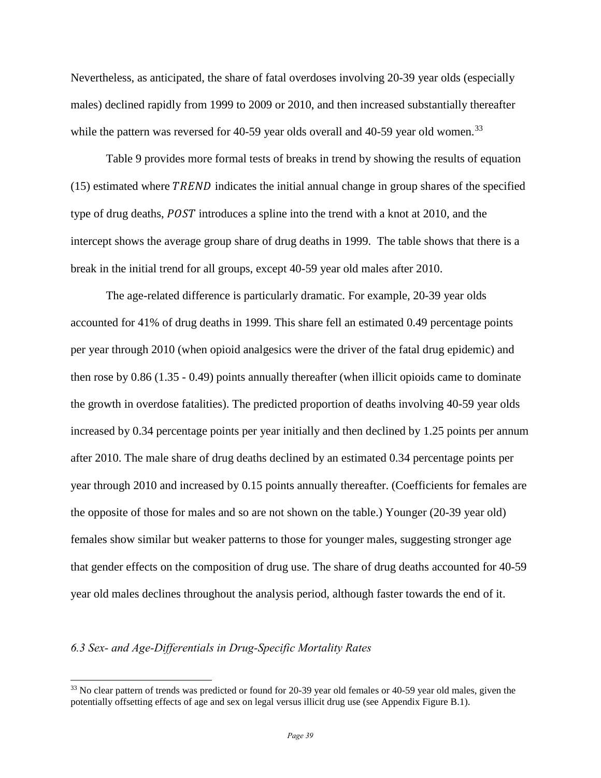Nevertheless, as anticipated, the share of fatal overdoses involving 20-39 year olds (especially males) declined rapidly from 1999 to 2009 or 2010, and then increased substantially thereafter while the pattern was reversed for 40-59 year olds overall and 40-59 year old women.<sup>[33](#page-39-0)</sup>

Table 9 provides more formal tests of breaks in trend by showing the results of equation  $(15)$  estimated where TREND indicates the initial annual change in group shares of the specified type of drug deaths,  $POST$  introduces a spline into the trend with a knot at 2010, and the intercept shows the average group share of drug deaths in 1999. The table shows that there is a break in the initial trend for all groups, except 40-59 year old males after 2010.

The age-related difference is particularly dramatic. For example, 20-39 year olds accounted for 41% of drug deaths in 1999. This share fell an estimated 0.49 percentage points per year through 2010 (when opioid analgesics were the driver of the fatal drug epidemic) and then rose by 0.86 (1.35 - 0.49) points annually thereafter (when illicit opioids came to dominate the growth in overdose fatalities). The predicted proportion of deaths involving 40-59 year olds increased by 0.34 percentage points per year initially and then declined by 1.25 points per annum after 2010. The male share of drug deaths declined by an estimated 0.34 percentage points per year through 2010 and increased by 0.15 points annually thereafter. (Coefficients for females are the opposite of those for males and so are not shown on the table.) Younger (20-39 year old) females show similar but weaker patterns to those for younger males, suggesting stronger age that gender effects on the composition of drug use. The share of drug deaths accounted for 40-59 year old males declines throughout the analysis period, although faster towards the end of it.

## *6.3 Sex- and Age-Differentials in Drug-Specific Mortality Rates*

<span id="page-39-0"></span><sup>&</sup>lt;sup>33</sup> No clear pattern of trends was predicted or found for 20-39 year old females or 40-59 year old males, given the potentially offsetting effects of age and sex on legal versus illicit drug use (see Appendix Figure B.1).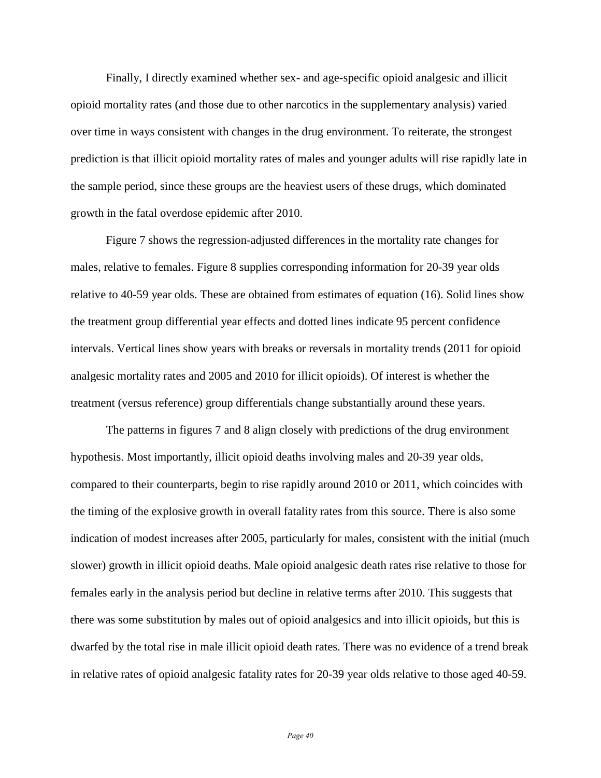Finally, I directly examined whether sex- and age-specific opioid analgesic and illicit opioid mortality rates (and those due to other narcotics in the supplementary analysis) varied over time in ways consistent with changes in the drug environment. To reiterate, the strongest prediction is that illicit opioid mortality rates of males and younger adults will rise rapidly late in the sample period, since these groups are the heaviest users of these drugs, which dominated growth in the fatal overdose epidemic after 2010.

Figure 7 shows the regression-adjusted differences in the mortality rate changes for males, relative to females. Figure 8 supplies corresponding information for 20-39 year olds relative to 40-59 year olds. These are obtained from estimates of equation (16). Solid lines show the treatment group differential year effects and dotted lines indicate 95 percent confidence intervals. Vertical lines show years with breaks or reversals in mortality trends (2011 for opioid analgesic mortality rates and 2005 and 2010 for illicit opioids). Of interest is whether the treatment (versus reference) group differentials change substantially around these years.

 The patterns in figures 7 and 8 align closely with predictions of the drug environment hypothesis. Most importantly, illicit opioid deaths involving males and 20-39 year olds, compared to their counterparts, begin to rise rapidly around 2010 or 2011, which coincides with the timing of the explosive growth in overall fatality rates from this source. There is also some indication of modest increases after 2005, particularly for males, consistent with the initial (much slower) growth in illicit opioid deaths. Male opioid analgesic death rates rise relative to those for females early in the analysis period but decline in relative terms after 2010. This suggests that there was some substitution by males out of opioid analgesics and into illicit opioids, but this is dwarfed by the total rise in male illicit opioid death rates. There was no evidence of a trend break in relative rates of opioid analgesic fatality rates for 20-39 year olds relative to those aged 40-59.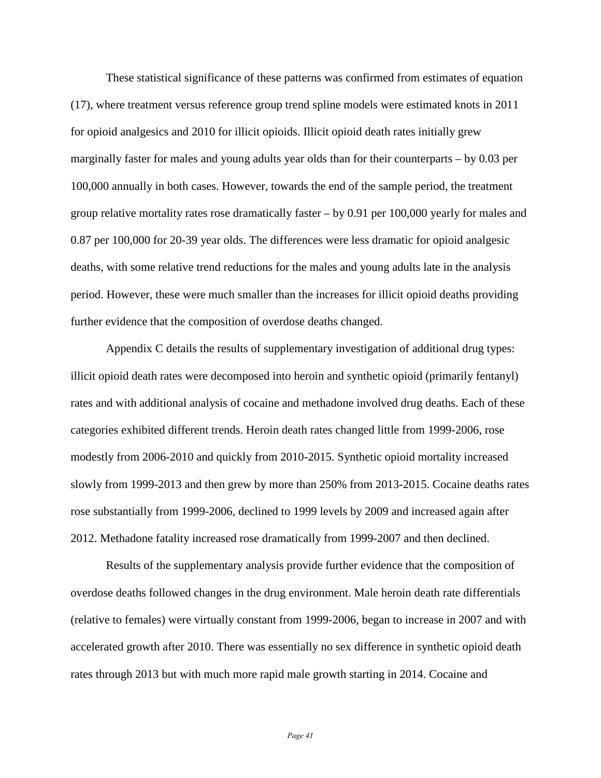These statistical significance of these patterns was confirmed from estimates of equation (17), where treatment versus reference group trend spline models were estimated knots in 2011 for opioid analgesics and 2010 for illicit opioids. Illicit opioid death rates initially grew marginally faster for males and young adults year olds than for their counterparts – by 0.03 per 100,000 annually in both cases. However, towards the end of the sample period, the treatment group relative mortality rates rose dramatically faster – by 0.91 per 100,000 yearly for males and 0.87 per 100,000 for 20-39 year olds. The differences were less dramatic for opioid analgesic deaths, with some relative trend reductions for the males and young adults late in the analysis period. However, these were much smaller than the increases for illicit opioid deaths providing further evidence that the composition of overdose deaths changed.

 Appendix C details the results of supplementary investigation of additional drug types: illicit opioid death rates were decomposed into heroin and synthetic opioid (primarily fentanyl) rates and with additional analysis of cocaine and methadone involved drug deaths. Each of these categories exhibited different trends. Heroin death rates changed little from 1999-2006, rose modestly from 2006-2010 and quickly from 2010-2015. Synthetic opioid mortality increased slowly from 1999-2013 and then grew by more than 250% from 2013-2015. Cocaine deaths rates rose substantially from 1999-2006, declined to 1999 levels by 2009 and increased again after 2012. Methadone fatality increased rose dramatically from 1999-2007 and then declined.

 Results of the supplementary analysis provide further evidence that the composition of overdose deaths followed changes in the drug environment. Male heroin death rate differentials (relative to females) were virtually constant from 1999-2006, began to increase in 2007 and with accelerated growth after 2010. There was essentially no sex difference in synthetic opioid death rates through 2013 but with much more rapid male growth starting in 2014. Cocaine and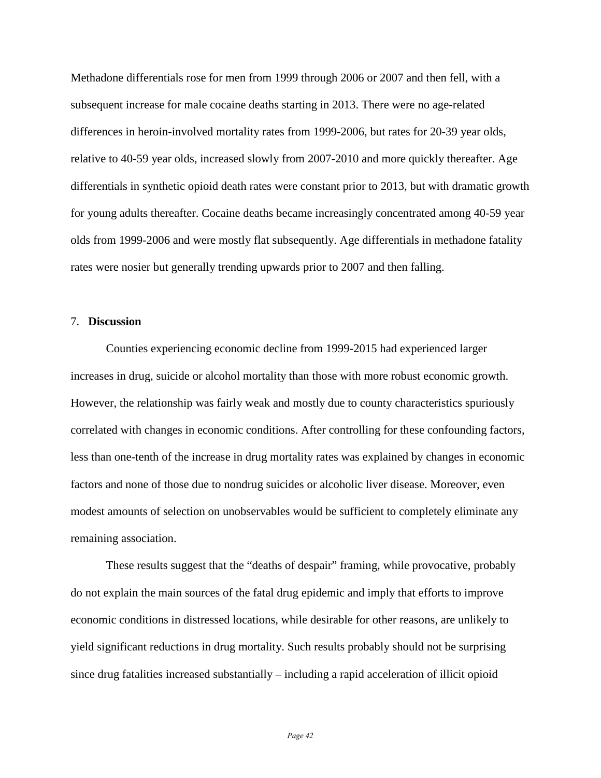Methadone differentials rose for men from 1999 through 2006 or 2007 and then fell, with a subsequent increase for male cocaine deaths starting in 2013. There were no age-related differences in heroin-involved mortality rates from 1999-2006, but rates for 20-39 year olds, relative to 40-59 year olds, increased slowly from 2007-2010 and more quickly thereafter. Age differentials in synthetic opioid death rates were constant prior to 2013, but with dramatic growth for young adults thereafter. Cocaine deaths became increasingly concentrated among 40-59 year olds from 1999-2006 and were mostly flat subsequently. Age differentials in methadone fatality rates were nosier but generally trending upwards prior to 2007 and then falling.

## 7. **Discussion**

Counties experiencing economic decline from 1999-2015 had experienced larger increases in drug, suicide or alcohol mortality than those with more robust economic growth. However, the relationship was fairly weak and mostly due to county characteristics spuriously correlated with changes in economic conditions. After controlling for these confounding factors, less than one-tenth of the increase in drug mortality rates was explained by changes in economic factors and none of those due to nondrug suicides or alcoholic liver disease. Moreover, even modest amounts of selection on unobservables would be sufficient to completely eliminate any remaining association.

These results suggest that the "deaths of despair" framing, while provocative, probably do not explain the main sources of the fatal drug epidemic and imply that efforts to improve economic conditions in distressed locations, while desirable for other reasons, are unlikely to yield significant reductions in drug mortality. Such results probably should not be surprising since drug fatalities increased substantially – including a rapid acceleration of illicit opioid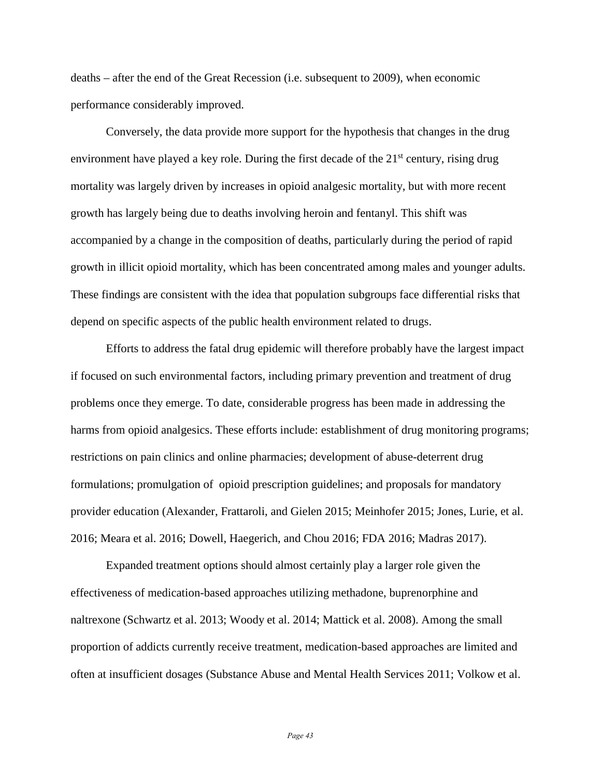deaths – after the end of the Great Recession (i.e. subsequent to 2009), when economic performance considerably improved.

Conversely, the data provide more support for the hypothesis that changes in the drug environment have played a key role. During the first decade of the  $21<sup>st</sup>$  century, rising drug mortality was largely driven by increases in opioid analgesic mortality, but with more recent growth has largely being due to deaths involving heroin and fentanyl. This shift was accompanied by a change in the composition of deaths, particularly during the period of rapid growth in illicit opioid mortality, which has been concentrated among males and younger adults. These findings are consistent with the idea that population subgroups face differential risks that depend on specific aspects of the public health environment related to drugs.

Efforts to address the fatal drug epidemic will therefore probably have the largest impact if focused on such environmental factors, including primary prevention and treatment of drug problems once they emerge. To date, considerable progress has been made in addressing the harms from opioid analgesics. These efforts include: establishment of drug monitoring programs; restrictions on pain clinics and online pharmacies; development of abuse-deterrent drug formulations; promulgation of opioid prescription guidelines; and proposals for mandatory provider education (Alexander, Frattaroli, and Gielen 2015; Meinhofer 2015; Jones, Lurie, et al. 2016; Meara et al. 2016; Dowell, Haegerich, and Chou 2016; FDA 2016; Madras 2017).

Expanded treatment options should almost certainly play a larger role given the effectiveness of medication-based approaches utilizing methadone, buprenorphine and naltrexone (Schwartz et al. 2013; Woody et al. 2014; Mattick et al. 2008). Among the small proportion of addicts currently receive treatment, medication-based approaches are limited and often at insufficient dosages (Substance Abuse and Mental Health Services 2011; Volkow et al.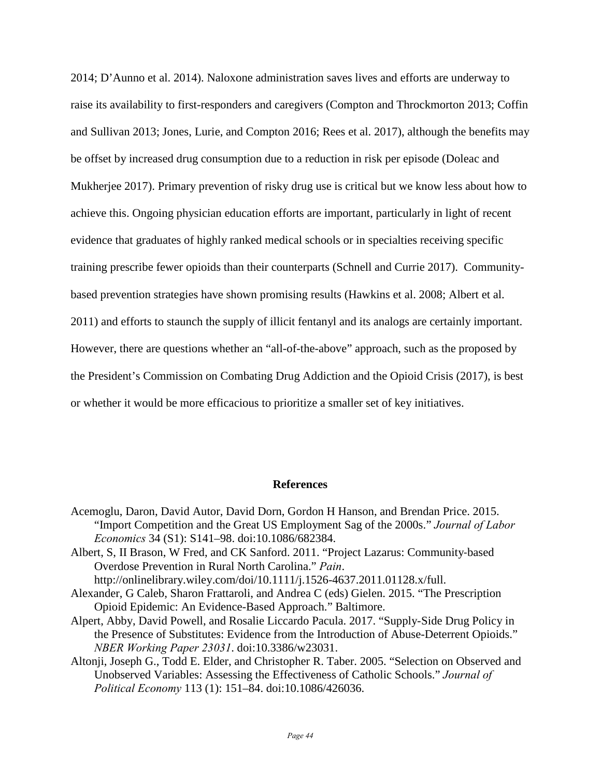2014; D'Aunno et al. 2014). Naloxone administration saves lives and efforts are underway to raise its availability to first-responders and caregivers (Compton and Throckmorton 2013; Coffin and Sullivan 2013; Jones, Lurie, and Compton 2016; Rees et al. 2017), although the benefits may be offset by increased drug consumption due to a reduction in risk per episode (Doleac and Mukherjee 2017). Primary prevention of risky drug use is critical but we know less about how to achieve this. Ongoing physician education efforts are important, particularly in light of recent evidence that graduates of highly ranked medical schools or in specialties receiving specific training prescribe fewer opioids than their counterparts (Schnell and Currie 2017). Communitybased prevention strategies have shown promising results (Hawkins et al. 2008; Albert et al. 2011) and efforts to staunch the supply of illicit fentanyl and its analogs are certainly important. However, there are questions whether an "all-of-the-above" approach, such as the proposed by the President's Commission on Combating Drug Addiction and the Opioid Crisis (2017), is best or whether it would be more efficacious to prioritize a smaller set of key initiatives.

#### **References**

- Acemoglu, Daron, David Autor, David Dorn, Gordon H Hanson, and Brendan Price. 2015. "Import Competition and the Great US Employment Sag of the 2000s." *Journal of Labor Economics* 34 (S1): S141–98. doi:10.1086/682384.
- Albert, S, II Brason, W Fred, and CK Sanford. 2011. "Project Lazarus: Community‐based Overdose Prevention in Rural North Carolina." *Pain*. http://onlinelibrary.wiley.com/doi/10.1111/j.1526-4637.2011.01128.x/full.
- Alexander, G Caleb, Sharon Frattaroli, and Andrea C (eds) Gielen. 2015. "The Prescription Opioid Epidemic: An Evidence-Based Approach." Baltimore.
- Alpert, Abby, David Powell, and Rosalie Liccardo Pacula. 2017. "Supply-Side Drug Policy in the Presence of Substitutes: Evidence from the Introduction of Abuse-Deterrent Opioids." *NBER Working Paper 23031*. doi:10.3386/w23031.
- Altonji, Joseph G., Todd E. Elder, and Christopher R. Taber. 2005. "Selection on Observed and Unobserved Variables: Assessing the Effectiveness of Catholic Schools." *Journal of Political Economy* 113 (1): 151–84. doi:10.1086/426036.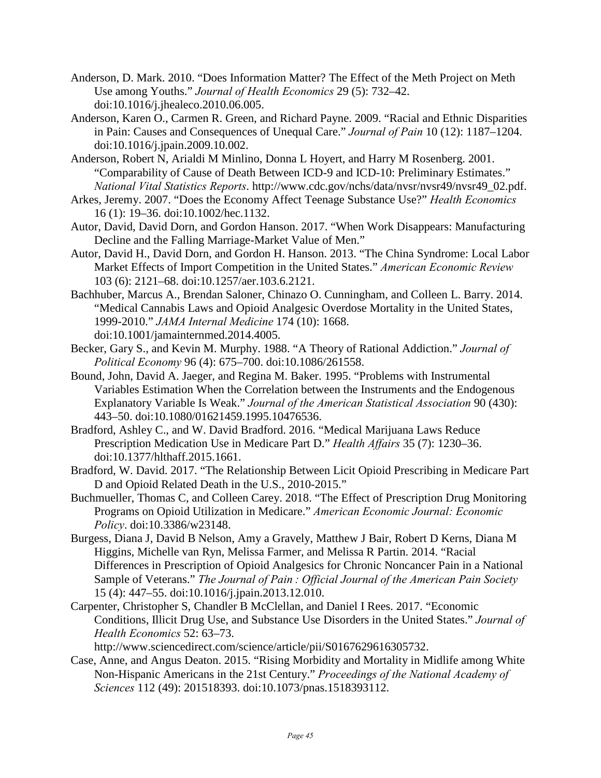- Anderson, D. Mark. 2010. "Does Information Matter? The Effect of the Meth Project on Meth Use among Youths." *Journal of Health Economics* 29 (5): 732–42. doi:10.1016/j.jhealeco.2010.06.005.
- Anderson, Karen O., Carmen R. Green, and Richard Payne. 2009. "Racial and Ethnic Disparities in Pain: Causes and Consequences of Unequal Care." *Journal of Pain* 10 (12): 1187–1204. doi:10.1016/j.jpain.2009.10.002.
- Anderson, Robert N, Arialdi M Minlino, Donna L Hoyert, and Harry M Rosenberg. 2001. "Comparability of Cause of Death Between ICD-9 and ICD-10: Preliminary Estimates." *National Vital Statistics Reports*. http://www.cdc.gov/nchs/data/nvsr/nvsr49/nvsr49\_02.pdf.
- Arkes, Jeremy. 2007. "Does the Economy Affect Teenage Substance Use?" *Health Economics* 16 (1): 19–36. doi:10.1002/hec.1132.
- Autor, David, David Dorn, and Gordon Hanson. 2017. "When Work Disappears: Manufacturing Decline and the Falling Marriage-Market Value of Men."
- Autor, David H., David Dorn, and Gordon H. Hanson. 2013. "The China Syndrome: Local Labor Market Effects of Import Competition in the United States." *American Economic Review* 103 (6): 2121–68. doi:10.1257/aer.103.6.2121.
- Bachhuber, Marcus A., Brendan Saloner, Chinazo O. Cunningham, and Colleen L. Barry. 2014. "Medical Cannabis Laws and Opioid Analgesic Overdose Mortality in the United States, 1999-2010." *JAMA Internal Medicine* 174 (10): 1668. doi:10.1001/jamainternmed.2014.4005.
- Becker, Gary S., and Kevin M. Murphy. 1988. "A Theory of Rational Addiction." *Journal of Political Economy* 96 (4): 675–700. doi:10.1086/261558.
- Bound, John, David A. Jaeger, and Regina M. Baker. 1995. "Problems with Instrumental Variables Estimation When the Correlation between the Instruments and the Endogenous Explanatory Variable Is Weak." *Journal of the American Statistical Association* 90 (430): 443–50. doi:10.1080/01621459.1995.10476536.
- Bradford, Ashley C., and W. David Bradford. 2016. "Medical Marijuana Laws Reduce Prescription Medication Use in Medicare Part D." *Health Affairs* 35 (7): 1230–36. doi:10.1377/hlthaff.2015.1661.
- Bradford, W. David. 2017. "The Relationship Between Licit Opioid Prescribing in Medicare Part D and Opioid Related Death in the U.S., 2010-2015."
- Buchmueller, Thomas C, and Colleen Carey. 2018. "The Effect of Prescription Drug Monitoring Programs on Opioid Utilization in Medicare." *American Economic Journal: Economic Policy*. doi:10.3386/w23148.
- Burgess, Diana J, David B Nelson, Amy a Gravely, Matthew J Bair, Robert D Kerns, Diana M Higgins, Michelle van Ryn, Melissa Farmer, and Melissa R Partin. 2014. "Racial Differences in Prescription of Opioid Analgesics for Chronic Noncancer Pain in a National Sample of Veterans." *The Journal of Pain : Official Journal of the American Pain Society* 15 (4): 447–55. doi:10.1016/j.jpain.2013.12.010.
- Carpenter, Christopher S, Chandler B McClellan, and Daniel I Rees. 2017. "Economic Conditions, Illicit Drug Use, and Substance Use Disorders in the United States." *Journal of Health Economics* 52: 63–73.

http://www.sciencedirect.com/science/article/pii/S0167629616305732.

Case, Anne, and Angus Deaton. 2015. "Rising Morbidity and Mortality in Midlife among White Non-Hispanic Americans in the 21st Century." *Proceedings of the National Academy of Sciences* 112 (49): 201518393. doi:10.1073/pnas.1518393112.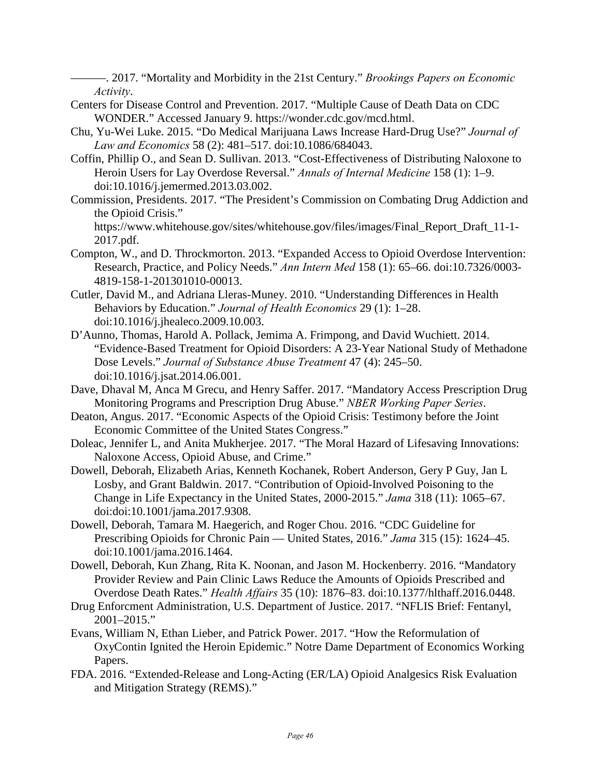———. 2017. "Mortality and Morbidity in the 21st Century." *Brookings Papers on Economic Activity*.

- Centers for Disease Control and Prevention. 2017. "Multiple Cause of Death Data on CDC WONDER." Accessed January 9. https://wonder.cdc.gov/mcd.html.
- Chu, Yu-Wei Luke. 2015. "Do Medical Marijuana Laws Increase Hard-Drug Use?" *Journal of Law and Economics* 58 (2): 481–517. doi:10.1086/684043.
- Coffin, Phillip O., and Sean D. Sullivan. 2013. "Cost-Effectiveness of Distributing Naloxone to Heroin Users for Lay Overdose Reversal." *Annals of Internal Medicine* 158 (1): 1–9. doi:10.1016/j.jemermed.2013.03.002.
- Commission, Presidents. 2017. "The President's Commission on Combating Drug Addiction and the Opioid Crisis."

https://www.whitehouse.gov/sites/whitehouse.gov/files/images/Final\_Report\_Draft\_11-1- 2017.pdf.

- Compton, W., and D. Throckmorton. 2013. "Expanded Access to Opioid Overdose Intervention: Research, Practice, and Policy Needs." *Ann Intern Med* 158 (1): 65–66. doi:10.7326/0003- 4819-158-1-201301010-00013.
- Cutler, David M., and Adriana Lleras-Muney. 2010. "Understanding Differences in Health Behaviors by Education." *Journal of Health Economics* 29 (1): 1–28. doi:10.1016/j.jhealeco.2009.10.003.
- D'Aunno, Thomas, Harold A. Pollack, Jemima A. Frimpong, and David Wuchiett. 2014. "Evidence-Based Treatment for Opioid Disorders: A 23-Year National Study of Methadone Dose Levels." *Journal of Substance Abuse Treatment* 47 (4): 245–50. doi:10.1016/j.jsat.2014.06.001.
- Dave, Dhaval M, Anca M Grecu, and Henry Saffer. 2017. "Mandatory Access Prescription Drug Monitoring Programs and Prescription Drug Abuse." *NBER Working Paper Series*.
- Deaton, Angus. 2017. "Economic Aspects of the Opioid Crisis: Testimony before the Joint Economic Committee of the United States Congress."
- Doleac, Jennifer L, and Anita Mukherjee. 2017. "The Moral Hazard of Lifesaving Innovations: Naloxone Access, Opioid Abuse, and Crime."
- Dowell, Deborah, Elizabeth Arias, Kenneth Kochanek, Robert Anderson, Gery P Guy, Jan L Losby, and Grant Baldwin. 2017. "Contribution of Opioid-Involved Poisoning to the Change in Life Expectancy in the United States, 2000-2015." *Jama* 318 (11): 1065–67. doi:doi:10.1001/jama.2017.9308.
- Dowell, Deborah, Tamara M. Haegerich, and Roger Chou. 2016. "CDC Guideline for Prescribing Opioids for Chronic Pain — United States, 2016." *Jama* 315 (15): 1624–45. doi:10.1001/jama.2016.1464.
- Dowell, Deborah, Kun Zhang, Rita K. Noonan, and Jason M. Hockenberry. 2016. "Mandatory Provider Review and Pain Clinic Laws Reduce the Amounts of Opioids Prescribed and Overdose Death Rates." *Health Affairs* 35 (10): 1876–83. doi:10.1377/hlthaff.2016.0448.
- Drug Enforcment Administration, U.S. Department of Justice. 2017. "NFLIS Brief: Fentanyl, 2001–2015."
- Evans, William N, Ethan Lieber, and Patrick Power. 2017. "How the Reformulation of OxyContin Ignited the Heroin Epidemic." Notre Dame Department of Economics Working Papers.
- FDA. 2016. "Extended-Release and Long-Acting (ER/LA) Opioid Analgesics Risk Evaluation and Mitigation Strategy (REMS)."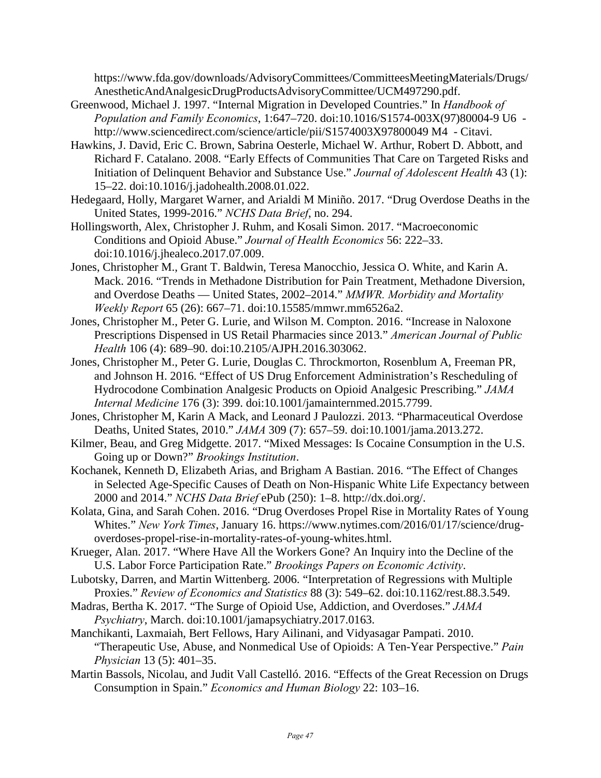https://www.fda.gov/downloads/AdvisoryCommittees/CommitteesMeetingMaterials/Drugs/ AnestheticAndAnalgesicDrugProductsAdvisoryCommittee/UCM497290.pdf.

- Greenwood, Michael J. 1997. "Internal Migration in Developed Countries." In *Handbook of Population and Family Economics*, 1:647–720. doi:10.1016/S1574-003X(97)80004-9 U6 http://www.sciencedirect.com/science/article/pii/S1574003X97800049 M4 - Citavi.
- Hawkins, J. David, Eric C. Brown, Sabrina Oesterle, Michael W. Arthur, Robert D. Abbott, and Richard F. Catalano. 2008. "Early Effects of Communities That Care on Targeted Risks and Initiation of Delinquent Behavior and Substance Use." *Journal of Adolescent Health* 43 (1): 15–22. doi:10.1016/j.jadohealth.2008.01.022.
- Hedegaard, Holly, Margaret Warner, and Arialdi M Miniño. 2017. "Drug Overdose Deaths in the United States, 1999-2016." *NCHS Data Brief*, no. 294.
- Hollingsworth, Alex, Christopher J. Ruhm, and Kosali Simon. 2017. "Macroeconomic Conditions and Opioid Abuse." *Journal of Health Economics* 56: 222–33. doi:10.1016/j.jhealeco.2017.07.009.
- Jones, Christopher M., Grant T. Baldwin, Teresa Manocchio, Jessica O. White, and Karin A. Mack. 2016. "Trends in Methadone Distribution for Pain Treatment, Methadone Diversion, and Overdose Deaths — United States, 2002–2014." *MMWR. Morbidity and Mortality Weekly Report* 65 (26): 667–71. doi:10.15585/mmwr.mm6526a2.
- Jones, Christopher M., Peter G. Lurie, and Wilson M. Compton. 2016. "Increase in Naloxone Prescriptions Dispensed in US Retail Pharmacies since 2013." *American Journal of Public Health* 106 (4): 689–90. doi:10.2105/AJPH.2016.303062.
- Jones, Christopher M., Peter G. Lurie, Douglas C. Throckmorton, Rosenblum A, Freeman PR, and Johnson H. 2016. "Effect of US Drug Enforcement Administration's Rescheduling of Hydrocodone Combination Analgesic Products on Opioid Analgesic Prescribing." *JAMA Internal Medicine* 176 (3): 399. doi:10.1001/jamainternmed.2015.7799.
- Jones, Christopher M, Karin A Mack, and Leonard J Paulozzi. 2013. "Pharmaceutical Overdose Deaths, United States, 2010." *JAMA* 309 (7): 657–59. doi:10.1001/jama.2013.272.
- Kilmer, Beau, and Greg Midgette. 2017. "Mixed Messages: Is Cocaine Consumption in the U.S. Going up or Down?" *Brookings Institution*.
- Kochanek, Kenneth D, Elizabeth Arias, and Brigham A Bastian. 2016. "The Effect of Changes in Selected Age-Specific Causes of Death on Non-Hispanic White Life Expectancy between 2000 and 2014." *NCHS Data Brief* ePub (250): 1–8. http://dx.doi.org/.
- Kolata, Gina, and Sarah Cohen. 2016. "Drug Overdoses Propel Rise in Mortality Rates of Young Whites." *New York Times*, January 16. https://www.nytimes.com/2016/01/17/science/drugoverdoses-propel-rise-in-mortality-rates-of-young-whites.html.
- Krueger, Alan. 2017. "Where Have All the Workers Gone? An Inquiry into the Decline of the U.S. Labor Force Participation Rate." *Brookings Papers on Economic Activity*.
- Lubotsky, Darren, and Martin Wittenberg. 2006. "Interpretation of Regressions with Multiple Proxies." *Review of Economics and Statistics* 88 (3): 549–62. doi:10.1162/rest.88.3.549.
- Madras, Bertha K. 2017. "The Surge of Opioid Use, Addiction, and Overdoses." *JAMA Psychiatry*, March. doi:10.1001/jamapsychiatry.2017.0163.
- Manchikanti, Laxmaiah, Bert Fellows, Hary Ailinani, and Vidyasagar Pampati. 2010. "Therapeutic Use, Abuse, and Nonmedical Use of Opioids: A Ten-Year Perspective." *Pain Physician* 13 (5): 401–35.
- Martin Bassols, Nicolau, and Judit Vall Castelló. 2016. "Effects of the Great Recession on Drugs Consumption in Spain." *Economics and Human Biology* 22: 103–16.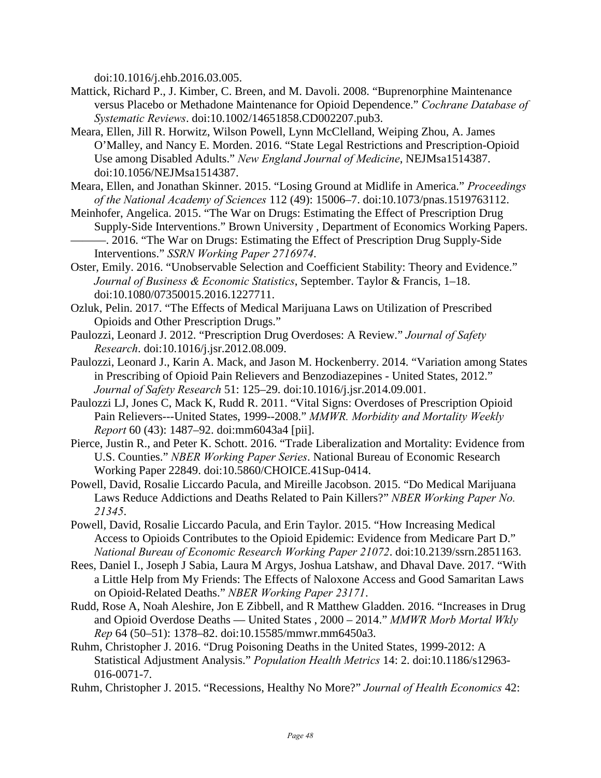doi:10.1016/j.ehb.2016.03.005.

- Mattick, Richard P., J. Kimber, C. Breen, and M. Davoli. 2008. "Buprenorphine Maintenance versus Placebo or Methadone Maintenance for Opioid Dependence." *Cochrane Database of Systematic Reviews*. doi:10.1002/14651858.CD002207.pub3.
- Meara, Ellen, Jill R. Horwitz, Wilson Powell, Lynn McClelland, Weiping Zhou, A. James O'Malley, and Nancy E. Morden. 2016. "State Legal Restrictions and Prescription-Opioid Use among Disabled Adults." *New England Journal of Medicine*, NEJMsa1514387. doi:10.1056/NEJMsa1514387.
- Meara, Ellen, and Jonathan Skinner. 2015. "Losing Ground at Midlife in America." *Proceedings of the National Academy of Sciences* 112 (49): 15006–7. doi:10.1073/pnas.1519763112.
- Meinhofer, Angelica. 2015. "The War on Drugs: Estimating the Effect of Prescription Drug Supply-Side Interventions." Brown University , Department of Economics Working Papers. ———. 2016. "The War on Drugs: Estimating the Effect of Prescription Drug Supply-Side Interventions." *SSRN Working Paper 2716974*.
- Oster, Emily. 2016. "Unobservable Selection and Coefficient Stability: Theory and Evidence." *Journal of Business & Economic Statistics*, September. Taylor & Francis, 1–18. doi:10.1080/07350015.2016.1227711.
- Ozluk, Pelin. 2017. "The Effects of Medical Marijuana Laws on Utilization of Prescribed Opioids and Other Prescription Drugs."
- Paulozzi, Leonard J. 2012. "Prescription Drug Overdoses: A Review." *Journal of Safety Research*. doi:10.1016/j.jsr.2012.08.009.
- Paulozzi, Leonard J., Karin A. Mack, and Jason M. Hockenberry. 2014. "Variation among States in Prescribing of Opioid Pain Relievers and Benzodiazepines - United States, 2012." *Journal of Safety Research* 51: 125–29. doi:10.1016/j.jsr.2014.09.001.
- Paulozzi LJ, Jones C, Mack K, Rudd R. 2011. "Vital Signs: Overdoses of Prescription Opioid Pain Relievers---United States, 1999--2008." *MMWR. Morbidity and Mortality Weekly Report* 60 (43): 1487–92. doi:mm6043a4 [pii].
- Pierce, Justin R., and Peter K. Schott. 2016. "Trade Liberalization and Mortality: Evidence from U.S. Counties." *NBER Working Paper Series*. National Bureau of Economic Research Working Paper 22849. doi:10.5860/CHOICE.41Sup-0414.
- Powell, David, Rosalie Liccardo Pacula, and Mireille Jacobson. 2015. "Do Medical Marijuana Laws Reduce Addictions and Deaths Related to Pain Killers?" *NBER Working Paper No. 21345*.
- Powell, David, Rosalie Liccardo Pacula, and Erin Taylor. 2015. "How Increasing Medical Access to Opioids Contributes to the Opioid Epidemic: Evidence from Medicare Part D." *National Bureau of Economic Research Working Paper 21072*. doi:10.2139/ssrn.2851163.
- Rees, Daniel I., Joseph J Sabia, Laura M Argys, Joshua Latshaw, and Dhaval Dave. 2017. "With a Little Help from My Friends: The Effects of Naloxone Access and Good Samaritan Laws on Opioid-Related Deaths." *NBER Working Paper 23171*.
- Rudd, Rose A, Noah Aleshire, Jon E Zibbell, and R Matthew Gladden. 2016. "Increases in Drug and Opioid Overdose Deaths — United States , 2000 – 2014." *MMWR Morb Mortal Wkly Rep* 64 (50–51): 1378–82. doi:10.15585/mmwr.mm6450a3.
- Ruhm, Christopher J. 2016. "Drug Poisoning Deaths in the United States, 1999-2012: A Statistical Adjustment Analysis." *Population Health Metrics* 14: 2. doi:10.1186/s12963- 016-0071-7.
- Ruhm, Christopher J. 2015. "Recessions, Healthy No More?" *Journal of Health Economics* 42: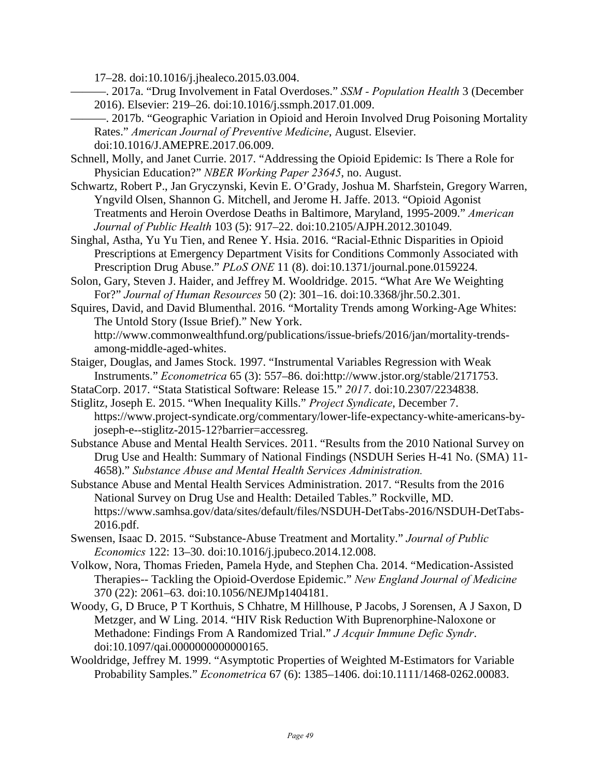17–28. doi:10.1016/j.jhealeco.2015.03.004.

———. 2017a. "Drug Involvement in Fatal Overdoses." *SSM - Population Health* 3 (December 2016). Elsevier: 219–26. doi:10.1016/j.ssmph.2017.01.009.

- ———. 2017b. "Geographic Variation in Opioid and Heroin Involved Drug Poisoning Mortality Rates." *American Journal of Preventive Medicine*, August. Elsevier. doi:10.1016/J.AMEPRE.2017.06.009.
- Schnell, Molly, and Janet Currie. 2017. "Addressing the Opioid Epidemic: Is There a Role for Physician Education?" *NBER Working Paper 23645*, no. August.
- Schwartz, Robert P., Jan Gryczynski, Kevin E. O'Grady, Joshua M. Sharfstein, Gregory Warren, Yngvild Olsen, Shannon G. Mitchell, and Jerome H. Jaffe. 2013. "Opioid Agonist Treatments and Heroin Overdose Deaths in Baltimore, Maryland, 1995-2009." *American Journal of Public Health* 103 (5): 917–22. doi:10.2105/AJPH.2012.301049.
- Singhal, Astha, Yu Yu Tien, and Renee Y. Hsia. 2016. "Racial-Ethnic Disparities in Opioid Prescriptions at Emergency Department Visits for Conditions Commonly Associated with Prescription Drug Abuse." *PLoS ONE* 11 (8). doi:10.1371/journal.pone.0159224.
- Solon, Gary, Steven J. Haider, and Jeffrey M. Wooldridge. 2015. "What Are We Weighting For?" *Journal of Human Resources* 50 (2): 301–16. doi:10.3368/jhr.50.2.301.
- Squires, David, and David Blumenthal. 2016. "Mortality Trends among Working-Age Whites: The Untold Story (Issue Brief)." New York. http://www.commonwealthfund.org/publications/issue-briefs/2016/jan/mortality-trendsamong-middle-aged-whites.
- Staiger, Douglas, and James Stock. 1997. "Instrumental Variables Regression with Weak Instruments." *Econometrica* 65 (3): 557–86. doi:http://www.jstor.org/stable/2171753.
- StataCorp. 2017. "Stata Statistical Software: Release 15." *2017*. doi:10.2307/2234838.
- Stiglitz, Joseph E. 2015. "When Inequality Kills." *Project Syndicate*, December 7.
- https://www.project-syndicate.org/commentary/lower-life-expectancy-white-americans-byjoseph-e--stiglitz-2015-12?barrier=accessreg.
- Substance Abuse and Mental Health Services. 2011. "Results from the 2010 National Survey on Drug Use and Health: Summary of National Findings (NSDUH Series H-41 No. (SMA) 11- 4658)." *Substance Abuse and Mental Health Services Administration.*
- Substance Abuse and Mental Health Services Administration. 2017. "Results from the 2016 National Survey on Drug Use and Health: Detailed Tables." Rockville, MD. https://www.samhsa.gov/data/sites/default/files/NSDUH-DetTabs-2016/NSDUH-DetTabs-2016.pdf.
- Swensen, Isaac D. 2015. "Substance-Abuse Treatment and Mortality." *Journal of Public Economics* 122: 13–30. doi:10.1016/j.jpubeco.2014.12.008.
- Volkow, Nora, Thomas Frieden, Pamela Hyde, and Stephen Cha. 2014. "Medication-Assisted Therapies-- Tackling the Opioid-Overdose Epidemic." *New England Journal of Medicine* 370 (22): 2061–63. doi:10.1056/NEJMp1404181.
- Woody, G, D Bruce, P T Korthuis, S Chhatre, M Hillhouse, P Jacobs, J Sorensen, A J Saxon, D Metzger, and W Ling. 2014. "HIV Risk Reduction With Buprenorphine-Naloxone or Methadone: Findings From A Randomized Trial." *J Acquir Immune Defic Syndr*. doi:10.1097/qai.0000000000000165.
- Wooldridge, Jeffrey M. 1999. "Asymptotic Properties of Weighted M-Estimators for Variable Probability Samples." *Econometrica* 67 (6): 1385–1406. doi:10.1111/1468-0262.00083.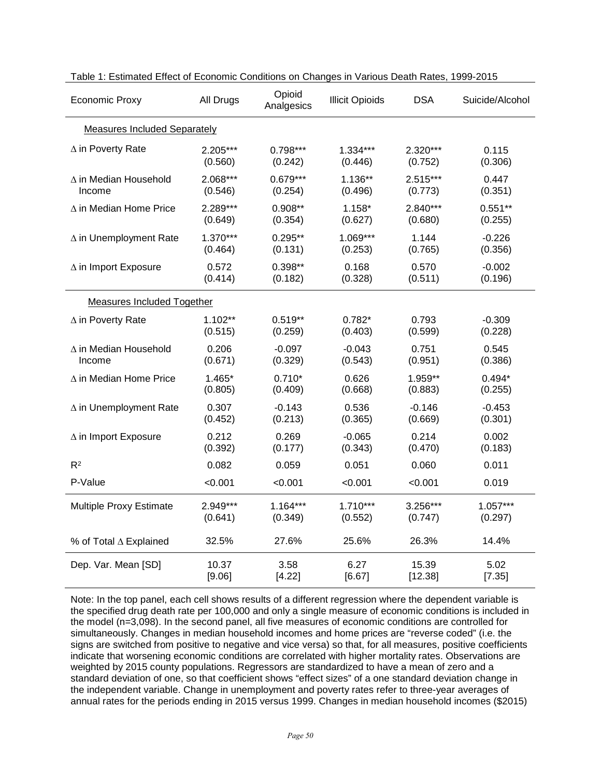| <b>Economic Proxy</b>          | All Drugs                           | Opioid<br>Analgesics | <b>Illicit Opioids</b> | <b>DSA</b> | Suicide/Alcohol |  |  |  |  |  |
|--------------------------------|-------------------------------------|----------------------|------------------------|------------|-----------------|--|--|--|--|--|
|                                | <b>Measures Included Separately</b> |                      |                        |            |                 |  |  |  |  |  |
| $\Delta$ in Poverty Rate       | 2.205***                            | $0.798***$           | $1.334***$             | 2.320***   | 0.115           |  |  |  |  |  |
|                                | (0.560)                             | (0.242)              | (0.446)                | (0.752)    | (0.306)         |  |  |  |  |  |
| ∆ in Median Household          | 2.068***                            | $0.679***$           | $1.136**$              | 2.515***   | 0.447           |  |  |  |  |  |
| Income                         | (0.546)                             | (0.254)              | (0.496)                | (0.773)    | (0.351)         |  |  |  |  |  |
| $\Delta$ in Median Home Price  | 2.289***                            | $0.908**$            | $1.158*$               | 2.840***   | $0.551**$       |  |  |  |  |  |
|                                | (0.649)                             | (0.354)              | (0.627)                | (0.680)    | (0.255)         |  |  |  |  |  |
| ∆ in Unemployment Rate         | $1.370***$                          | $0.295**$            | $1.069***$             | 1.144      | $-0.226$        |  |  |  |  |  |
|                                | (0.464)                             | (0.131)              | (0.253)                | (0.765)    | (0.356)         |  |  |  |  |  |
| $\Delta$ in Import Exposure    | 0.572                               | $0.398**$            | 0.168                  | 0.570      | $-0.002$        |  |  |  |  |  |
|                                | (0.414)                             | (0.182)              | (0.328)                | (0.511)    | (0.196)         |  |  |  |  |  |
| Measures Included Together     |                                     |                      |                        |            |                 |  |  |  |  |  |
| $\Delta$ in Poverty Rate       | $1.102**$                           | $0.519**$            | $0.782*$               | 0.793      | $-0.309$        |  |  |  |  |  |
|                                | (0.515)                             | (0.259)              | (0.403)                | (0.599)    | (0.228)         |  |  |  |  |  |
| ∆ in Median Household          | 0.206                               | $-0.097$             | $-0.043$               | 0.751      | 0.545           |  |  |  |  |  |
| Income                         | (0.671)                             | (0.329)              | (0.543)                | (0.951)    | (0.386)         |  |  |  |  |  |
| $\Delta$ in Median Home Price  | $1.465*$                            | $0.710*$             | 0.626                  | 1.959**    | $0.494*$        |  |  |  |  |  |
|                                | (0.805)                             | (0.409)              | (0.668)                | (0.883)    | (0.255)         |  |  |  |  |  |
| ∆ in Unemployment Rate         | 0.307                               | $-0.143$             | 0.536                  | $-0.146$   | $-0.453$        |  |  |  |  |  |
|                                | (0.452)                             | (0.213)              | (0.365)                | (0.669)    | (0.301)         |  |  |  |  |  |
| $\Delta$ in Import Exposure    | 0.212                               | 0.269                | $-0.065$               | 0.214      | 0.002           |  |  |  |  |  |
|                                | (0.392)                             | (0.177)              | (0.343)                | (0.470)    | (0.183)         |  |  |  |  |  |
| $R^2$                          | 0.082                               | 0.059                | 0.051                  | 0.060      | 0.011           |  |  |  |  |  |
| P-Value                        | < 0.001                             | < 0.001              | < 0.001                | < 0.001    | 0.019           |  |  |  |  |  |
| <b>Multiple Proxy Estimate</b> | 2.949***                            | $1.164***$           | $1.710***$             | 3.256***   | $1.057***$      |  |  |  |  |  |
|                                | (0.641)                             | (0.349)              | (0.552)                | (0.747)    | (0.297)         |  |  |  |  |  |
| % of Total ∆ Explained         | 32.5%                               | 27.6%                | 25.6%                  | 26.3%      | 14.4%           |  |  |  |  |  |
| Dep. Var. Mean [SD]            | 10.37                               | 3.58                 | 6.27                   | 15.39      | 5.02            |  |  |  |  |  |
|                                | [9.06]                              | [4.22]               | [6.67]                 | [12.38]    | [7.35]          |  |  |  |  |  |

| Table 1: Estimated Effect of Economic Conditions on Changes in Various Death Rates, 1999-2015 |  |  |
|-----------------------------------------------------------------------------------------------|--|--|
|-----------------------------------------------------------------------------------------------|--|--|

Note: In the top panel, each cell shows results of a different regression where the dependent variable is the specified drug death rate per 100,000 and only a single measure of economic conditions is included in the model (n=3,098). In the second panel, all five measures of economic conditions are controlled for simultaneously. Changes in median household incomes and home prices are "reverse coded" (i.e. the signs are switched from positive to negative and vice versa) so that, for all measures, positive coefficients indicate that worsening economic conditions are correlated with higher mortality rates. Observations are weighted by 2015 county populations. Regressors are standardized to have a mean of zero and a standard deviation of one, so that coefficient shows "effect sizes" of a one standard deviation change in the independent variable. Change in unemployment and poverty rates refer to three-year averages of annual rates for the periods ending in 2015 versus 1999. Changes in median household incomes (\$2015)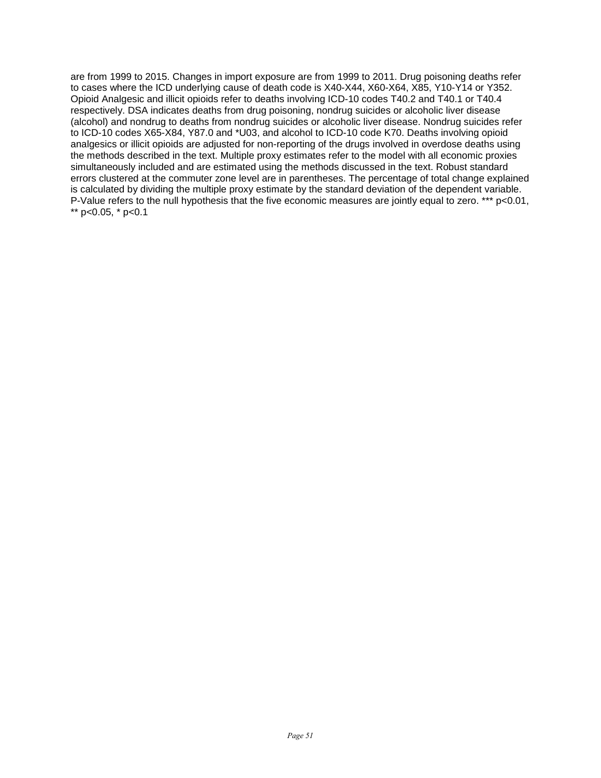are from 1999 to 2015. Changes in import exposure are from 1999 to 2011. Drug poisoning deaths refer to cases where the ICD underlying cause of death code is X40-X44, X60-X64, X85, Y10-Y14 or Y352. Opioid Analgesic and illicit opioids refer to deaths involving ICD-10 codes T40.2 and T40.1 or T40.4 respectively. DSA indicates deaths from drug poisoning, nondrug suicides or alcoholic liver disease (alcohol) and nondrug to deaths from nondrug suicides or alcoholic liver disease. Nondrug suicides refer to ICD-10 codes X65-X84, Y87.0 and \*U03, and alcohol to ICD-10 code K70. Deaths involving opioid analgesics or illicit opioids are adjusted for non-reporting of the drugs involved in overdose deaths using the methods described in the text. Multiple proxy estimates refer to the model with all economic proxies simultaneously included and are estimated using the methods discussed in the text. Robust standard errors clustered at the commuter zone level are in parentheses. The percentage of total change explained is calculated by dividing the multiple proxy estimate by the standard deviation of the dependent variable. P-Value refers to the null hypothesis that the five economic measures are jointly equal to zero. \*\*\* p<0.01, \*\* p<0.05,  $*$  p<0.1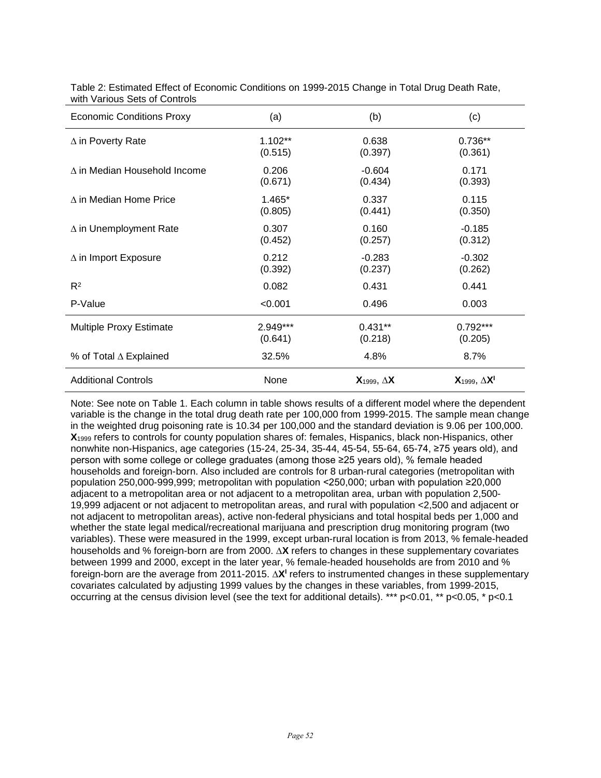| <b>Economic Conditions Proxy</b> | (a)       | (b)                     | (c)                       |
|----------------------------------|-----------|-------------------------|---------------------------|
| $\Delta$ in Poverty Rate         | $1.102**$ | 0.638                   | 0.736**                   |
|                                  | (0.515)   | (0.397)                 | (0.361)                   |
| A in Median Household Income     | 0.206     | $-0.604$                | 0.171                     |
|                                  | (0.671)   | (0.434)                 | (0.393)                   |
| $\wedge$ in Median Home Price    | 1.465*    | 0.337                   | 0.115                     |
|                                  | (0.805)   | (0.441)                 | (0.350)                   |
| $\Delta$ in Unemployment Rate    | 0.307     | 0.160                   | $-0.185$                  |
|                                  | (0.452)   | (0.257)                 | (0.312)                   |
| $\Delta$ in Import Exposure      | 0.212     | $-0.283$                | $-0.302$                  |
|                                  | (0.392)   | (0.237)                 | (0.262)                   |
| $R^2$                            | 0.082     | 0.431                   | 0.441                     |
| P-Value                          | < 0.001   | 0.496                   | 0.003                     |
| Multiple Proxy Estimate          | 2.949***  | $0.431**$               | $0.792***$                |
|                                  | (0.641)   | (0.218)                 | (0.205)                   |
| % of Total ∆ Explained           | 32.5%     | 4.8%                    | 8.7%                      |
| <b>Additional Controls</b>       | None      | $X_{1999}$ , $\Delta X$ | $X_{1999}$ , $\Delta X^1$ |

Table 2: Estimated Effect of Economic Conditions on 1999-2015 Change in Total Drug Death Rate, with Various Sets of Controls

Note: See note on Table 1. Each column in table shows results of a different model where the dependent variable is the change in the total drug death rate per 100,000 from 1999-2015. The sample mean change in the weighted drug poisoning rate is 10.34 per 100,000 and the standard deviation is 9.06 per 100,000. **X**<sup>1999</sup> refers to controls for county population shares of: females, Hispanics, black non-Hispanics, other nonwhite non-Hispanics, age categories (15-24, 25-34, 35-44, 45-54, 55-64, 65-74, ≥75 years old), and person with some college or college graduates (among those ≥25 years old), % female headed households and foreign-born. Also included are controls for 8 urban-rural categories (metropolitan with population 250,000-999,999; metropolitan with population <250,000; urban with population ≥20,000 adjacent to a metropolitan area or not adjacent to a metropolitan area, urban with population 2,500- 19,999 adjacent or not adjacent to metropolitan areas, and rural with population <2,500 and adjacent or not adjacent to metropolitan areas), active non-federal physicians and total hospital beds per 1,000 and whether the state legal medical/recreational marijuana and prescription drug monitoring program (two variables). These were measured in the 1999, except urban-rural location is from 2013, % female-headed households and % foreign-born are from 2000. ∆**X** refers to changes in these supplementary covariates between 1999 and 2000, except in the later year, % female-headed households are from 2010 and % foreign-born are the average from 2011-2015. ∆**XI** refers to instrumented changes in these supplementary covariates calculated by adjusting 1999 values by the changes in these variables, from 1999-2015, occurring at the census division level (see the text for additional details). \*\*\* p<0.01, \*\* p<0.05, \* p<0.1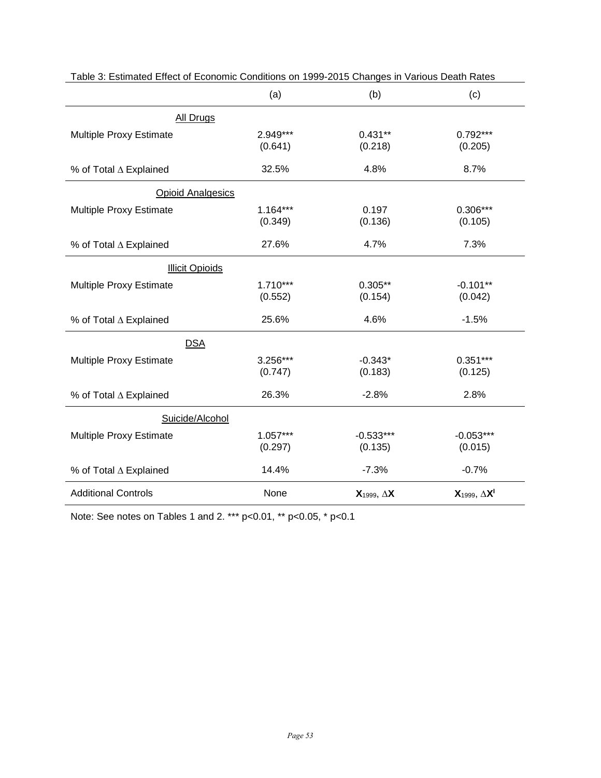|                            | (a)                   | (b)                     | (c)                       |
|----------------------------|-----------------------|-------------------------|---------------------------|
| <b>All Drugs</b>           |                       |                         |                           |
| Multiple Proxy Estimate    | 2.949***<br>(0.641)   | $0.431**$<br>(0.218)    | $0.792***$<br>(0.205)     |
| % of Total ∆ Explained     | 32.5%                 | 4.8%                    | 8.7%                      |
| <b>Opioid Analgesics</b>   |                       |                         |                           |
| Multiple Proxy Estimate    | $1.164***$<br>(0.349) | 0.197<br>(0.136)        | $0.306***$<br>(0.105)     |
| % of Total ∆ Explained     | 27.6%                 | 4.7%                    | 7.3%                      |
| <b>Illicit Opioids</b>     |                       |                         |                           |
| Multiple Proxy Estimate    | $1.710***$<br>(0.552) | $0.305**$<br>(0.154)    | $-0.101**$<br>(0.042)     |
| % of Total ∆ Explained     | 25.6%                 | 4.6%                    | $-1.5%$                   |
| <b>DSA</b>                 |                       |                         |                           |
| Multiple Proxy Estimate    | 3.256***<br>(0.747)   | $-0.343*$<br>(0.183)    | $0.351***$<br>(0.125)     |
| % of Total ∆ Explained     | 26.3%                 | $-2.8%$                 | 2.8%                      |
| Suicide/Alcohol            |                       |                         |                           |
| Multiple Proxy Estimate    | $1.057***$<br>(0.297) | $-0.533***$<br>(0.135)  | $-0.053***$<br>(0.015)    |
| % of Total ∆ Explained     | 14.4%                 | $-7.3%$                 | $-0.7%$                   |
| <b>Additional Controls</b> | None                  | $X_{1999}$ , $\Delta X$ | $X_{1999}$ , $\Delta X^1$ |

Table 3: Estimated Effect of Economic Conditions on 1999-2015 Changes in Various Death Rates

Note: See notes on Tables 1 and 2. \*\*\* p<0.01, \*\* p<0.05, \* p<0.1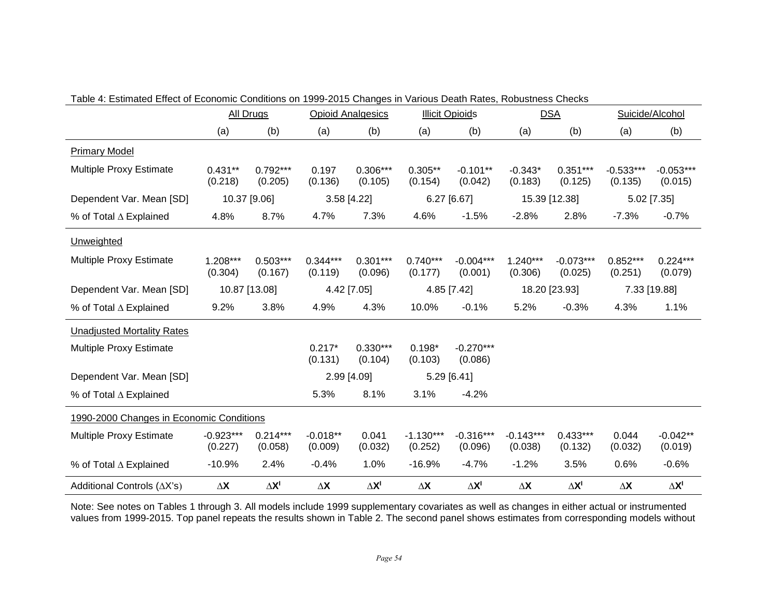|                                          |                        | <b>All Drugs</b>      |                       | <b>Opioid Analgesics</b> |                        | <b>Illicit Opioids</b> |                        | <b>DSA</b>                    |                        | Suicide/Alcohol        |
|------------------------------------------|------------------------|-----------------------|-----------------------|--------------------------|------------------------|------------------------|------------------------|-------------------------------|------------------------|------------------------|
|                                          | (a)                    | (b)                   | (a)                   | (b)                      | (a)                    | (b)                    | (a)                    | (b)                           | (a)                    | (b)                    |
| <b>Primary Model</b>                     |                        |                       |                       |                          |                        |                        |                        |                               |                        |                        |
| Multiple Proxy Estimate                  | $0.431**$<br>(0.218)   | $0.792***$<br>(0.205) | 0.197<br>(0.136)      | $0.306***$<br>(0.105)    | $0.305**$<br>(0.154)   | $-0.101**$<br>(0.042)  | $-0.343*$<br>(0.183)   | $0.351***$<br>(0.125)         | $-0.533***$<br>(0.135) | $-0.053***$<br>(0.015) |
| Dependent Var. Mean [SD]                 |                        | 10.37 [9.06]          |                       | 3.58 [4.22]              |                        | $6.27$ [6.67]          |                        | 15.39 [12.38]                 |                        | 5.02 [7.35]            |
| % of Total ∆ Explained                   | 4.8%                   | 8.7%                  | 4.7%                  | 7.3%                     | 4.6%                   | $-1.5%$                | $-2.8%$                | 2.8%                          | $-7.3%$                | $-0.7%$                |
| Unweighted                               |                        |                       |                       |                          |                        |                        |                        |                               |                        |                        |
| Multiple Proxy Estimate                  | $1.208***$<br>(0.304)  | $0.503***$<br>(0.167) | $0.344***$<br>(0.119) | $0.301***$<br>(0.096)    | $0.740***$<br>(0.177)  | $-0.004***$<br>(0.001) | $1.240***$<br>(0.306)  | $-0.073***$<br>(0.025)        | $0.852***$<br>(0.251)  | $0.224***$<br>(0.079)  |
| Dependent Var. Mean [SD]                 |                        | 10.87 [13.08]         |                       | 4.42 [7.05]              |                        | 4.85 [7.42]            |                        | 18.20 [23.93]<br>7.33 [19.88] |                        |                        |
| % of Total ∆ Explained                   | 9.2%                   | 3.8%                  | 4.9%                  | 4.3%                     | 10.0%                  | $-0.1%$                | 5.2%                   | $-0.3%$                       | 4.3%                   | 1.1%                   |
| <b>Unadjusted Mortality Rates</b>        |                        |                       |                       |                          |                        |                        |                        |                               |                        |                        |
| Multiple Proxy Estimate                  |                        |                       | $0.217*$<br>(0.131)   | $0.330***$<br>(0.104)    | $0.198*$<br>(0.103)    | $-0.270***$<br>(0.086) |                        |                               |                        |                        |
| Dependent Var. Mean [SD]                 |                        |                       |                       | 2.99 [4.09]              |                        | 5.29 [6.41]            |                        |                               |                        |                        |
| % of Total ∆ Explained                   |                        |                       | 5.3%                  | 8.1%                     | 3.1%                   | $-4.2%$                |                        |                               |                        |                        |
| 1990-2000 Changes in Economic Conditions |                        |                       |                       |                          |                        |                        |                        |                               |                        |                        |
| <b>Multiple Proxy Estimate</b>           | $-0.923***$<br>(0.227) | $0.214***$<br>(0.058) | $-0.018**$<br>(0.009) | 0.041<br>(0.032)         | $-1.130***$<br>(0.252) | $-0.316***$<br>(0.096) | $-0.143***$<br>(0.038) | $0.433***$<br>(0.132)         | 0.044<br>(0.032)       | $-0.042**$<br>(0.019)  |
| % of Total ∆ Explained                   | $-10.9%$               | 2.4%                  | $-0.4%$               | 1.0%                     | $-16.9%$               | $-4.7%$                | $-1.2%$                | 3.5%                          | 0.6%                   | $-0.6%$                |
| Additional Controls (AX's)               | $\Delta\mathsf{X}$     | $\Delta X^I$          | $\Delta\mathsf{X}$    | $\Delta X^I$             | $\Delta\mathsf{X}$     | $\Delta X^I$           | $\Delta\mathsf{X}$     | $\Delta X^I$                  | $\Delta\mathsf{X}$     | $\Delta X^I$           |

Table 4: Estimated Effect of Economic Conditions on 1999-2015 Changes in Various Death Rates, Robustness Checks

Note: See notes on Tables 1 through 3. All models include 1999 supplementary covariates as well as changes in either actual or instrumented values from 1999-2015. Top panel repeats the results shown in Table 2. The second panel shows estimates from corresponding models without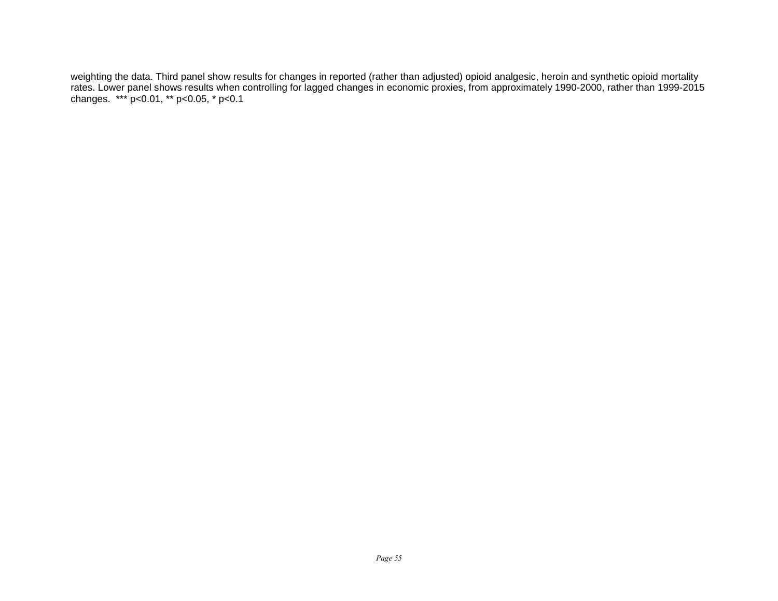weighting the data. Third panel show results for changes in reported (rather than adjusted) opioid analgesic, heroin and synthetic opioid mortality rates. Lower panel shows results when controlling for lagged changes in economic proxies, from approximately 1990-2000, rather than 1999-2015 changes. \*\*\* p<0.01, \*\* p<0.05, \* p<0.1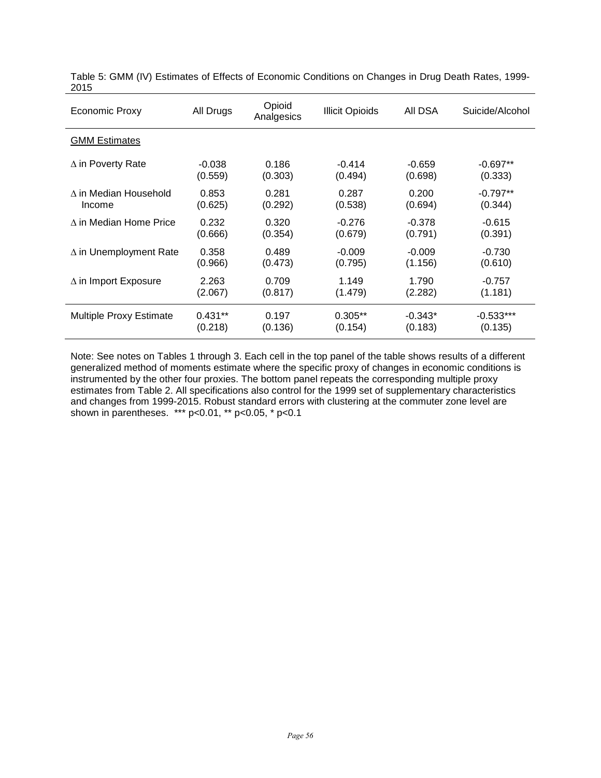| Economic Proxy                | All Drugs | Opioid<br>Analgesics | <b>Illicit Opioids</b> | AII DSA   | Suicide/Alcohol |
|-------------------------------|-----------|----------------------|------------------------|-----------|-----------------|
| <b>GMM Estimates</b>          |           |                      |                        |           |                 |
| $\Delta$ in Poverty Rate      | $-0.038$  | 0.186                | $-0.414$               | $-0.659$  | $-0.697**$      |
|                               | (0.559)   | (0.303)              | (0.494)                | (0.698)   | (0.333)         |
| A in Median Household         | 0.853     | 0.281                | 0.287                  | 0.200     | $-0.797**$      |
| Income                        | (0.625)   | (0.292)              | (0.538)                | (0.694)   | (0.344)         |
| $\wedge$ in Median Home Price | 0.232     | 0.320                | $-0.276$               | $-0.378$  | $-0.615$        |
|                               | (0.666)   | (0.354)              | (0.679)                | (0.791)   | (0.391)         |
| $\Delta$ in Unemployment Rate | 0.358     | 0.489                | $-0.009$               | $-0.009$  | $-0.730$        |
|                               | (0.966)   | (0.473)              | (0.795)                | (1.156)   | (0.610)         |
| $\Delta$ in Import Exposure   | 2.263     | 0.709                | 1.149                  | 1.790     | $-0.757$        |
|                               | (2.067)   | (0.817)              | (1.479)                | (2.282)   | (1.181)         |
| Multiple Proxy Estimate       | $0.431**$ | 0.197                | $0.305**$              | $-0.343*$ | $-0.533***$     |
|                               | (0.218)   | (0.136)              | (0.154)                | (0.183)   | (0.135)         |

Table 5: GMM (IV) Estimates of Effects of Economic Conditions on Changes in Drug Death Rates, 1999- 2015

Note: See notes on Tables 1 through 3. Each cell in the top panel of the table shows results of a different generalized method of moments estimate where the specific proxy of changes in economic conditions is instrumented by the other four proxies. The bottom panel repeats the corresponding multiple proxy estimates from Table 2. All specifications also control for the 1999 set of supplementary characteristics and changes from 1999-2015. Robust standard errors with clustering at the commuter zone level are shown in parentheses. \*\*\* p<0.01, \*\* p<0.05, \* p<0.1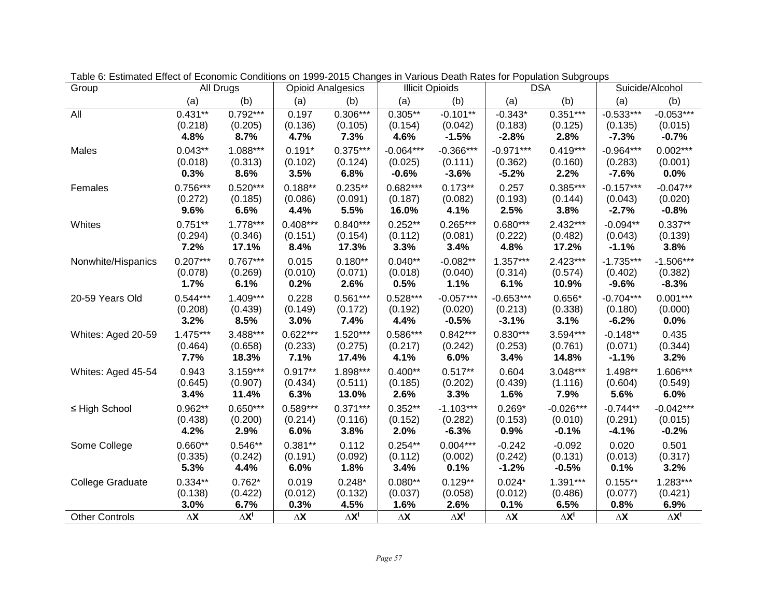| Group                   |                    | All Drugs    |                    | <b>Opioid Analgesics</b>      |                    | <b>Illicit Opioids</b>        |                    | <b>DSA</b>   | Suicide/Alcohol    |                               |
|-------------------------|--------------------|--------------|--------------------|-------------------------------|--------------------|-------------------------------|--------------------|--------------|--------------------|-------------------------------|
|                         | (a)                | (b)          | (a)                | (b)                           | (a)                | (b)                           | (a)                | (b)          | (a)                | (b)                           |
| All                     | $0.431**$          | $0.792***$   | 0.197              | $0.306***$                    | $0.305**$          | $-0.101**$                    | $-0.343*$          | $0.351***$   | $-0.533***$        | $-0.053***$                   |
|                         | (0.218)            | (0.205)      | (0.136)            | (0.105)                       | (0.154)            | (0.042)                       | (0.183)            | (0.125)      | (0.135)            | (0.015)                       |
|                         | 4.8%               | 8.7%         | 4.7%               | 7.3%                          | 4.6%               | $-1.5%$                       | $-2.8%$            | 2.8%         | $-7.3%$            | $-0.7%$                       |
| Males                   | $0.043**$          | $1.088***$   | $0.191*$           | $0.375***$                    | $-0.064***$        | $-0.366***$                   | $-0.971***$        | $0.419***$   | $-0.964***$        | $0.002***$                    |
|                         | (0.018)            | (0.313)      | (0.102)            | (0.124)                       | (0.025)            | (0.111)                       | (0.362)            | (0.160)      | (0.283)            | (0.001)                       |
|                         | 0.3%               | 8.6%         | 3.5%               | 6.8%                          | $-0.6%$            | $-3.6%$                       | $-5.2%$            | 2.2%         | $-7.6%$            | 0.0%                          |
| Females                 | $0.756***$         | $0.520***$   | $0.188**$          | $0.235**$                     | $0.682***$         | $0.173**$                     | 0.257              | 0.385***     | $-0.157***$        | $-0.047**$                    |
|                         | (0.272)            | (0.185)      | (0.086)            | (0.091)                       | (0.187)            | (0.082)                       | (0.193)            | (0.144)      | (0.043)            | (0.020)                       |
|                         | 9.6%               | 6.6%         | 4.4%               | 5.5%                          | 16.0%              | 4.1%                          | 2.5%               | 3.8%         | $-2.7%$            | $-0.8%$                       |
| Whites                  | $0.751**$          | 1.778***     | $0.408***$         | $0.840***$                    | $0.252**$          | $0.265***$                    | $0.680***$         | 2.432***     | $-0.094**$         | $0.337**$                     |
|                         | (0.294)            | (0.346)      | (0.151)            | (0.154)                       | (0.112)            | (0.081)                       | (0.222)            | (0.482)      | (0.043)            | (0.139)                       |
|                         | 7.2%               | 17.1%        | 8.4%               | 17.3%                         | 3.3%               | 3.4%                          | 4.8%               | 17.2%        | $-1.1%$            | 3.8%                          |
| Nonwhite/Hispanics      | $0.207***$         | $0.767***$   | 0.015              | $0.180**$                     | $0.040**$          | $-0.082**$                    | $1.357***$         | 2.423***     | $-1.735***$        | $-1.506***$                   |
|                         | (0.078)            | (0.269)      | (0.010)            | (0.071)                       | (0.018)            | (0.040)                       | (0.314)            | (0.574)      | (0.402)            | (0.382)                       |
|                         | 1.7%               | 6.1%         | 0.2%               | 2.6%                          | 0.5%               | 1.1%                          | 6.1%               | 10.9%        | $-9.6%$            | $-8.3%$                       |
| 20-59 Years Old         | $0.544***$         | $1.409***$   | 0.228              | $0.561***$                    | $0.528***$         | $-0.057***$                   | $-0.653***$        | $0.656*$     | $-0.704***$        | $0.001***$                    |
|                         | (0.208)            | (0.439)      | (0.149)            | (0.172)                       | (0.192)            | (0.020)                       | (0.213)            | (0.338)      | (0.180)            | (0.000)                       |
|                         | 3.2%               | 8.5%         | 3.0%               | 7.4%                          | 4.4%               | $-0.5%$                       | $-3.1%$            | 3.1%         | $-6.2%$            | 0.0%                          |
| Whites: Aged 20-59      | 1.475***           | 3.488***     | $0.622***$         | $1.520***$                    | $0.586***$         | $0.842***$                    | $0.830***$         | 3.594***     | $-0.148**$         | 0.435                         |
|                         | (0.464)            | (0.658)      | (0.233)            | (0.275)                       | (0.217)            | (0.242)                       | (0.253)            | (0.761)      | (0.071)            | (0.344)                       |
|                         | 7.7%               | 18.3%        | 7.1%               | 17.4%                         | 4.1%               | 6.0%                          | 3.4%               | 14.8%        | $-1.1%$            | 3.2%                          |
| Whites: Aged 45-54      | 0.943              | $3.159***$   | $0.917**$          | 1.898***                      | $0.400**$          | $0.517**$                     | 0.604              | 3.048***     | 1.498**            | 1.606***                      |
|                         | (0.645)            | (0.907)      | (0.434)            | (0.511)                       | (0.185)            | (0.202)                       | (0.439)            | (1.116)      | (0.604)            | (0.549)                       |
|                         | 3.4%               | 11.4%        | 6.3%               | 13.0%                         | 2.6%               | 3.3%                          | 1.6%               | 7.9%         | 5.6%               | 6.0%                          |
| ≤ High School           | 0.962**            | $0.650***$   | $0.589***$         | $0.371***$                    | $0.352**$          | $-1.103***$                   | $0.269*$           | $-0.026***$  | $-0.744**$         | $-0.042***$                   |
|                         | (0.438)            | (0.200)      | (0.214)            | (0.116)                       | (0.152)            | (0.282)                       | (0.153)            | (0.010)      | (0.291)            | (0.015)                       |
|                         | 4.2%               | 2.9%         | 6.0%               | 3.8%                          | 2.0%               | $-6.3%$                       | 0.9%               | $-0.1%$      | $-4.1%$            | $-0.2%$                       |
| Some College            | $0.660**$          | $0.546**$    | $0.381**$          | 0.112                         | $0.254**$          | $0.004***$                    | $-0.242$           | $-0.092$     | 0.020              | 0.501                         |
|                         | (0.335)            | (0.242)      | (0.191)            | (0.092)                       | (0.112)            | (0.002)                       | (0.242)            | (0.131)      | (0.013)            | (0.317)                       |
|                         | 5.3%               | 4.4%         | 6.0%               | 1.8%                          | 3.4%               | 0.1%                          | $-1.2%$            | $-0.5%$      | 0.1%               | 3.2%                          |
| <b>College Graduate</b> | $0.334**$          | $0.762*$     | 0.019              | $0.248*$                      | $0.080**$          | $0.129**$                     | $0.024*$           | 1.391***     | $0.155***$         | $1.283***$                    |
|                         | (0.138)            | (0.422)      | (0.012)            | (0.132)                       | (0.037)            | (0.058)                       | (0.012)            | (0.486)      | (0.077)            | (0.421)                       |
|                         | 3.0%               | 6.7%         | 0.3%               | 4.5%                          | 1.6%               | 2.6%                          | 0.1%               | 6.5%         | 0.8%               | 6.9%                          |
| <b>Other Controls</b>   | $\Delta\mathsf{X}$ | $\Delta X^I$ | $\Delta\mathbf{X}$ | $\Delta\mathbf{X}^{\text{I}}$ | $\Delta\mathsf{X}$ | $\Delta\mathbf{X}^{\text{I}}$ | $\Delta\mathsf{X}$ | $\Delta X^I$ | $\Delta\mathsf{X}$ | $\Delta\mathbf{X}^{\text{I}}$ |

Table 6: Estimated Effect of Economic Conditions on 1999-2015 Changes in Various Death Rates for Population Subgroups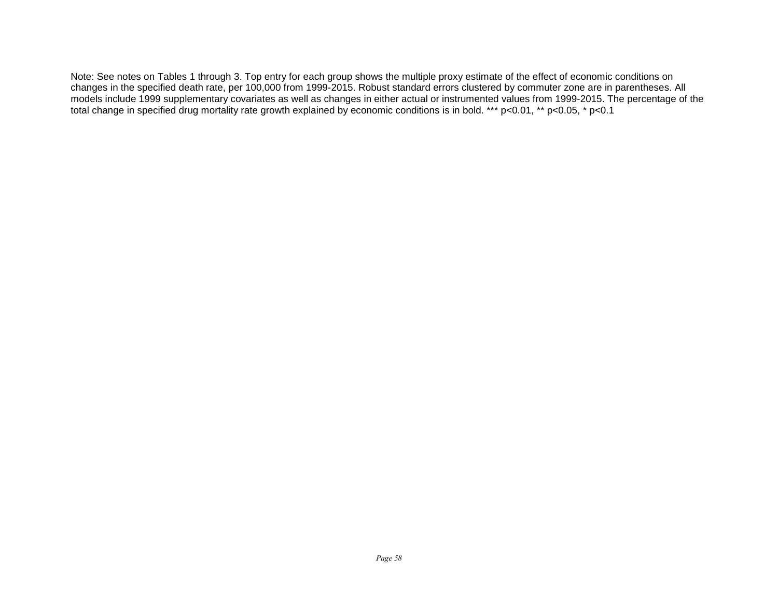Note: See notes on Tables 1 through 3. Top entry for each group shows the multiple proxy estimate of the effect of economic conditions on changes in the specified death rate, per 100,000 from 1999-2015. Robust standard errors clustered by commuter zone are in parentheses. All models include 1999 supplementary covariates as well as changes in either actual or instrumented values from 1999-2015. The percentage of the total change in specified drug mortality rate growth explained by economic conditions is in bold. \*\*\* p<0.01, \*\* p<0.05, \* p<0.1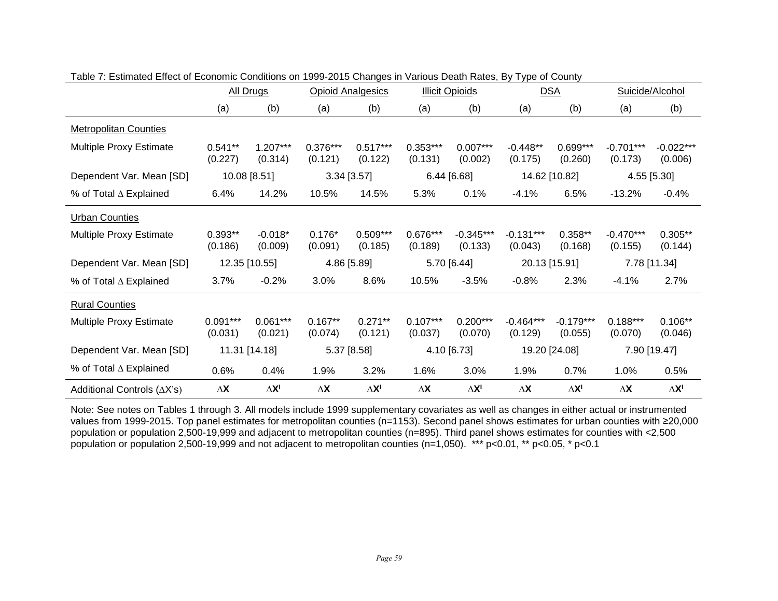|                                    |                       | All Drugs             |                       | <b>Opioid Analgesics</b> | <b>Illicit Opioids</b> |                        | <b>DSA</b>             |                        | Suicide/Alcohol        |                        |
|------------------------------------|-----------------------|-----------------------|-----------------------|--------------------------|------------------------|------------------------|------------------------|------------------------|------------------------|------------------------|
|                                    | (a)                   | (b)                   | (a)                   | (b)                      | (a)                    | (b)                    | (a)                    | (b)                    | (a)                    | (b)                    |
| <b>Metropolitan Counties</b>       |                       |                       |                       |                          |                        |                        |                        |                        |                        |                        |
| Multiple Proxy Estimate            | $0.541**$<br>(0.227)  | $1.207***$<br>(0.314) | $0.376***$<br>(0.121) | $0.517***$<br>(0.122)    | $0.353***$<br>(0.131)  | $0.007***$<br>(0.002)  | $-0.448**$<br>(0.175)  | $0.699***$<br>(0.260)  | $-0.701***$<br>(0.173) | $-0.022***$<br>(0.006) |
| Dependent Var. Mean [SD]           |                       | 10.08 [8.51]          |                       | $3.34$ [3.57]            |                        | 6.44 [6.68]            |                        | 14.62 [10.82]          |                        | 4.55 [5.30]            |
| % of Total ∆ Explained             | 6.4%                  | 14.2%                 | 10.5%                 | 14.5%                    | 5.3%                   | 0.1%                   | $-4.1%$                | 6.5%                   | $-13.2%$               | $-0.4%$                |
| <b>Urban Counties</b>              |                       |                       |                       |                          |                        |                        |                        |                        |                        |                        |
| Multiple Proxy Estimate            | $0.393**$<br>(0.186)  | $-0.018*$<br>(0.009)  | $0.176*$<br>(0.091)   | $0.509***$<br>(0.185)    | $0.676***$<br>(0.189)  | $-0.345***$<br>(0.133) | $-0.131***$<br>(0.043) | $0.358**$<br>(0.168)   | $-0.470***$<br>(0.155) | $0.305**$<br>(0.144)   |
| Dependent Var. Mean [SD]           |                       | 12.35 [10.55]         |                       | 4.86 [5.89]              | 5.70 [6.44]            |                        | 20.13 [15.91]          |                        | 7.78 [11.34]           |                        |
| % of Total ∆ Explained             | 3.7%                  | $-0.2%$               | 3.0%                  | 8.6%                     | 10.5%                  | $-3.5%$                | $-0.8%$                | 2.3%                   | $-4.1%$                | 2.7%                   |
| <b>Rural Counties</b>              |                       |                       |                       |                          |                        |                        |                        |                        |                        |                        |
| Multiple Proxy Estimate            | $0.091***$<br>(0.031) | $0.061***$<br>(0.021) | $0.167**$<br>(0.074)  | $0.271**$<br>(0.121)     | $0.107***$<br>(0.037)  | $0.200***$<br>(0.070)  | $-0.464***$<br>(0.129) | $-0.179***$<br>(0.055) | $0.188***$<br>(0.070)  | $0.106**$<br>(0.046)   |
| Dependent Var. Mean [SD]           |                       | 11.31 [14.18]         |                       | 5.37 [8.58]              |                        | 4.10 [6.73]            |                        | 19.20 [24.08]          |                        | 7.90 [19.47]           |
| % of Total ∆ Explained             | 0.6%                  | 0.4%                  | 1.9%                  | 3.2%                     | 1.6%                   | 3.0%                   | 1.9%                   | 0.7%                   | 1.0%                   | 0.5%                   |
| Additional Controls $(\Delta X's)$ | $\Delta\mathsf{X}$    | $\Delta X^I$          | $\Delta X$            | $\Delta X^I$             | $\Delta\mathsf{X}$     | $\Delta X^I$           | $\Delta X$             | $\Delta X^I$           | $\Delta\mathsf{X}$     | $\Delta X^I$           |

| Table 7: Estimated Effect of Economic Conditions on 1999-2015 Changes in Various Death Rates, By Type of County |  |  |  |  |
|-----------------------------------------------------------------------------------------------------------------|--|--|--|--|
|                                                                                                                 |  |  |  |  |

Note: See notes on Tables 1 through 3. All models include 1999 supplementary covariates as well as changes in either actual or instrumented values from 1999-2015. Top panel estimates for metropolitan counties (n=1153). Second panel shows estimates for urban counties with ≥20,000 population or population 2,500-19,999 and adjacent to metropolitan counties (n=895). Third panel shows estimates for counties with <2,500 population or population 2,500-19,999 and not adjacent to metropolitan counties (n=1,050). \*\*\* p<0.01, \*\* p<0.05, \* p<0.1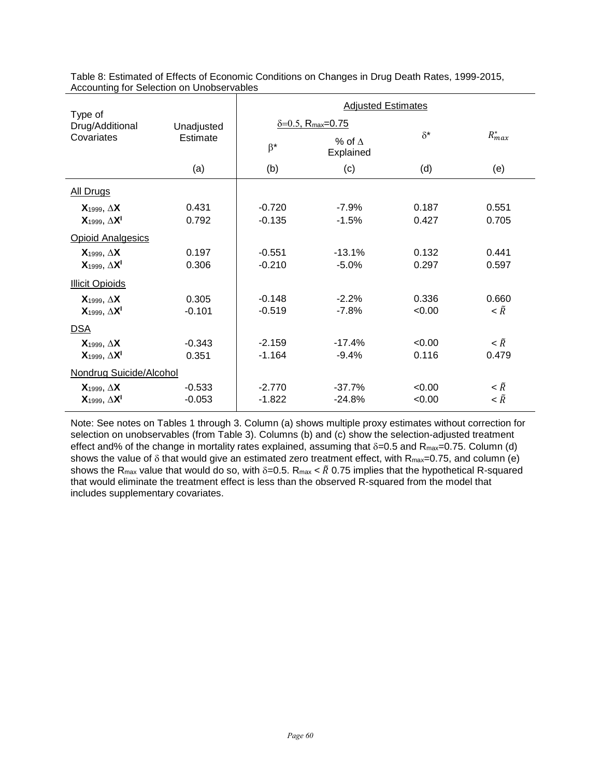| Type of                   |            | <b>Adjusted Estimates</b> |                                      |            |                             |  |  |  |
|---------------------------|------------|---------------------------|--------------------------------------|------------|-----------------------------|--|--|--|
| Drug/Additional           | Unadjusted |                           | $& 6 = 0.5$ , R <sub>max</sub> =0.75 |            |                             |  |  |  |
| Covariates                | Estimate   | $\beta^*$                 | % of $\Lambda$<br>Explained          | $\delta^*$ | $R^*_{max}$                 |  |  |  |
|                           | (a)        | (b)                       | (c)                                  | (d)        | (e)                         |  |  |  |
| <b>All Drugs</b>          |            |                           |                                      |            |                             |  |  |  |
| $X_{1999}$ , $\Delta$ X   | 0.431      | $-0.720$                  | $-7.9%$                              | 0.187      | 0.551                       |  |  |  |
| $X_{1999}$ , $\Delta X^1$ | 0.792      | $-0.135$                  | $-1.5%$                              | 0.427      | 0.705                       |  |  |  |
| <b>Opioid Analgesics</b>  |            |                           |                                      |            |                             |  |  |  |
| $X_{1999}$ , $\Delta X$   | 0.197      | $-0.551$                  | $-13.1%$                             | 0.132      | 0.441                       |  |  |  |
| $X_{1999}$ , $\Delta X^1$ | 0.306      | $-0.210$                  | $-5.0%$                              | 0.297      | 0.597                       |  |  |  |
| <b>Illicit Opioids</b>    |            |                           |                                      |            |                             |  |  |  |
| $X_{1999}$ , $\Delta X$   | 0.305      | $-0.148$                  | $-2.2%$                              | 0.336      | 0.660                       |  |  |  |
| $X_{1999}$ , $\Delta X^1$ | $-0.101$   | $-0.519$                  | $-7.8%$                              | <0.00      | $\langle \tilde{R}$         |  |  |  |
| <b>DSA</b>                |            |                           |                                      |            |                             |  |  |  |
| $X_{1999}$ , $\Delta$ X   | $-0.343$   | $-2.159$                  | $-17.4%$                             | < 0.00     | $\langle \tilde{R}$         |  |  |  |
| $X_{1999}$ , $\Delta X^1$ | 0.351      | $-1.164$                  | $-9.4%$                              | 0.116      | 0.479                       |  |  |  |
| Nondrug Suicide/Alcohol   |            |                           |                                      |            |                             |  |  |  |
| $X_{1999}$ , $\Delta$ X   | $-0.533$   | $-2.770$                  | $-37.7%$                             | < 0.00     | $\langle \tilde{R} \rangle$ |  |  |  |
| $X_{1999}$ , $\Delta X^1$ | $-0.053$   | $-1.822$                  | $-24.8%$                             | <0.00      | $\langle \tilde{R}$         |  |  |  |

Table 8: Estimated of Effects of Economic Conditions on Changes in Drug Death Rates, 1999-2015, Accounting for Selection on Unobservables

Note: See notes on Tables 1 through 3. Column (a) shows multiple proxy estimates without correction for selection on unobservables (from Table 3). Columns (b) and (c) show the selection-adjusted treatment effect and% of the change in mortality rates explained, assuming that  $\delta$ =0.5 and R<sub>max</sub>=0.75. Column (d) shows the value of  $\delta$  that would give an estimated zero treatment effect, with  $R_{\text{max}} = 0.75$ , and column (e) shows the R<sub>max</sub> value that would do so, with  $\delta$ =0.5. R<sub>max</sub> <  $\tilde{R}$  0.75 implies that the hypothetical R-squared that would eliminate the treatment effect is less than the observed R-squared from the model that includes supplementary covariates.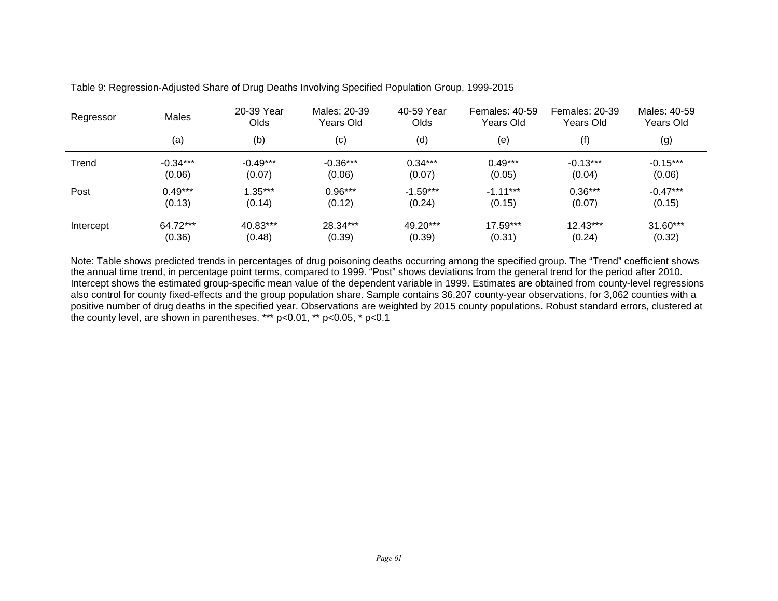| Regressor | <b>Males</b> | 20-39 Year<br>Olds | Males: 20-39<br>Years Old | 40-59 Year<br>Olds | <b>Females: 40-59</b><br>Years Old | Females: 20-39<br>Years Old | Males: 40-59<br>Years Old |
|-----------|--------------|--------------------|---------------------------|--------------------|------------------------------------|-----------------------------|---------------------------|
|           | (a)          | (b)                | (c)                       | (d)                | (e)                                | (f)                         | (g)                       |
| Trend     | $-0.34***$   | $-0.49***$         | $-0.36***$                | $0.34***$          | $0.49***$                          | $-0.13***$                  | $-0.15***$                |
|           | (0.06)       | (0.07)             | (0.06)                    | (0.07)             | (0.05)                             | (0.04)                      | (0.06)                    |
| Post      | $0.49***$    | $1.35***$          | $0.96***$                 | $-1.59***$         | $-1.11***$                         | $0.36***$                   | $-0.47***$                |
|           | (0.13)       | (0.14)             | (0.12)                    | (0.24)             | (0.15)                             | (0.07)                      | (0.15)                    |
| Intercept | 64.72***     | 40.83***           | 28.34***                  | 49.20***           | $17.59***$                         | 12.43***                    | 31.60***                  |
|           | (0.36)       | (0.48)             | (0.39)                    | (0.39)             | (0.31)                             | (0.24)                      | (0.32)                    |

Table 9: Regression-Adjusted Share of Drug Deaths Involving Specified Population Group, 1999-2015

Note: Table shows predicted trends in percentages of drug poisoning deaths occurring among the specified group. The "Trend" coefficient shows the annual time trend, in percentage point terms, compared to 1999. "Post" shows deviations from the general trend for the period after 2010. Intercept shows the estimated group-specific mean value of the dependent variable in 1999. Estimates are obtained from county-level regressions also control for county fixed-effects and the group population share. Sample contains 36,207 county-year observations, for 3,062 counties with a positive number of drug deaths in the specified year. Observations are weighted by 2015 county populations. Robust standard errors, clustered at the county level, are shown in parentheses. \*\*\*  $p<0.01$ , \*\*  $p<0.05$ , \*  $p<0.1$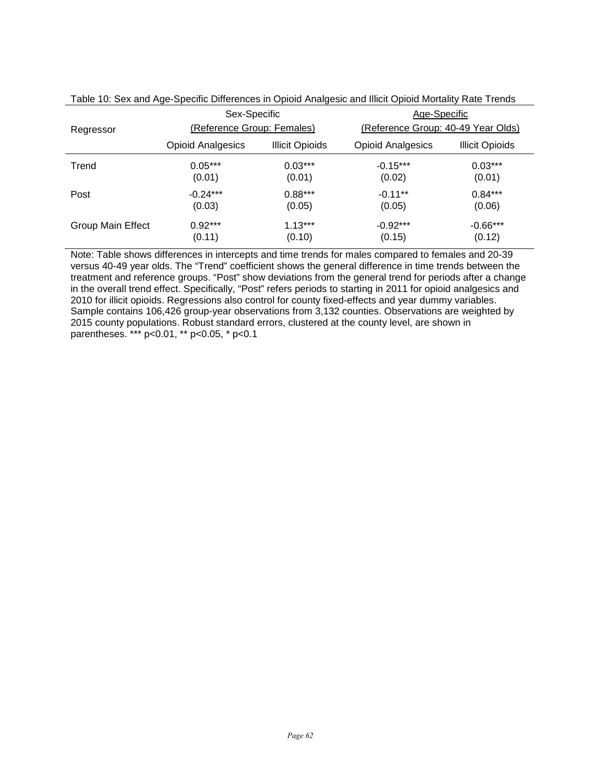|                   | Sex-Specific               |                        | Age-Specific                       |                        |  |  |
|-------------------|----------------------------|------------------------|------------------------------------|------------------------|--|--|
| Regressor         | (Reference Group: Females) |                        | (Reference Group: 40-49 Year Olds) |                        |  |  |
|                   | <b>Opioid Analgesics</b>   | <b>Illicit Opioids</b> | <b>Opioid Analgesics</b>           | <b>Illicit Opioids</b> |  |  |
| Trend             | $0.05***$                  | $0.03***$              | $-0.15***$                         | $0.03***$              |  |  |
|                   | (0.01)                     | (0.01)                 | (0.02)                             | (0.01)                 |  |  |
| Post              | $-0.24***$                 | $0.88***$              | $-0.11***$                         | $0.84***$              |  |  |
|                   | (0.03)                     | (0.05)                 | (0.05)                             | (0.06)                 |  |  |
| Group Main Effect | $0.92***$                  | $1.13***$              | $-0.92***$                         | $-0.66***$             |  |  |
|                   | (0.11)                     | (0.10)                 | (0.15)                             | (0.12)                 |  |  |

Table 10: Sex and Age-Specific Differences in Opioid Analgesic and Illicit Opioid Mortality Rate Trends

Note: Table shows differences in intercepts and time trends for males compared to females and 20-39 versus 40-49 year olds. The "Trend" coefficient shows the general difference in time trends between the treatment and reference groups. "Post" show deviations from the general trend for periods after a change in the overall trend effect. Specifically, "Post" refers periods to starting in 2011 for opioid analgesics and 2010 for illicit opioids. Regressions also control for county fixed-effects and year dummy variables. Sample contains 106,426 group-year observations from 3,132 counties. Observations are weighted by 2015 county populations. Robust standard errors, clustered at the county level, are shown in parentheses. \*\*\* p<0.01, \*\* p<0.05, \* p<0.1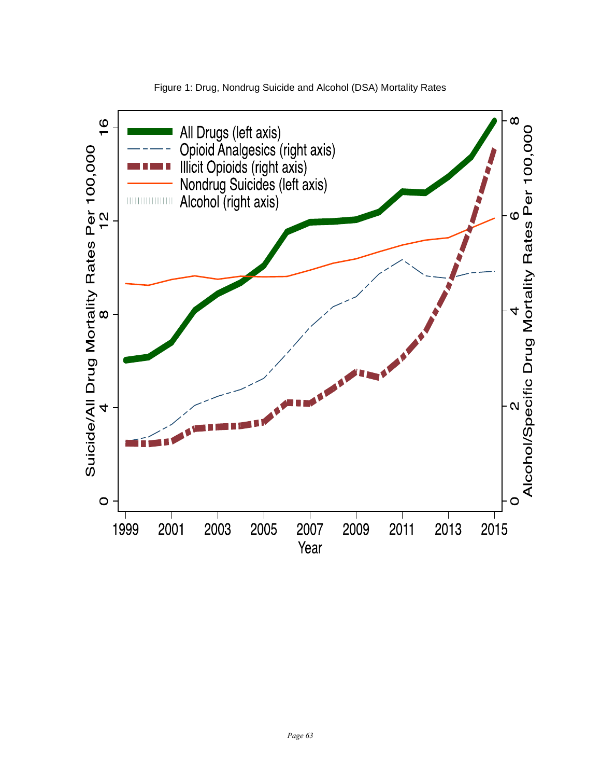

Figure 1: Drug, Nondrug Suicide and Alcohol (DSA) Mortality Rates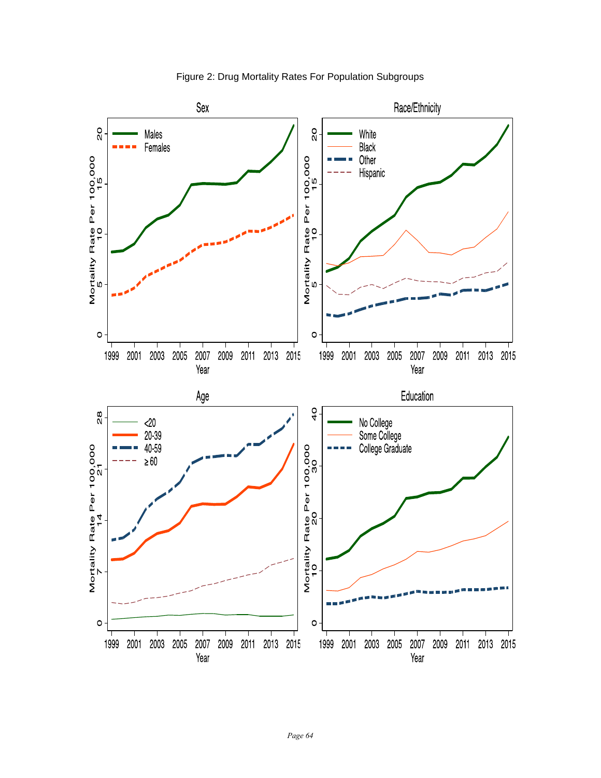

Figure 2: Drug Mortality Rates For Population Subgroups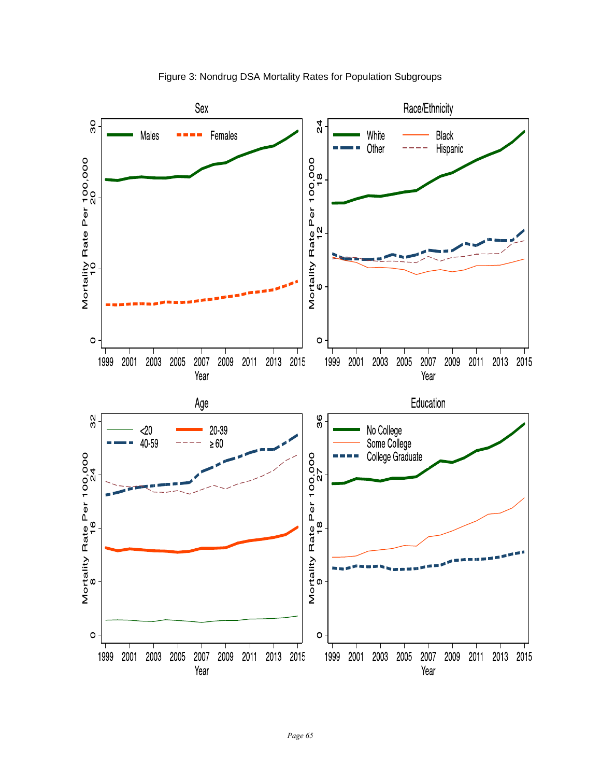

Figure 3: Nondrug DSA Mortality Rates for Population Subgroups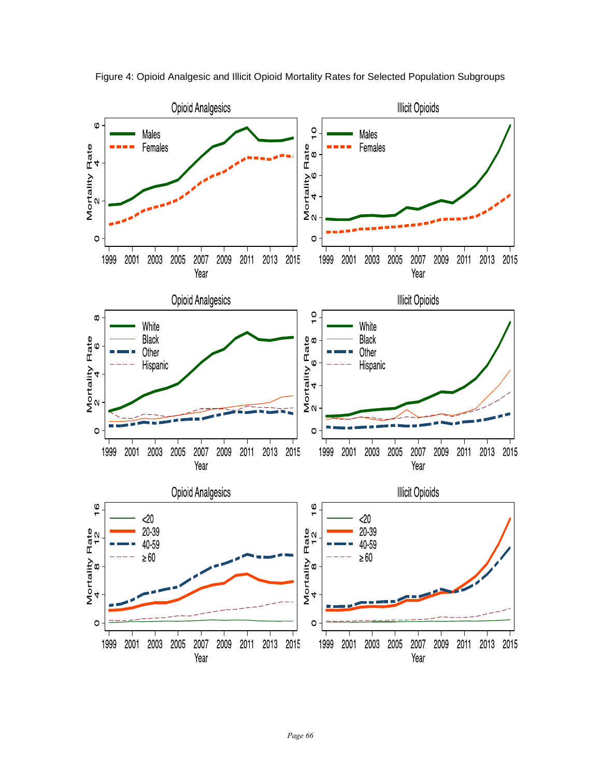

Figure 4: Opioid Analgesic and Illicit Opioid Mortality Rates for Selected Population Subgroups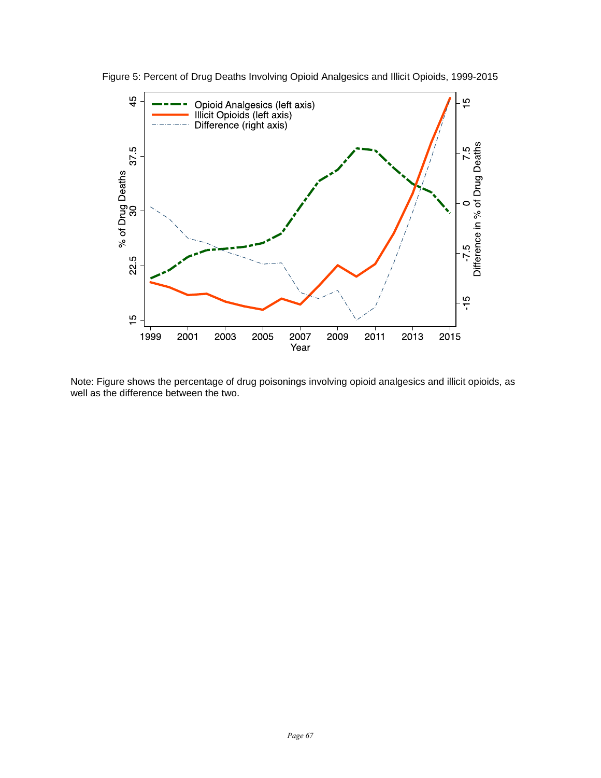

Figure 5: Percent of Drug Deaths Involving Opioid Analgesics and Illicit Opioids, 1999-2015

Note: Figure shows the percentage of drug poisonings involving opioid analgesics and illicit opioids, as well as the difference between the two.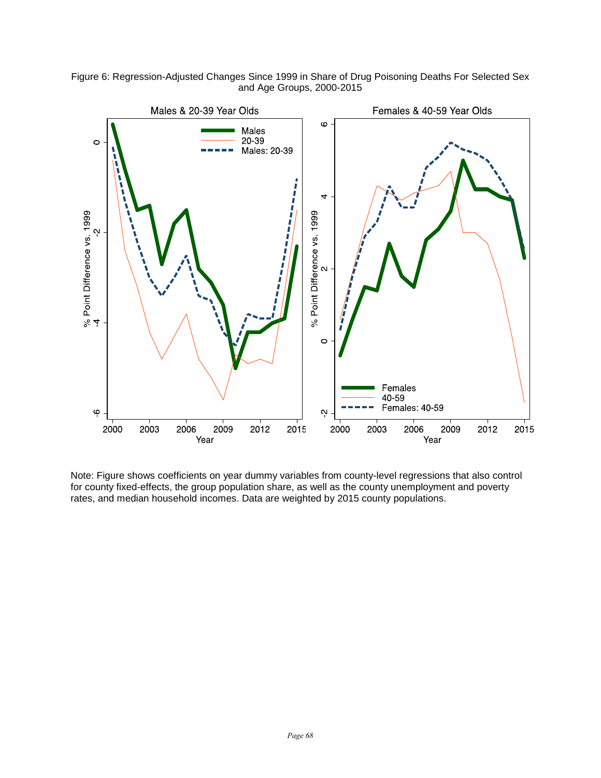Figure 6: Regression-Adjusted Changes Since 1999 in Share of Drug Poisoning Deaths For Selected Sex and Age Groups, 2000-2015



Note: Figure shows coefficients on year dummy variables from county-level regressions that also control for county fixed-effects, the group population share, as well as the county unemployment and poverty rates, and median household incomes. Data are weighted by 2015 county populations.